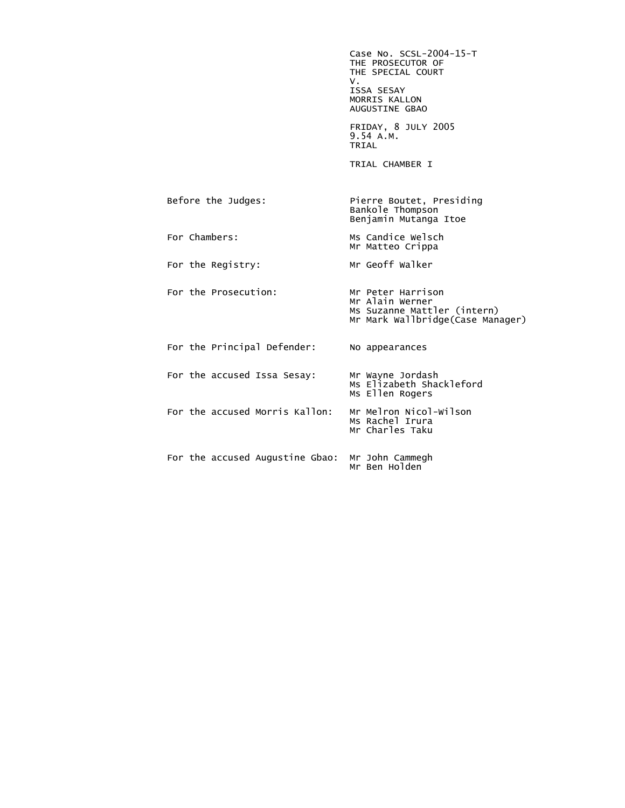Case No. SCSL-2004-15-T THE PROSECUTOR OF THE SPECIAL COURT<br>V. V. ISSA SESAY MORRIS KALLON AUGUSTINE GBAO FRIDAY, 8 JULY 2005 9.54 A.M.<br>TRIAL **TRIAL**  TRIAL CHAMBER I Before the Judges: Pierre Boutet, Presiding Bankole Thompson Benjamin Mutanga Itoe For Chambers: Ms Candice Welsch Mr Matteo Crippa For the Registry: Mr Geoff Walker For the Prosecution: Mr Peter Harrison Mr Alain Werner Ms Suzanne Mattler (intern) Mr Mark Wallbridge(Case Manager) For the Principal Defender: No appearances For the accused Issa Sesay: Mr Wayne Jordash Ms Elizabeth Shackleford Ms Ellen Rogers For the accused Morris Kallon: Mr Melron Nicol-Wilson Ms Rachel Irura Mr Charles Taku For the accused Augustine Gbao: Mr John Cammegh Mr Ben Holden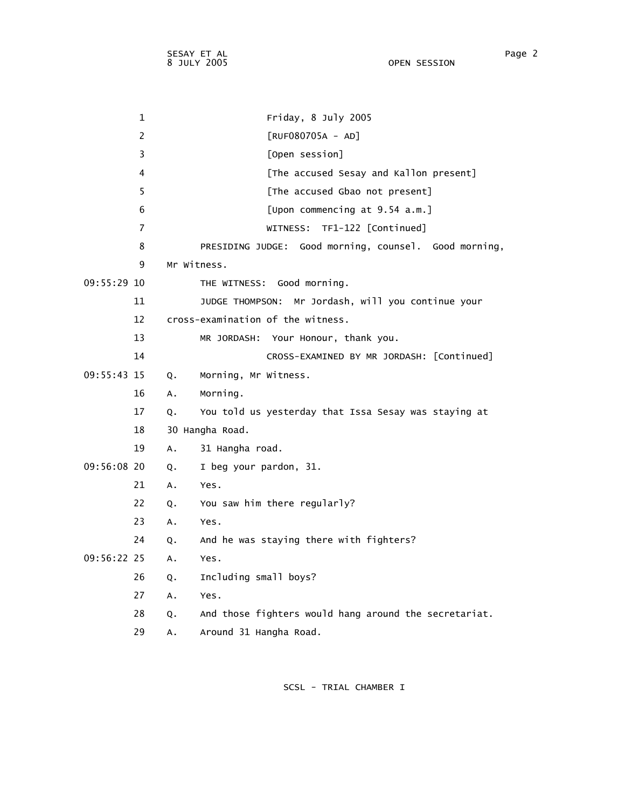1 Friday, 8 July 2005 2 [RUF080705A - AD] 3 [Open session] 4 [The accused Sesay and Kallon present] 5 [The accused Gbao not present] 6 [Upon commencing at 9.54 a.m.] 7 WITNESS: TF1-122 [Continued] 8 PRESIDING JUDGE: Good morning, counsel. Good morning, 9 Mr Witness. 09:55:29 10 THE WITNESS: Good morning. 11 JUDGE THOMPSON: Mr Jordash, will you continue your 12 cross-examination of the witness. 13 MR JORDASH: Your Honour, thank you. 14 CROSS-EXAMINED BY MR JORDASH: [Continued] 09:55:43 15 Q. Morning, Mr Witness. 16 A. Morning. 17 Q. You told us yesterday that Issa Sesay was staying at 18 30 Hangha Road. 19 A. 31 Hangha road. 09:56:08 20 Q. I beg your pardon, 31. 21 A. Yes. 22 Q. You saw him there regularly? 23 A. Yes. 24 Q. And he was staying there with fighters? 09:56:22 25 A. Yes. 26 Q. Including small boys? 27 A. Yes. 28 Q. And those fighters would hang around the secretariat. 29 A. Around 31 Hangha Road.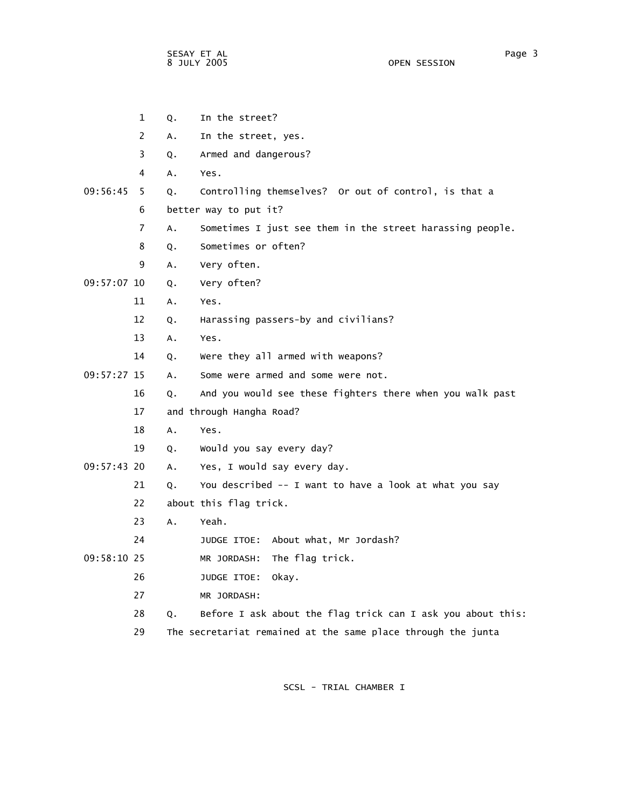|               | $\mathbf{1}$   | Q. | In the street?                                               |
|---------------|----------------|----|--------------------------------------------------------------|
|               | $\overline{2}$ | А. | In the street, yes.                                          |
|               | 3              | Q. | Armed and dangerous?                                         |
|               | 4              | А. | Yes.                                                         |
| 09:56:45      | 5.             | Q. | Controlling themselves? Or out of control, is that a         |
|               | 6              |    | better way to put it?                                        |
|               | 7              | Α. | Sometimes I just see them in the street harassing people.    |
|               | 8              | Q. | Sometimes or often?                                          |
|               | 9              | А. | Very often.                                                  |
| 09:57:07 10   |                | Q. | Very often?                                                  |
|               | 11             | Α. | Yes.                                                         |
|               | 12             | Q. | Harassing passers-by and civilians?                          |
|               | 13             | Α. | Yes.                                                         |
|               | 14             | Q. | Were they all armed with weapons?                            |
| $09:57:27$ 15 |                | A. | Some were armed and some were not.                           |
|               | 16             | Q. | And you would see these fighters there when you walk past    |
|               | 17             |    | and through Hangha Road?                                     |
|               | 18             | A. | Yes.                                                         |
|               | 19             | Q. | Would you say every day?                                     |
| 09:57:43 20   |                | A. | Yes, I would say every day.                                  |
|               | 21             | Q. | You described -- I want to have a look at what you say       |
|               | 22             |    | about this flag trick.                                       |
|               | 23             | A. | Yeah.                                                        |
|               | 24             |    | JUDGE ITOE: About what, Mr Jordash?                          |
| 09:58:10 25   |                |    | The flag trick.<br>MR JORDASH:                               |
|               | 26             |    | JUDGE ITOE:<br>okay.                                         |
|               | 27             |    | MR JORDASH:                                                  |
|               | 28             | Q. | Before I ask about the flag trick can I ask you about this:  |
|               | 29             |    | The secretariat remained at the same place through the junta |
|               |                |    |                                                              |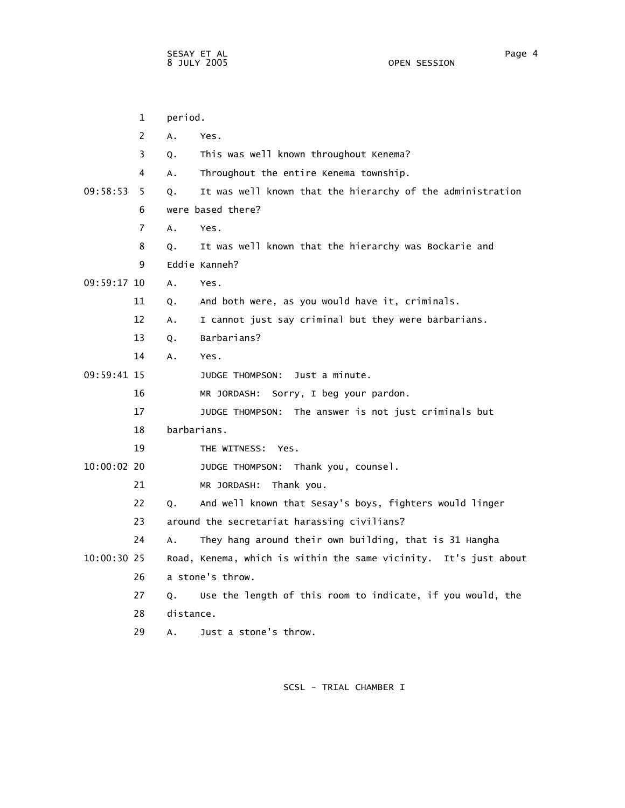1 period. 2 A. Yes. 3 Q. This was well known throughout Kenema? 4 A. Throughout the entire Kenema township. 09:58:53 5 Q. It was well known that the hierarchy of the administration 6 were based there? 7 A. Yes. 8 Q. It was well known that the hierarchy was Bockarie and 9 Eddie Kanneh? 09:59:17 10 A. Yes. 11 Q. And both were, as you would have it, criminals. 12 A. I cannot just say criminal but they were barbarians. 13 Q. Barbarians? 14 A. Yes. 09:59:41 15 JUDGE THOMPSON: Just a minute. 16 MR JORDASH: Sorry, I beg your pardon. 17 JUDGE THOMPSON: The answer is not just criminals but 18 barbarians. 19 THE WITNESS: Yes. 10:00:02 20 JUDGE THOMPSON: Thank you, counsel. 21 MR JORDASH: Thank you. 22 Q. And well known that Sesay's boys, fighters would linger 23 around the secretariat harassing civilians? 24 A. They hang around their own building, that is 31 Hangha 10:00:30 25 Road, Kenema, which is within the same vicinity. It's just about 26 a stone's throw. 27 Q. Use the length of this room to indicate, if you would, the 28 distance. 29 A. Just a stone's throw.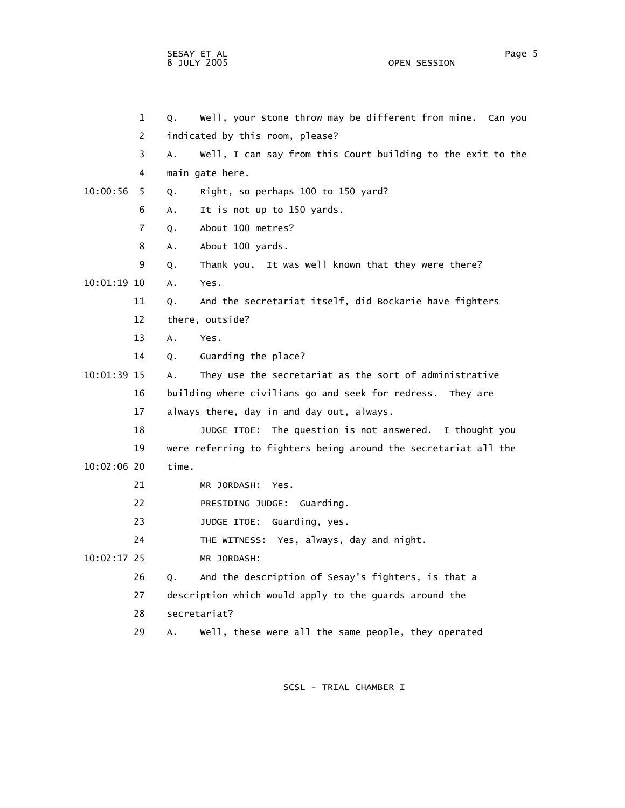OPEN SESSION

 1 Q. Well, your stone throw may be different from mine. Can you 2 indicated by this room, please? 3 A. Well, I can say from this Court building to the exit to the 4 main gate here. 10:00:56 5 Q. Right, so perhaps 100 to 150 yard? 6 A. It is not up to 150 yards. 7 Q. About 100 metres? 8 A. About 100 yards. 9 Q. Thank you. It was well known that they were there? 10:01:19 10 A. Yes. 11 Q. And the secretariat itself, did Bockarie have fighters 12 there, outside? 13 A. Yes. 14 Q. Guarding the place? 10:01:39 15 A. They use the secretariat as the sort of administrative 16 building where civilians go and seek for redress. They are 17 always there, day in and day out, always. 18 JUDGE ITOE: The question is not answered. I thought you 19 were referring to fighters being around the secretariat all the

- 10:02:06 20 time.
	- 21 MR JORDASH: Yes.
	- 22 PRESIDING JUDGE: Guarding.
	- 23 JUDGE ITOE: Guarding, yes.

24 THE WITNESS: Yes, always, day and night.

10:02:17 25 MR JORDASH:

- 26 Q. And the description of Sesay's fighters, is that a
- 27 description which would apply to the guards around the
- 28 secretariat?
- 29 A. Well, these were all the same people, they operated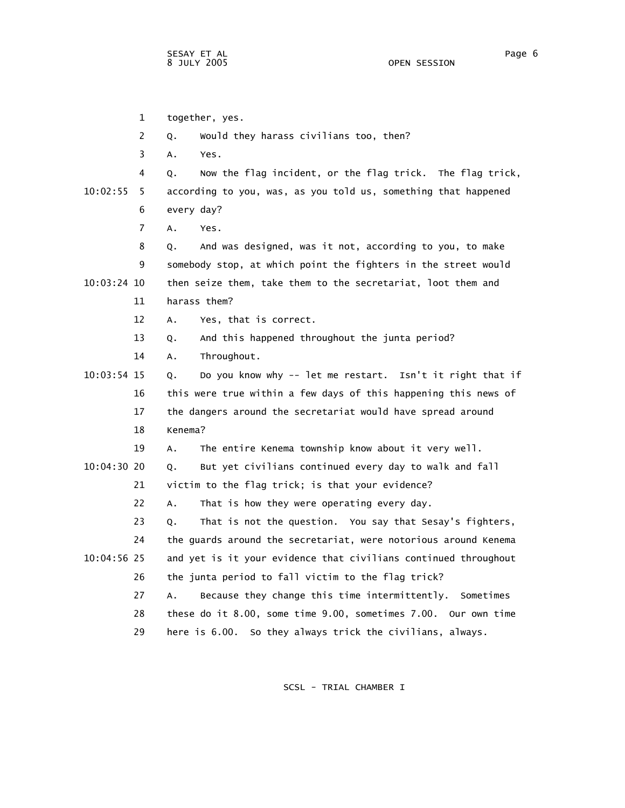1 together, yes. 2 Q. Would they harass civilians too, then? 3 A. Yes. 4 Q. Now the flag incident, or the flag trick. The flag trick, 10:02:55 5 according to you, was, as you told us, something that happened 6 every day? 7 A. Yes. 8 Q. And was designed, was it not, according to you, to make 9 somebody stop, at which point the fighters in the street would 10:03:24 10 then seize them, take them to the secretariat, loot them and 11 harass them? 12 A. Yes, that is correct. 13 Q. And this happened throughout the junta period? 14 A. Throughout. 10:03:54 15 Q. Do you know why -- let me restart. Isn't it right that if 16 this were true within a few days of this happening this news of 17 the dangers around the secretariat would have spread around 18 Kenema? 19 A. The entire Kenema township know about it very well. 10:04:30 20 Q. But yet civilians continued every day to walk and fall 21 victim to the flag trick; is that your evidence? 22 A. That is how they were operating every day. 23 Q. That is not the question. You say that Sesay's fighters, 24 the guards around the secretariat, were notorious around Kenema 10:04:56 25 and yet is it your evidence that civilians continued throughout 26 the junta period to fall victim to the flag trick? 27 A. Because they change this time intermittently. Sometimes 28 these do it 8.00, some time 9.00, sometimes 7.00. Our own time 29 here is 6.00. So they always trick the civilians, always.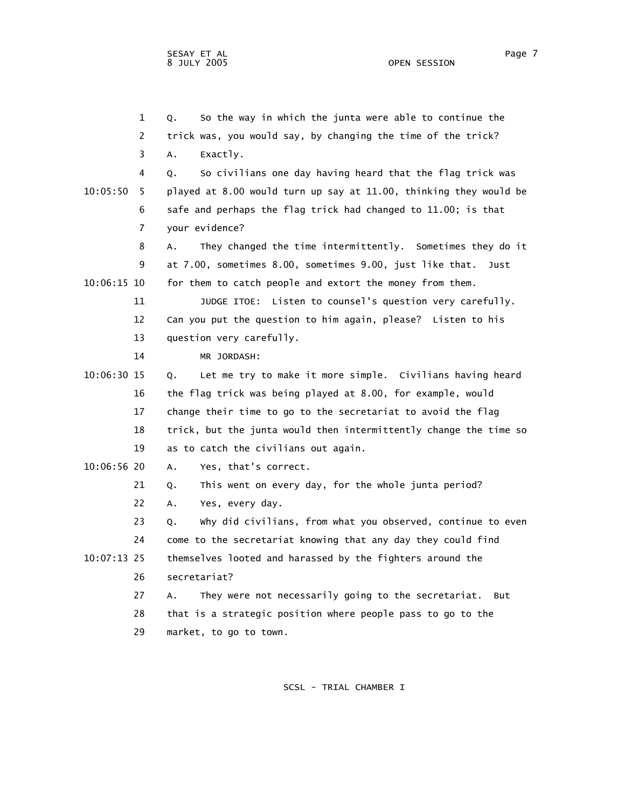1 Q. So the way in which the junta were able to continue the 2 trick was, you would say, by changing the time of the trick? 3 A. Exactly. 4 Q. So civilians one day having heard that the flag trick was 10:05:50 5 played at 8.00 would turn up say at 11.00, thinking they would be 6 safe and perhaps the flag trick had changed to 11.00; is that 7 your evidence? 8 A. They changed the time intermittently. Sometimes they do it 9 at 7.00, sometimes 8.00, sometimes 9.00, just like that. Just 10:06:15 10 for them to catch people and extort the money from them. 11 JUDGE ITOE: Listen to counsel's question very carefully. 12 Can you put the question to him again, please? Listen to his 13 question very carefully. 14 MR JORDASH: 10:06:30 15 Q. Let me try to make it more simple. Civilians having heard 16 the flag trick was being played at 8.00, for example, would 17 change their time to go to the secretariat to avoid the flag 18 trick, but the junta would then intermittently change the time so 19 as to catch the civilians out again. 10:06:56 20 A. Yes, that's correct. 21 Q. This went on every day, for the whole junta period? 22 A. Yes, every day. 23 Q. Why did civilians, from what you observed, continue to even 24 come to the secretariat knowing that any day they could find 10:07:13 25 themselves looted and harassed by the fighters around the 26 secretariat? 27 A. They were not necessarily going to the secretariat. But 28 that is a strategic position where people pass to go to the 29 market, to go to town.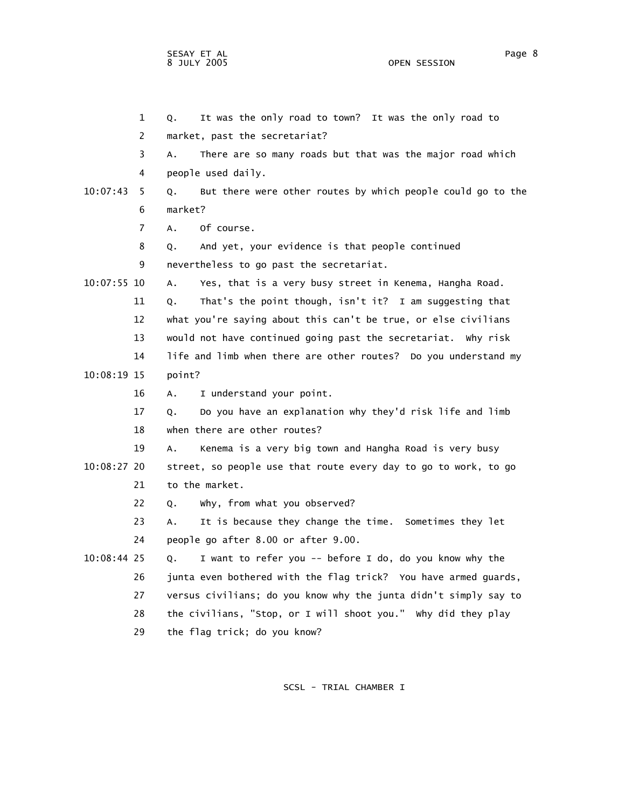OPEN SESSION

|             | $\mathbf 1$ | It was the only road to town? It was the only road to<br>Q.       |
|-------------|-------------|-------------------------------------------------------------------|
|             | 2           | market, past the secretariat?                                     |
|             | 3           | There are so many roads but that was the major road which<br>Α.   |
|             | 4           | people used daily.                                                |
| 10:07:43    | 5           | But there were other routes by which people could go to the<br>Q. |
|             | 6           | market?                                                           |
|             | 7           | A.<br>Of course.                                                  |
|             | 8           | And yet, your evidence is that people continued<br>Q.             |
|             | 9           | nevertheless to go past the secretariat.                          |
| 10:07:55 10 |             | Yes, that is a very busy street in Kenema, Hangha Road.<br>А.     |
|             | 11          | That's the point though, isn't it? I am suggesting that<br>Q.     |
|             | 12          | what you're saying about this can't be true, or else civilians    |
|             | 13          | would not have continued going past the secretariat. Why risk     |
|             | 14          | life and limb when there are other routes? Do you understand my   |
| 10:08:19 15 |             | point?                                                            |
|             | 16          | I understand your point.<br>Α.                                    |
|             | 17          | Do you have an explanation why they'd risk life and limb<br>0.    |
|             | 18          | when there are other routes?                                      |
|             | 19          | Kenema is a very big town and Hangha Road is very busy<br>Α.      |
| 10:08:27 20 |             | street, so people use that route every day to go to work, to go   |
|             | 21          | to the market.                                                    |
|             | 22          | why, from what you observed?<br>Q.                                |
|             | 23          | It is because they change the time. Sometimes they let<br>A.      |
|             | 24          | people go after 8.00 or after 9.00.                               |
| 10:08:44 25 |             | I want to refer you -- before I do, do you know why the<br>Q.     |
|             | 26          | junta even bothered with the flag trick? You have armed guards,   |
|             | 27          | versus civilians; do you know why the junta didn't simply say to  |
|             | 28          | the civilians, "Stop, or I will shoot you." Why did they play     |
|             |             |                                                                   |

29 the flag trick; do you know?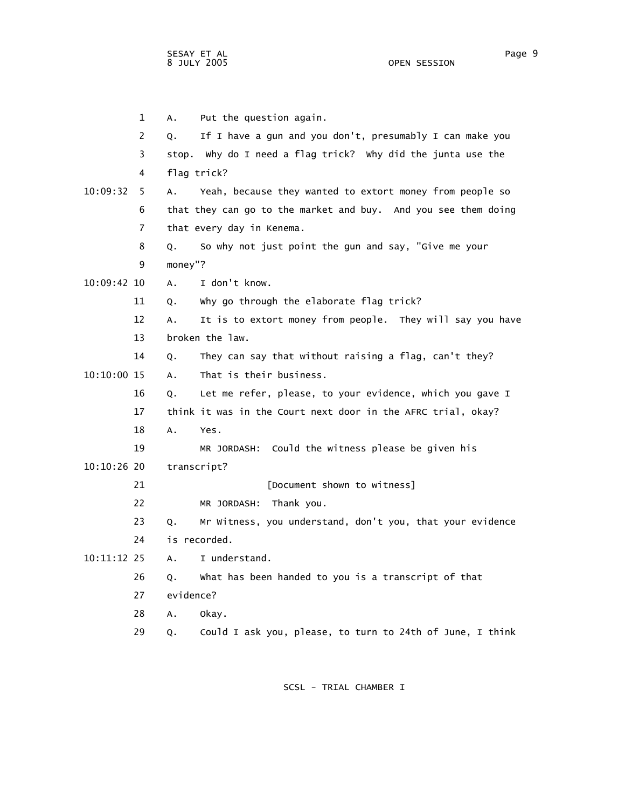1 A. Put the question again. 2 Q. If I have a gun and you don't, presumably I can make you 3 stop. Why do I need a flag trick? Why did the junta use the 4 flag trick? 10:09:32 5 A. Yeah, because they wanted to extort money from people so 6 that they can go to the market and buy. And you see them doing 7 that every day in Kenema. 8 Q. So why not just point the gun and say, "Give me your 9 money"? 10:09:42 10 A. I don't know. 11 Q. Why go through the elaborate flag trick? 12 A. It is to extort money from people. They will say you have 13 broken the law. 14 Q. They can say that without raising a flag, can't they? 10:10:00 15 A. That is their business. 16 Q. Let me refer, please, to your evidence, which you gave I 17 think it was in the Court next door in the AFRC trial, okay? 18 A. Yes. 19 MR JORDASH: Could the witness please be given his 10:10:26 20 transcript? 21 *Document shown to witness*] 22 MR JORDASH: Thank you. 23 Q. Mr Witness, you understand, don't you, that your evidence 24 is recorded. 10:11:12 25 A. I understand. 26 Q. What has been handed to you is a transcript of that 27 evidence? 28 A. Okay. 29 Q. Could I ask you, please, to turn to 24th of June, I think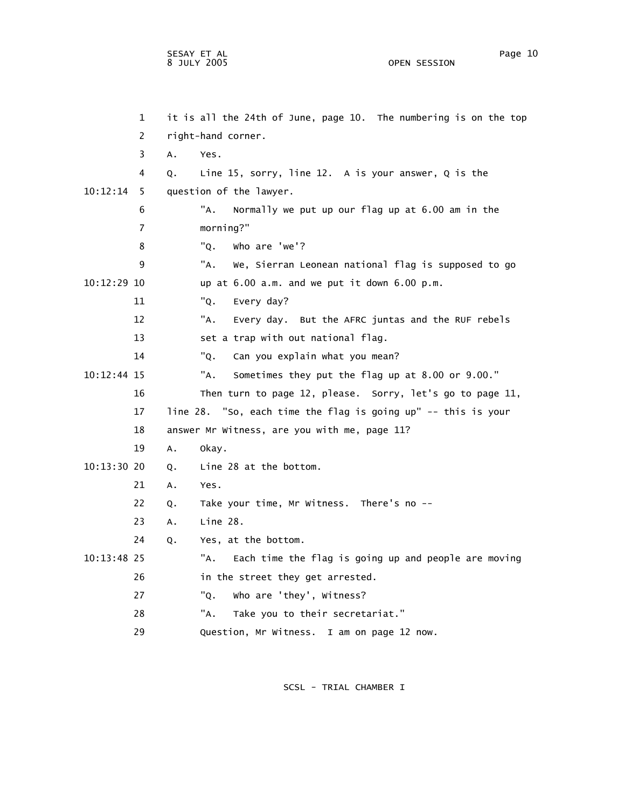|             | 1  |    | it is all the 24th of June, page 10. The numbering is on the top |
|-------------|----|----|------------------------------------------------------------------|
|             | 2  |    | right-hand corner.                                               |
|             | 3  | A. | Yes.                                                             |
|             | 4  | Q. | Line 15, sorry, line 12. A is your answer, $Q$ is the            |
| 10:12:14    | 5. |    | question of the lawyer.                                          |
|             | 6  |    | "A.<br>Normally we put up our flag up at 6.00 am in the          |
|             | 7  |    | morning?"                                                        |
|             | 8  |    | "Q.<br>who are 'we'?                                             |
|             | 9  |    | "A.<br>We, Sierran Leonean national flag is supposed to go       |
| 10:12:29 10 |    |    | up at 6.00 a.m. and we put it down 6.00 p.m.                     |
|             | 11 |    | "Q.<br>Every day?                                                |
|             | 12 |    | "А.<br>Every day. But the AFRC juntas and the RUF rebels         |
|             | 13 |    | set a trap with out national flag.                               |
|             | 14 |    | "Q.<br>Can you explain what you mean?                            |
| 10:12:44 15 |    |    | Sometimes they put the flag up at 8.00 or 9.00."<br>"A.          |
|             | 16 |    | Then turn to page 12, please. Sorry, let's go to page 11,        |
|             | 17 |    | line 28. "So, each time the flag is going up" -- this is your    |
|             | 18 |    | answer Mr Witness, are you with me, page 11?                     |
|             | 19 | Α. | okay.                                                            |
| 10:13:30:20 |    | Q. | Line 28 at the bottom.                                           |
|             | 21 | Α. | Yes.                                                             |
|             | 22 | Q. | Take your time, Mr Witness. There's no --                        |
|             | 23 | Α. | Line 28.                                                         |
|             | 24 | Q. | Yes, at the bottom.                                              |
| 10:13:48 25 |    |    | "A.<br>Each time the flag is going up and people are moving      |
|             | 26 |    | in the street they get arrested.                                 |
|             | 27 |    | "Q.<br>who are 'they', Witness?                                  |
|             | 28 |    | "A.<br>Take you to their secretariat."                           |
|             | 29 |    | Question, Mr Witness. I am on page 12 now.                       |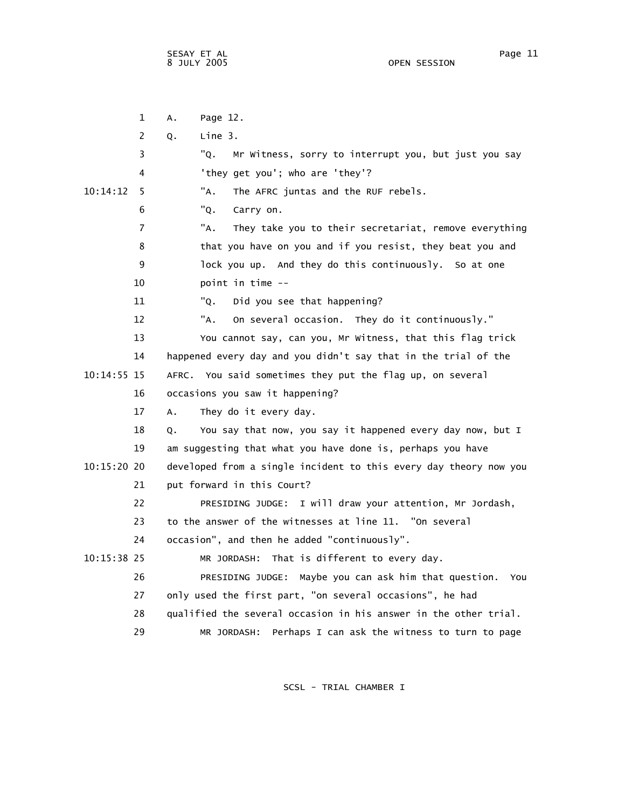1 A. Page 12. 2 Q. Line 3. 3 "Q. Mr Witness, sorry to interrupt you, but just you say 4 'they get you'; who are 'they'? 10:14:12 5 "A. The AFRC juntas and the RUF rebels. 6 "Q. Carry on. 7 "A. They take you to their secretariat, remove everything 8 that you have on you and if you resist, they beat you and 9 lock you up. And they do this continuously. So at one 10 point in time -- 11 "Q. Did you see that happening? 12 "A. On several occasion. They do it continuously." 13 You cannot say, can you, Mr Witness, that this flag trick 14 happened every day and you didn't say that in the trial of the 10:14:55 15 AFRC. You said sometimes they put the flag up, on several 16 occasions you saw it happening? 17 A. They do it every day. 18 Q. You say that now, you say it happened every day now, but I 19 am suggesting that what you have done is, perhaps you have 10:15:20 20 developed from a single incident to this every day theory now you 21 put forward in this Court? 22 PRESIDING JUDGE: I will draw your attention, Mr Jordash, 23 to the answer of the witnesses at line 11. "On several 24 occasion", and then he added "continuously". 10:15:38 25 MR JORDASH: That is different to every day. 26 PRESIDING JUDGE: Maybe you can ask him that question. You 27 only used the first part, "on several occasions", he had 28 qualified the several occasion in his answer in the other trial. 29 MR JORDASH: Perhaps I can ask the witness to turn to page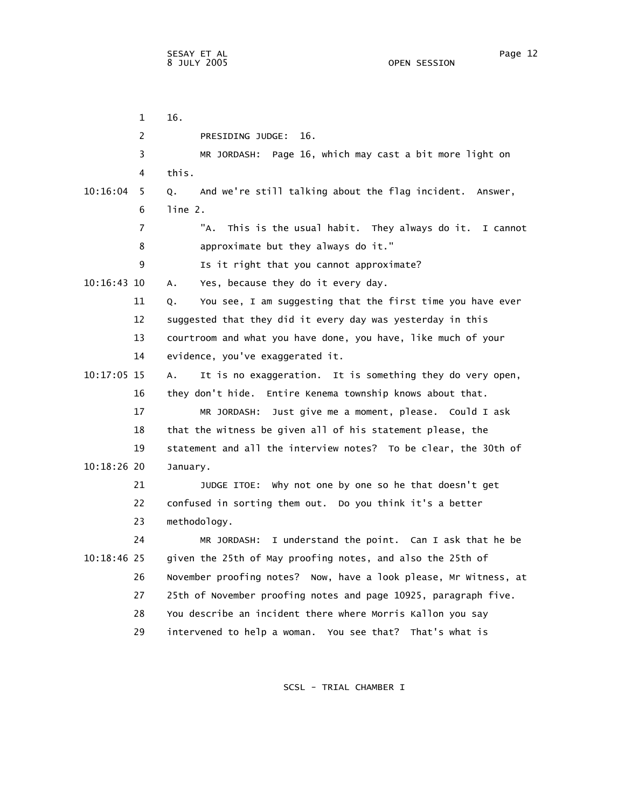1 16. 2 PRESIDING JUDGE: 16. 3 MR JORDASH: Page 16, which may cast a bit more light on 4 this. 10:16:04 5 Q. And we're still talking about the flag incident. Answer, 6 line 2. 7 "A. This is the usual habit. They always do it. I cannot 8 approximate but they always do it." 9 Is it right that you cannot approximate? 10:16:43 10 A. Yes, because they do it every day. 11 Q. You see, I am suggesting that the first time you have ever 12 suggested that they did it every day was yesterday in this 13 courtroom and what you have done, you have, like much of your 14 evidence, you've exaggerated it. 10:17:05 15 A. It is no exaggeration. It is something they do very open, 16 they don't hide. Entire Kenema township knows about that. 17 MR JORDASH: Just give me a moment, please. Could I ask 18 that the witness be given all of his statement please, the 19 statement and all the interview notes? To be clear, the 30th of 10:18:26 20 January. 21 JUDGE ITOE: Why not one by one so he that doesn't get 22 confused in sorting them out. Do you think it's a better 23 methodology. 24 MR JORDASH: I understand the point. Can I ask that he be 10:18:46 25 given the 25th of May proofing notes, and also the 25th of 26 November proofing notes? Now, have a look please, Mr Witness, at 27 25th of November proofing notes and page 10925, paragraph five. 28 You describe an incident there where Morris Kallon you say 29 intervened to help a woman. You see that? That's what is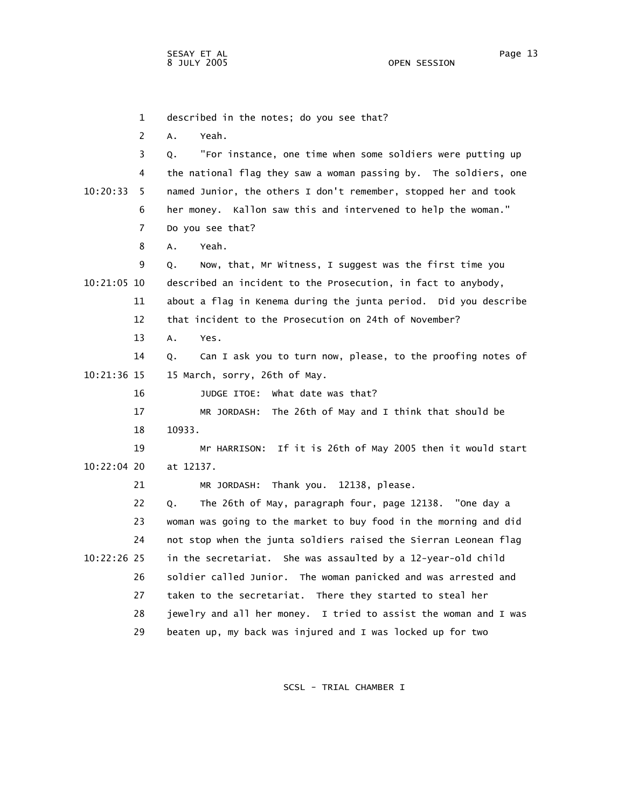1 described in the notes; do you see that? 2 A. Yeah. 3 Q. "For instance, one time when some soldiers were putting up 4 the national flag they saw a woman passing by. The soldiers, one 10:20:33 5 named Junior, the others I don't remember, stopped her and took 6 her money. Kallon saw this and intervened to help the woman." 7 Do you see that? 8 A. Yeah. 9 Q. Now, that, Mr Witness, I suggest was the first time you 10:21:05 10 described an incident to the Prosecution, in fact to anybody, 11 about a flag in Kenema during the junta period. Did you describe 12 that incident to the Prosecution on 24th of November? 13 A. Yes. 14 Q. Can I ask you to turn now, please, to the proofing notes of 10:21:36 15 15 March, sorry, 26th of May. 16 JUDGE ITOE: What date was that? 17 MR JORDASH: The 26th of May and I think that should be 18 10933. 19 Mr HARRISON: If it is 26th of May 2005 then it would start 10:22:04 20 at 12137. 21 MR JORDASH: Thank you. 12138, please. 22 Q. The 26th of May, paragraph four, page 12138. "One day a 23 woman was going to the market to buy food in the morning and did 24 not stop when the junta soldiers raised the Sierran Leonean flag 10:22:26 25 in the secretariat. She was assaulted by a 12-year-old child 26 soldier called Junior. The woman panicked and was arrested and 27 taken to the secretariat. There they started to steal her 28 jewelry and all her money. I tried to assist the woman and I was 29 beaten up, my back was injured and I was locked up for two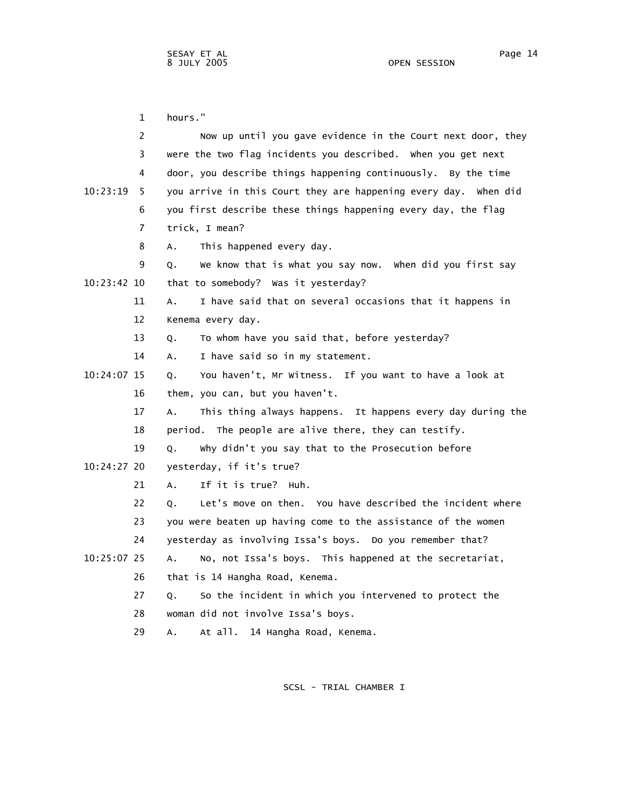1 hours." 2 Now up until you gave evidence in the Court next door, they 3 were the two flag incidents you described. When you get next 4 door, you describe things happening continuously. By the time 10:23:19 5 you arrive in this Court they are happening every day. When did 6 you first describe these things happening every day, the flag 7 trick, I mean? 8 A. This happened every day. 9 Q. We know that is what you say now. When did you first say 10:23:42 10 that to somebody? Was it yesterday? 11 A. I have said that on several occasions that it happens in 12 Kenema every day. 13 Q. To whom have you said that, before yesterday? 14 A. I have said so in my statement. 10:24:07 15 Q. You haven't, Mr Witness. If you want to have a look at 16 them, you can, but you haven't. 17 A. This thing always happens. It happens every day during the 18 period. The people are alive there, they can testify. 19 Q. Why didn't you say that to the Prosecution before 10:24:27 20 yesterday, if it's true? 21 A. If it is true? Huh. 22 Q. Let's move on then. You have described the incident where 23 you were beaten up having come to the assistance of the women 24 yesterday as involving Issa's boys. Do you remember that? 10:25:07 25 A. No, not Issa's boys. This happened at the secretariat, 26 that is 14 Hangha Road, Kenema. 27 Q. So the incident in which you intervened to protect the 28 woman did not involve Issa's boys. 29 A. At all. 14 Hangha Road, Kenema.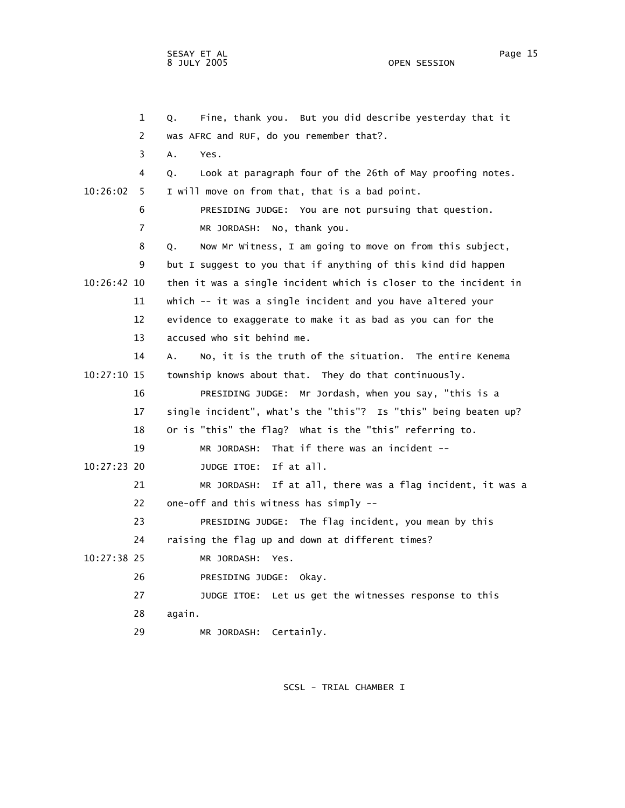1 Q. Fine, thank you. But you did describe yesterday that it 2 was AFRC and RUF, do you remember that?. 3 A. Yes. 4 Q. Look at paragraph four of the 26th of May proofing notes. 10:26:02 5 I will move on from that, that is a bad point. 6 PRESIDING JUDGE: You are not pursuing that question. 7 MR JORDASH: No, thank you. 8 Q. Now Mr Witness, I am going to move on from this subject, 9 but I suggest to you that if anything of this kind did happen 10:26:42 10 then it was a single incident which is closer to the incident in 11 which -- it was a single incident and you have altered your 12 evidence to exaggerate to make it as bad as you can for the 13 accused who sit behind me. 14 A. No, it is the truth of the situation. The entire Kenema 10:27:10 15 township knows about that. They do that continuously. 16 PRESIDING JUDGE: Mr Jordash, when you say, "this is a 17 single incident", what's the "this"? Is "this" being beaten up? 18 Or is "this" the flag? What is the "this" referring to. 19 MR JORDASH: That if there was an incident -- 10:27:23 20 JUDGE ITOE: If at all. 21 MR JORDASH: If at all, there was a flag incident, it was a 22 one-off and this witness has simply -- 23 PRESIDING JUDGE: The flag incident, you mean by this 24 raising the flag up and down at different times? 10:27:38 25 MR JORDASH: Yes. 26 PRESIDING JUDGE: Okay. 27 JUDGE ITOE: Let us get the witnesses response to this 28 again.

29 MR JORDASH: Certainly.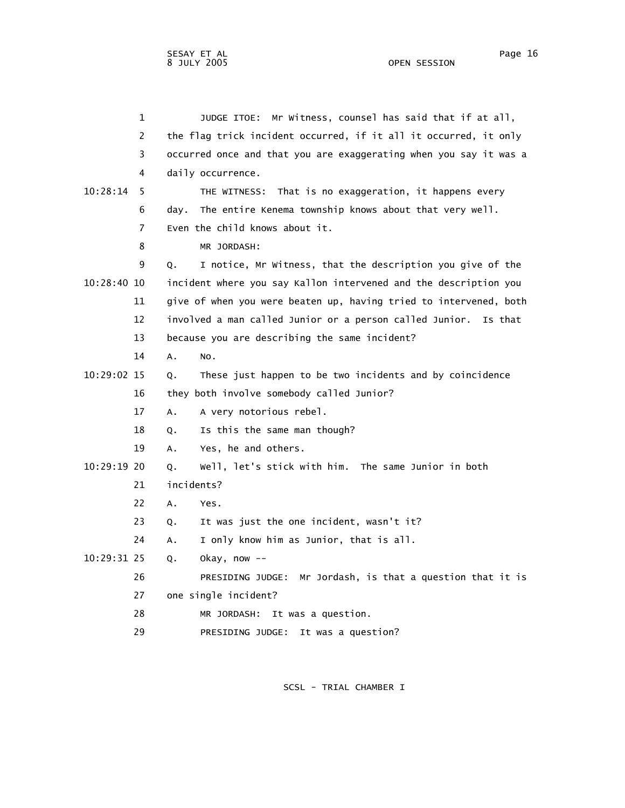2 the flag trick incident occurred, if it all it occurred, it only 3 occurred once and that you are exaggerating when you say it was a 4 daily occurrence. 10:28:14 5 THE WITNESS: That is no exaggeration, it happens every 6 day. The entire Kenema township knows about that very well. 7 Even the child knows about it. 8 MR JORDASH: 9 Q. I notice, Mr Witness, that the description you give of the 10:28:40 10 incident where you say Kallon intervened and the description you 11 give of when you were beaten up, having tried to intervened, both 12 involved a man called Junior or a person called Junior. Is that 13 because you are describing the same incident? 14 A. No. 10:29:02 15 Q. These just happen to be two incidents and by coincidence 16 they both involve somebody called Junior? 17 A. A very notorious rebel. 18 Q. Is this the same man though? 19 A. Yes, he and others. 10:29:19 20 Q. Well, let's stick with him. The same Junior in both 21 incidents? 22 A. Yes. 23 Q. It was just the one incident, wasn't it? 24 A. I only know him as Junior, that is all. 10:29:31 25 Q. Okay, now -- 26 PRESIDING JUDGE: Mr Jordash, is that a question that it is 27 one single incident? 28 MR JORDASH: It was a question.

29 PRESIDING JUDGE: It was a question?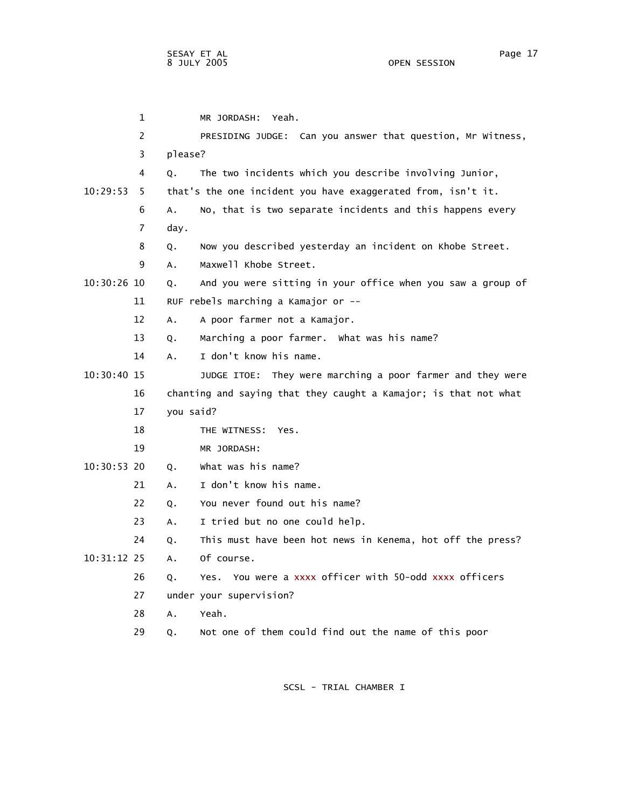1 MR JORDASH: Yeah. 2 PRESIDING JUDGE: Can you answer that question, Mr Witness, 3 please? 4 Q. The two incidents which you describe involving Junior, 10:29:53 5 that's the one incident you have exaggerated from, isn't it. 6 A. No, that is two separate incidents and this happens every 7 day. 8 Q. Now you described yesterday an incident on Khobe Street. 9 A. Maxwell Khobe Street. 10:30:26 10 Q. And you were sitting in your office when you saw a group of 11 RUF rebels marching a Kamajor or -- 12 A. A poor farmer not a Kamajor. 13 Q. Marching a poor farmer. What was his name? 14 A. I don't know his name. 10:30:40 15 JUDGE ITOE: They were marching a poor farmer and they were 16 chanting and saying that they caught a Kamajor; is that not what 17 you said? 18 THE WITNESS: Yes. 19 MR JORDASH: 10:30:53 20 Q. What was his name? 21 A. I don't know his name. 22 Q. You never found out his name? 23 A. I tried but no one could help. 24 Q. This must have been hot news in Kenema, hot off the press? 10:31:12 25 A. Of course. 26 Q. Yes. You were a xxxx officer with 50-odd xxxx officers 27 under your supervision? 28 A. Yeah. 29 Q. Not one of them could find out the name of this poor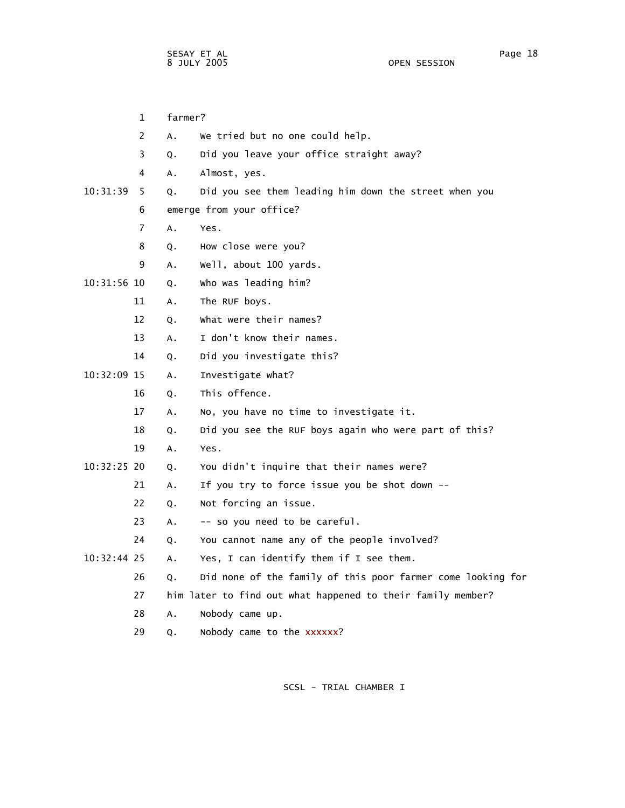1 farmer? 2 A. We tried but no one could help. 3 Q. Did you leave your office straight away? 4 A. Almost, yes. 10:31:39 5 Q. Did you see them leading him down the street when you 6 emerge from your office? 7 A. Yes. 8 Q. How close were you? 9 A. Well, about 100 yards. 10:31:56 10 Q. Who was leading him? 11 A. The RUF boys. 12 Q. What were their names? 13 A. I don't know their names. 14 Q. Did you investigate this? 10:32:09 15 A. Investigate what? 16 Q. This offence. 17 A. No, you have no time to investigate it. 18 Q. Did you see the RUF boys again who were part of this? 19 A. Yes. 10:32:25 20 Q. You didn't inquire that their names were? 21 A. If you try to force issue you be shot down -- 22 Q. Not forcing an issue. 23 A. -- so you need to be careful. 24 Q. You cannot name any of the people involved? 10:32:44 25 A. Yes, I can identify them if I see them. 26 Q. Did none of the family of this poor farmer come looking for 27 him later to find out what happened to their family member? 28 A. Nobody came up. 29 Q. Nobody came to the xxxxxx?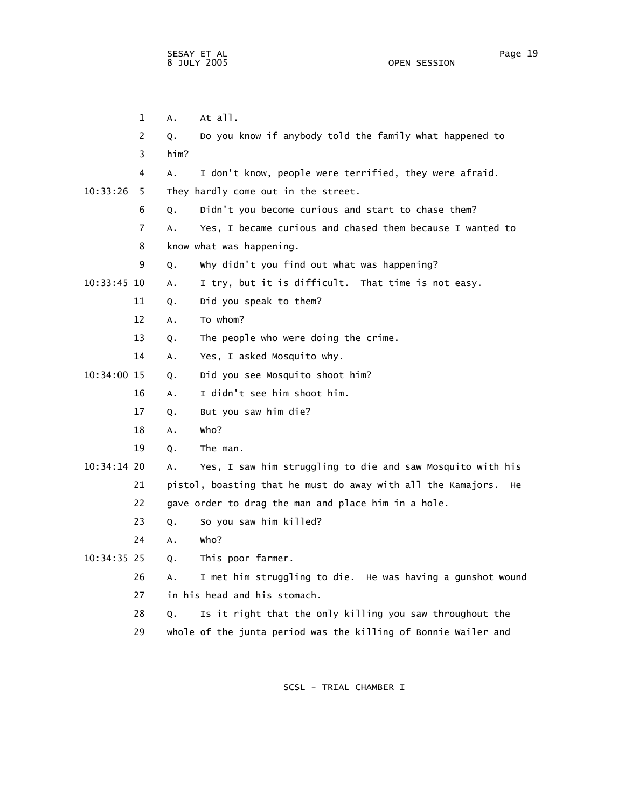1 A. At all. 2 Q. Do you know if anybody told the family what happened to 3 him? 4 A. I don't know, people were terrified, they were afraid. 10:33:26 5 They hardly come out in the street. 6 Q. Didn't you become curious and start to chase them? 7 A. Yes, I became curious and chased them because I wanted to 8 know what was happening. 9 Q. Why didn't you find out what was happening? 10:33:45 10 A. I try, but it is difficult. That time is not easy. 11 Q. Did you speak to them? 12 A. To whom? 13 Q. The people who were doing the crime. 14 A. Yes, I asked Mosquito why. 10:34:00 15 Q. Did you see Mosquito shoot him? 16 A. I didn't see him shoot him. 17 Q. But you saw him die? 18 A. Who? 19 Q. The man. 10:34:14 20 A. Yes, I saw him struggling to die and saw Mosquito with his 21 pistol, boasting that he must do away with all the Kamajors. He 22 gave order to drag the man and place him in a hole. 23 Q. So you saw him killed? 24 A. Who? 10:34:35 25 Q. This poor farmer. 26 A. I met him struggling to die. He was having a gunshot wound 27 in his head and his stomach. 28 Q. Is it right that the only killing you saw throughout the

SCSL - TRIAL CHAMBER I

29 whole of the junta period was the killing of Bonnie Wailer and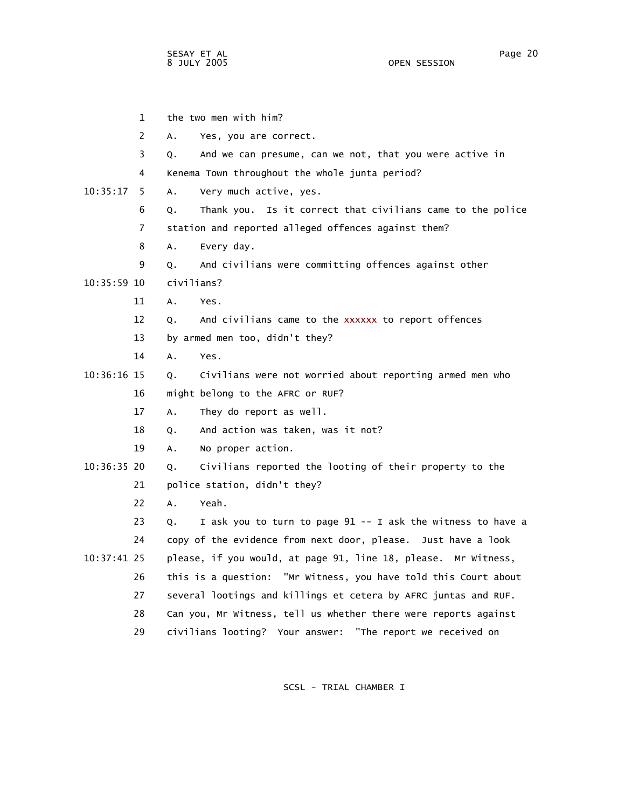| 1              | the two men with him?                                             |
|----------------|-------------------------------------------------------------------|
| 2              | Yes, you are correct.<br>А.                                       |
| 3              | And we can presume, can we not, that you were active in<br>Q.     |
| 4              | Kenema Town throughout the whole junta period?                    |
| 10:35:17<br>5. | Very much active, yes.<br>Α.                                      |
| 6              | Thank you. Is it correct that civilians came to the police<br>Q.  |
| 7              | station and reported alleged offences against them?               |
| 8              | Α.<br>Every day.                                                  |
| 9              | And civilians were committing offences against other<br>Q.        |
| 10:35:59 10    | civilians?                                                        |
| 11             | Α.<br>Yes.                                                        |
| 12             | And civilians came to the xxxxxx to report offences<br>Q.         |
| 13             | by armed men too, didn't they?                                    |
| 14             | Α.<br>Yes.                                                        |
| $10:36:16$ 15  | Civilians were not worried about reporting armed men who<br>Q.    |
| 16             | might belong to the AFRC or RUF?                                  |
| 17             | They do report as well.<br>Α.                                     |
| 18             | And action was taken, was it not?<br>Q.                           |
| 19             | No proper action.<br>Α.                                           |
| 10:36:35 20    | Civilians reported the looting of their property to the<br>Q.     |
| 21             | police station, didn't they?                                      |
| 22             | $A_{\bullet}$<br>Yeah.                                            |
| 23             | I ask you to turn to page 91 -- I ask the witness to have a<br>Q. |
| 24             | copy of the evidence from next door, please. Just have a look     |
| 10:37:41 25    | please, if you would, at page 91, line 18, please. Mr Witness,    |
| 26             | this is a question: "Mr Witness, you have told this Court about   |
| 27             | several lootings and killings et cetera by AFRC juntas and RUF.   |
| 28             | Can you, Mr Witness, tell us whether there were reports against   |
| 29             | civilians looting? Your answer: "The report we received on        |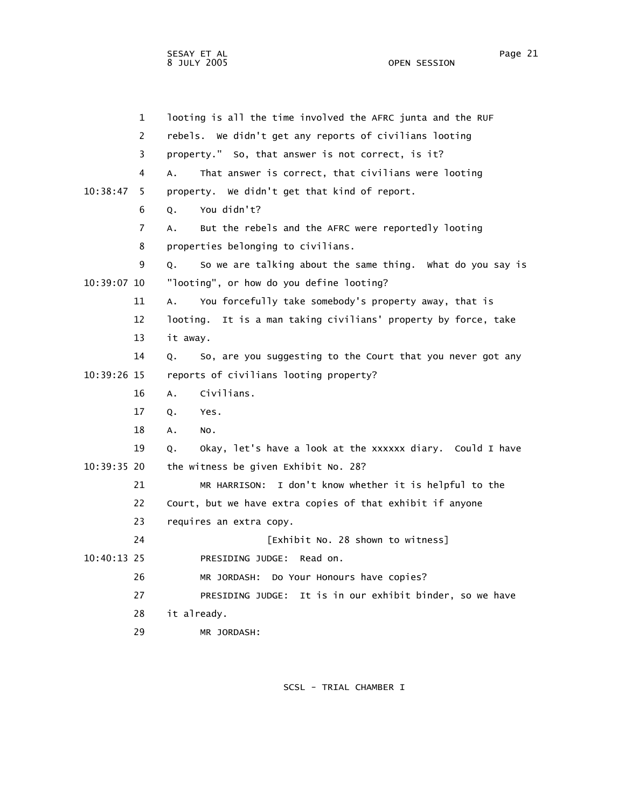1 looting is all the time involved the AFRC junta and the RUF 2 rebels. We didn't get any reports of civilians looting 3 property." So, that answer is not correct, is it? 4 A. That answer is correct, that civilians were looting 10:38:47 5 property. We didn't get that kind of report. 6 Q. You didn't? 7 A. But the rebels and the AFRC were reportedly looting 8 properties belonging to civilians. 9 Q. So we are talking about the same thing. What do you say is 10:39:07 10 "looting", or how do you define looting? 11 A. You forcefully take somebody's property away, that is 12 looting. It is a man taking civilians' property by force, take 13 it away. 14 Q. So, are you suggesting to the Court that you never got any 10:39:26 15 reports of civilians looting property? 16 A. Civilians. 17 Q. Yes. 18 A. No. 19 Q. Okay, let's have a look at the xxxxxx diary. Could I have 10:39:35 20 the witness be given Exhibit No. 28? 21 MR HARRISON: I don't know whether it is helpful to the 22 Court, but we have extra copies of that exhibit if anyone 23 requires an extra copy. 24 [Exhibit No. 28 shown to witness] 10:40:13 25 PRESIDING JUDGE: Read on. 26 MR JORDASH: Do Your Honours have copies? 27 PRESIDING JUDGE: It is in our exhibit binder, so we have 28 it already.

29 MR JORDASH: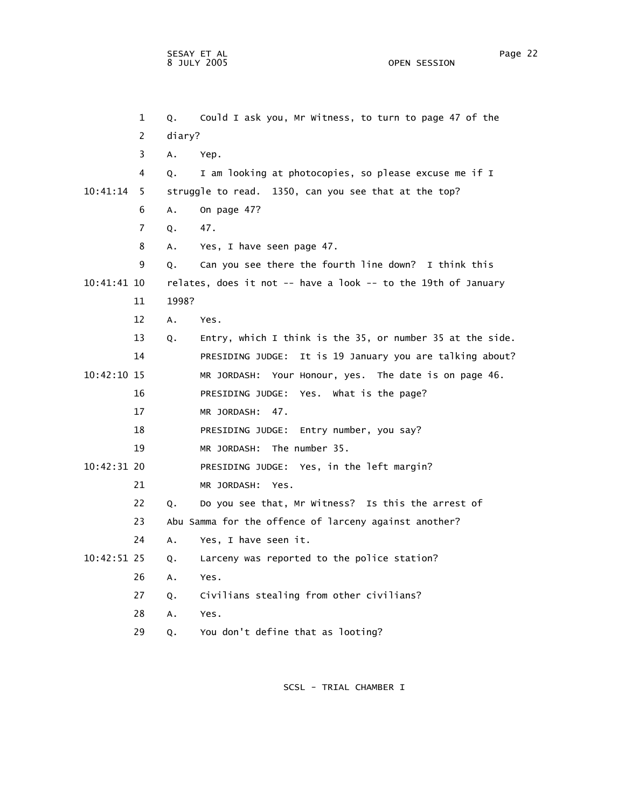1 Q. Could I ask you, Mr Witness, to turn to page 47 of the 2 diary? 3 A. Yep. 4 Q. I am looking at photocopies, so please excuse me if I 10:41:14 5 struggle to read. 1350, can you see that at the top? 6 A. On page 47? 7 Q. 47. 8 A. Yes, I have seen page 47. 9 Q. Can you see there the fourth line down? I think this 10:41:41 10 relates, does it not -- have a look -- to the 19th of January 11 1998? 12 A. Yes. 13 Q. Entry, which I think is the 35, or number 35 at the side. 14 PRESIDING JUDGE: It is 19 January you are talking about? 10:42:10 15 MR JORDASH: Your Honour, yes. The date is on page 46. 16 PRESIDING JUDGE: Yes. What is the page? 17 MR JORDASH: 47. 18 PRESIDING JUDGE: Entry number, you say? 19 MR JORDASH: The number 35. 10:42:31 20 PRESIDING JUDGE: Yes, in the left margin? 21 MR JORDASH: Yes. 22 Q. Do you see that, Mr Witness? Is this the arrest of 23 Abu Samma for the offence of larceny against another? 24 A. Yes, I have seen it. 10:42:51 25 Q. Larceny was reported to the police station? 26 A. Yes. 27 Q. Civilians stealing from other civilians? 28 A. Yes. 29 Q. You don't define that as looting?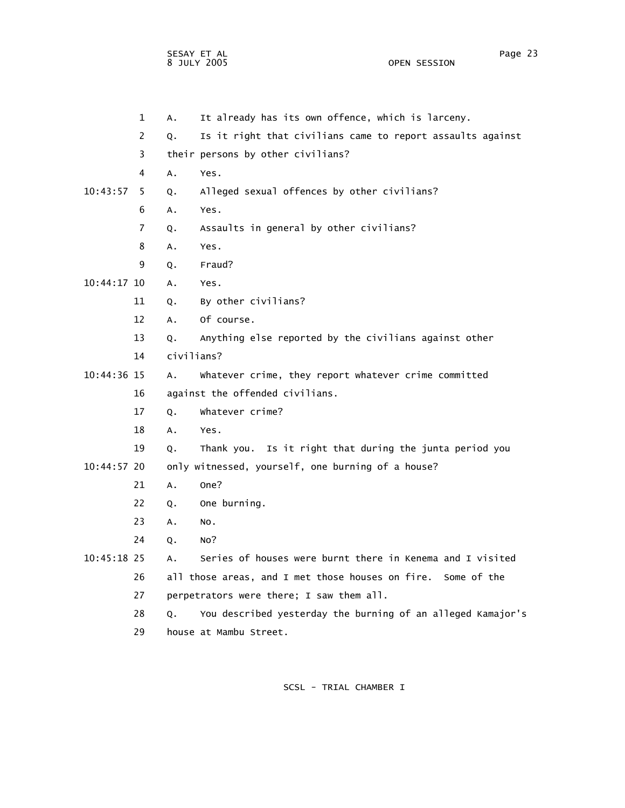OPEN SESSION

|               | 1              | Α.            | It already has its own offence, which is larceny.            |
|---------------|----------------|---------------|--------------------------------------------------------------|
|               | 2              | Q.            | Is it right that civilians came to report assaults against   |
|               | 3              |               | their persons by other civilians?                            |
|               | 4              | Α.            | Yes.                                                         |
| 10:43:57      | 5              | Q.            | Alleged sexual offences by other civilians?                  |
|               | 6              | А.            | Yes.                                                         |
|               | $\overline{7}$ | Q.            | Assaults in general by other civilians?                      |
|               | 8              | А.            | Yes.                                                         |
|               | 9              | Q.            | Fraud?                                                       |
| 10:44:17 10   |                | А.            | Yes.                                                         |
|               | 11             | Q.            | By other civilians?                                          |
|               | 12             | $A_{\bullet}$ | Of course.                                                   |
|               | 13             | Q.            | Anything else reported by the civilians against other        |
|               | 14             | civilians?    |                                                              |
| 10:44:36 15   |                | Α.            | Whatever crime, they report whatever crime committed         |
|               | 16             |               | against the offended civilians.                              |
|               | 17             | Q.            | whatever crime?                                              |
|               | 18             | Α.            | Yes.                                                         |
|               | 19             | Q.            | Thank you. Is it right that during the junta period you      |
| $10:44:57$ 20 |                |               | only witnessed, yourself, one burning of a house?            |
|               | 21             | A.            | One?                                                         |
|               | 22             | Q.            | One burning.                                                 |
|               | 23             | A.            | NO.                                                          |
|               | 24             | Q.            | No?                                                          |
| $10:45:18$ 25 |                | А.            | Series of houses were burnt there in Kenema and I visited    |
|               | 26             |               | all those areas, and I met those houses on fire. Some of the |
|               | 27             |               | perpetrators were there; I saw them all.                     |
|               | 28             | О.            | You described yesterday the burning of an alleged Kamajor's  |
|               | 29             |               | house at Mambu Street.                                       |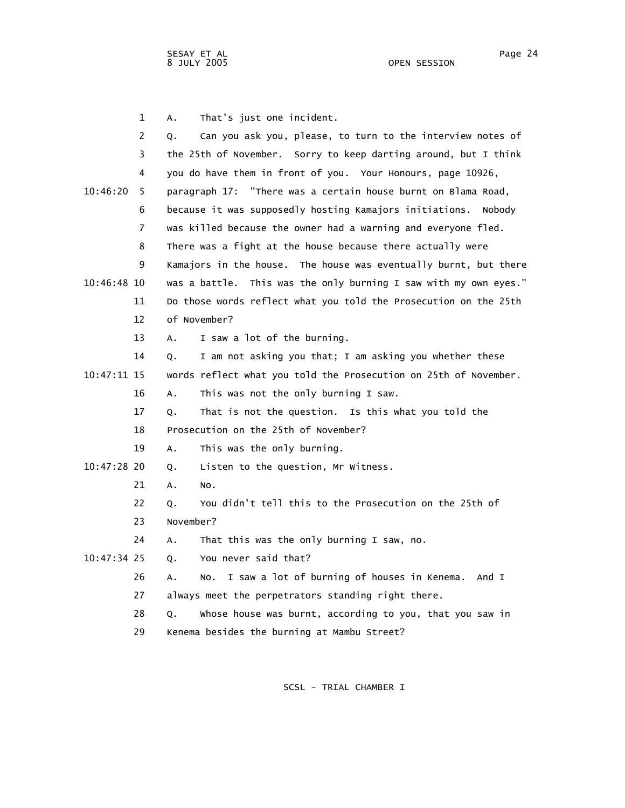1 A. That's just one incident. 2 Q. Can you ask you, please, to turn to the interview notes of 3 the 25th of November. Sorry to keep darting around, but I think 4 you do have them in front of you. Your Honours, page 10926, 10:46:20 5 paragraph 17: "There was a certain house burnt on Blama Road, 6 because it was supposedly hosting Kamajors initiations. Nobody 7 was killed because the owner had a warning and everyone fled. 8 There was a fight at the house because there actually were 9 Kamajors in the house. The house was eventually burnt, but there 10:46:48 10 was a battle. This was the only burning I saw with my own eyes." 11 Do those words reflect what you told the Prosecution on the 25th 12 of November? 13 A. I saw a lot of the burning. 14 Q. I am not asking you that; I am asking you whether these 10:47:11 15 words reflect what you told the Prosecution on 25th of November. 16 A. This was not the only burning I saw. 17 Q. That is not the question. Is this what you told the 18 Prosecution on the 25th of November? 19 A. This was the only burning. 10:47:28 20 Q. Listen to the question, Mr Witness. 21 A. No. 22 Q. You didn't tell this to the Prosecution on the 25th of 23 November? 24 A. That this was the only burning I saw, no. 10:47:34 25 Q. You never said that? 26 A. No. I saw a lot of burning of houses in Kenema. And I 27 always meet the perpetrators standing right there. 28 Q. Whose house was burnt, according to you, that you saw in 29 Kenema besides the burning at Mambu Street?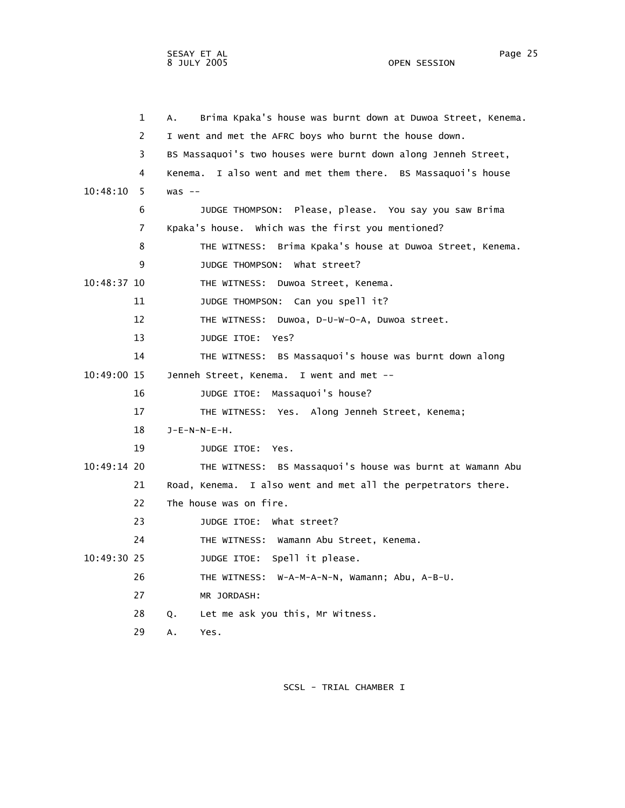OPEN SESSION

|             | $\mathbf{1}$   | Brima Kpaka's house was burnt down at Duwoa Street, Kenema.<br>А. |
|-------------|----------------|-------------------------------------------------------------------|
|             | 2              | I went and met the AFRC boys who burnt the house down.            |
|             | 3              | BS Massaquoi's two houses were burnt down along Jenneh Street,    |
|             | 4              | Kenema. I also went and met them there. BS Massaquoi's house      |
| 10:48:10    | 5.             | $was --$                                                          |
|             | 6              | JUDGE THOMPSON: Please, please. You say you saw Brima             |
|             | $\overline{7}$ | Kpaka's house. Which was the first you mentioned?                 |
|             | 8              | THE WITNESS: Brima Kpaka's house at Duwoa Street, Kenema.         |
|             | 9              | JUDGE THOMPSON:<br>what street?                                   |
| 10:48:37 10 |                | THE WITNESS: Duwoa Street, Kenema.                                |
|             | 11             | JUDGE THOMPSON: Can you spell it?                                 |
|             | 12             | THE WITNESS: Duwoa, D-U-W-O-A, Duwoa street.                      |
|             | 13             | JUDGE ITOE: Yes?                                                  |
|             | 14             | THE WITNESS: BS Massaquoi's house was burnt down along            |
| 10:49:00 15 |                | Jenneh Street, Kenema. I went and met --                          |
|             | 16             | JUDGE ITOE: Massaquoi's house?                                    |
|             | 17             | THE WITNESS: Yes. Along Jenneh Street, Kenema;                    |
|             | 18             | $J-E-N-N-E-H$ .                                                   |
|             | 19             | JUDGE ITOE: Yes.                                                  |
| 10:49:14 20 |                | THE WITNESS: BS Massaquoi's house was burnt at Wamann Abu         |
|             | 21             | Road, Kenema. I also went and met all the perpetrators there.     |
|             | 22             | The house was on fire.                                            |
|             | 23             | JUDGE ITOE: What street?                                          |
|             | 24             | THE WITNESS: Wamann Abu Street, Kenema.                           |
| 10:49:30 25 |                | JUDGE ITOE: Spell it please.                                      |
|             | 26             | THE WITNESS: W-A-M-A-N-N, Wamann; Abu, A-B-U.                     |
|             | 27             | MR JORDASH:                                                       |
|             | 28             | Let me ask you this, Mr Witness.<br>Q.                            |
|             | 29             | Yes.<br>А.                                                        |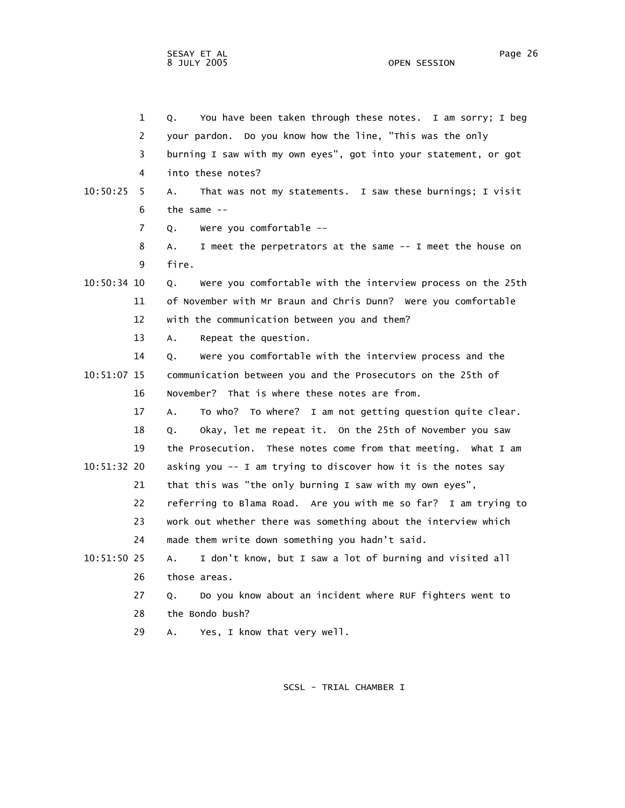|             | $\mathbf 1$ | You have been taken through these notes. I am sorry; I beg<br>Q.          |
|-------------|-------------|---------------------------------------------------------------------------|
|             | 2           | your pardon. Do you know how the line, "This was the only                 |
|             | 3           | burning I saw with my own eyes", got into your statement, or got          |
|             | 4           | into these notes?                                                         |
| 10:50:25    | 5           | That was not my statements. I saw these burnings; I visit<br>А.           |
|             | 6           | the same $-$                                                              |
|             | 7           | Were you comfortable --<br>Q.                                             |
|             | 8           | I meet the perpetrators at the same -- I meet the house on<br>А.          |
|             | 9           | fire.                                                                     |
| 10:50:34 10 |             | Were you comfortable with the interview process on the 25th<br>Q.         |
|             | 11          | of November with Mr Braun and Chris Dunn? Were you comfortable            |
|             | 12          | with the communication between you and them?                              |
|             | 13          | Repeat the question.<br>$A_{\bullet}$                                     |
|             | 14          | Were you comfortable with the interview process and the<br>Q.             |
| 10:51:07 15 |             | communication between you and the Prosecutors on the 25th of              |
|             | 16          | November? That is where these notes are from.                             |
|             | 17          | To who? To where? I am not getting question quite clear.<br>$A_{\bullet}$ |
|             | 18          | Okay, let me repeat it. On the 25th of November you saw<br>Q.             |
|             | 19          | the Prosecution. These notes come from that meeting. What I am            |
| 10:51:32 20 |             | asking you -- I am trying to discover how it is the notes say             |
|             | 21          | that this was "the only burning I saw with my own eyes",                  |
|             | 22          | referring to Blama Road. Are you with me so far? I am trying to           |
|             | 23          | work out whether there was something about the interview which            |
|             | 24          | made them write down something you hadn't said.                           |
| 10:51:50 25 |             | I don't know, but I saw a lot of burning and visited all<br>A.            |
|             | 26          | those areas.                                                              |
|             | 27          | Do you know about an incident where RUF fighters went to<br>Q.            |
|             | 28          | the Bondo bush?                                                           |
|             | 29          | Yes, I know that very well.<br>А.                                         |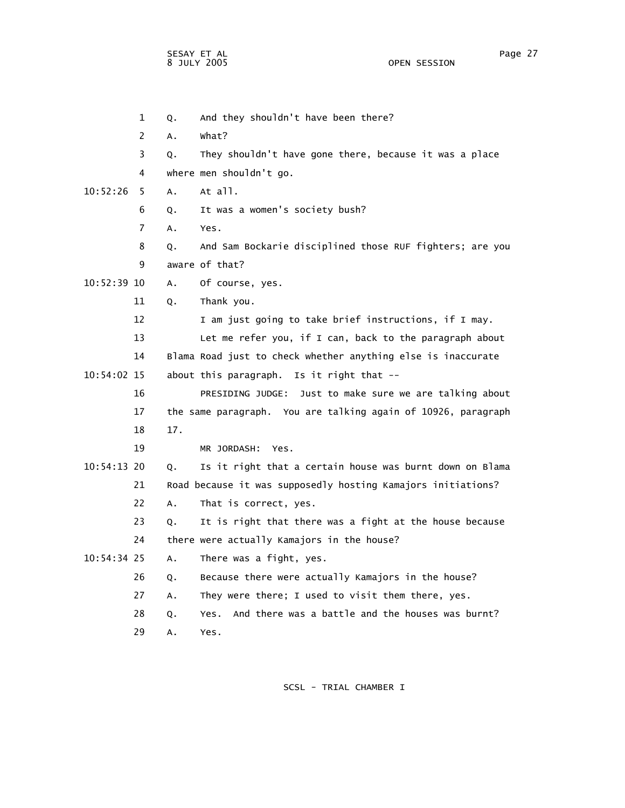OPEN SESSION

 1 Q. And they shouldn't have been there? 2 A. What? 3 Q. They shouldn't have gone there, because it was a place 4 where men shouldn't go. 10:52:26 5 A. At all. 6 Q. It was a women's society bush? 7 A. Yes. 8 Q. And Sam Bockarie disciplined those RUF fighters; are you 9 aware of that? 10:52:39 10 A. Of course, yes. 11 Q. Thank you. 12 I am just going to take brief instructions, if I may. 13 Let me refer you, if I can, back to the paragraph about 14 Blama Road just to check whether anything else is inaccurate 10:54:02 15 about this paragraph. Is it right that -- 16 PRESIDING JUDGE: Just to make sure we are talking about 17 the same paragraph. You are talking again of 10926, paragraph 18 17. 19 MR JORDASH: Yes. 10:54:13 20 Q. Is it right that a certain house was burnt down on Blama 21 Road because it was supposedly hosting Kamajors initiations? 22 A. That is correct, yes. 23 Q. It is right that there was a fight at the house because 24 there were actually Kamajors in the house? 10:54:34 25 A. There was a fight, yes. 26 Q. Because there were actually Kamajors in the house? 27 A. They were there; I used to visit them there, yes. 28 Q. Yes. And there was a battle and the houses was burnt? 29 A. Yes.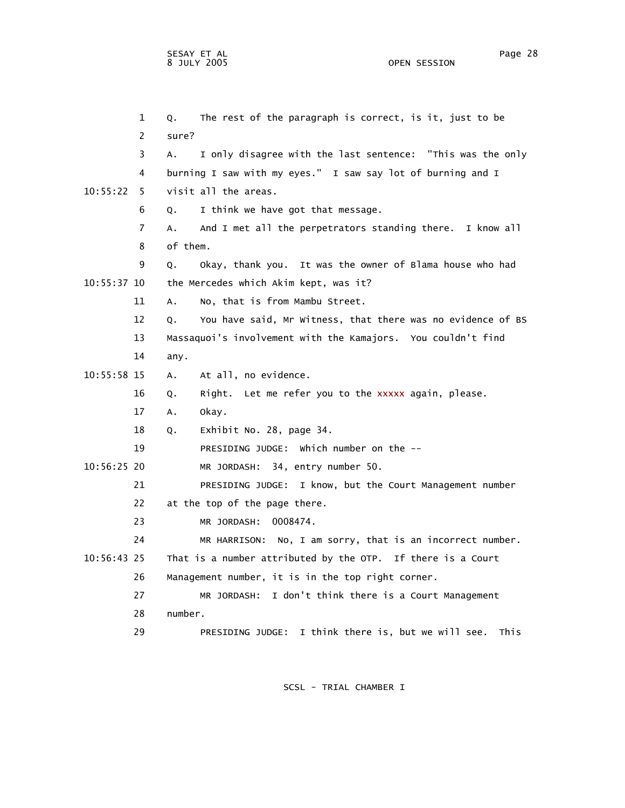1 Q. The rest of the paragraph is correct, is it, just to be 2 sure? 3 A. I only disagree with the last sentence: "This was the only 4 burning I saw with my eyes." I saw say lot of burning and I 10:55:22 5 visit all the areas. 6 Q. I think we have got that message. 7 A. And I met all the perpetrators standing there. I know all 8 of them. 9 Q. Okay, thank you. It was the owner of Blama house who had 10:55:37 10 the Mercedes which Akim kept, was it? 11 A. No, that is from Mambu Street. 12 Q. You have said, Mr Witness, that there was no evidence of BS 13 Massaquoi's involvement with the Kamajors. You couldn't find 14 any. 10:55:58 15 A. At all, no evidence. 16 Q. Right. Let me refer you to the xxxxx again, please. 17 A. Okay. 18 Q. Exhibit No. 28, page 34. 19 PRESIDING JUDGE: Which number on the -- 10:56:25 20 MR JORDASH: 34, entry number 50. 21 PRESIDING JUDGE: I know, but the Court Management number 22 at the top of the page there. 23 MR JORDASH: 0008474. 24 MR HARRISON: No, I am sorry, that is an incorrect number. 10:56:43 25 That is a number attributed by the OTP. If there is a Court 26 Management number, it is in the top right corner. 27 MR JORDASH: I don't think there is a Court Management 28 number. 29 PRESIDING JUDGE: I think there is, but we will see. This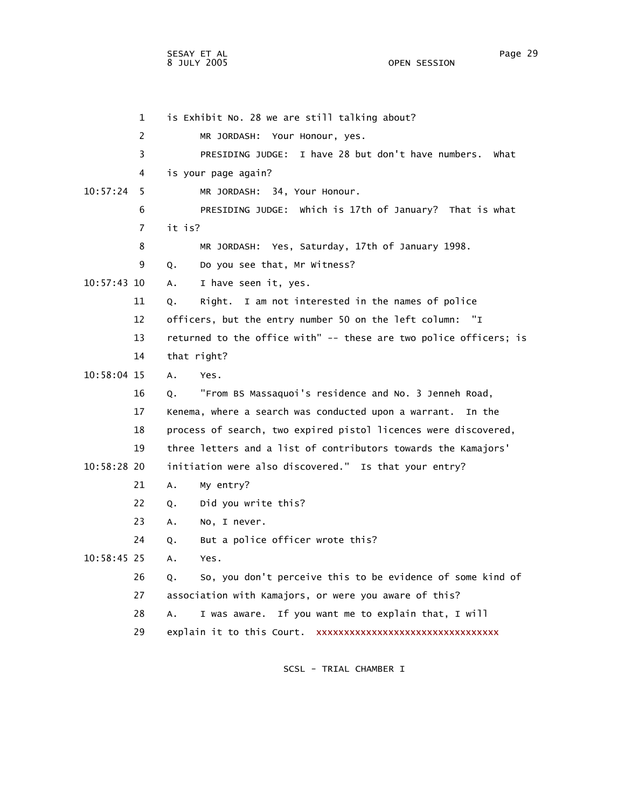1 is Exhibit No. 28 we are still talking about? 2 MR JORDASH: Your Honour, yes. 3 PRESIDING JUDGE: I have 28 but don't have numbers. What 4 is your page again? 10:57:24 5 MR JORDASH: 34, Your Honour. 6 PRESIDING JUDGE: Which is 17th of January? That is what 7 it is? 8 MR JORDASH: Yes, Saturday, 17th of January 1998. 9 Q. Do you see that, Mr Witness? 10:57:43 10 A. I have seen it, yes. 11 Q. Right. I am not interested in the names of police 12 officers, but the entry number 50 on the left column: "I 13 returned to the office with" -- these are two police officers; is 14 that right? 10:58:04 15 A. Yes. 16 Q. "From BS Massaquoi's residence and No. 3 Jenneh Road, 17 Kenema, where a search was conducted upon a warrant. In the 18 process of search, two expired pistol licences were discovered, 19 three letters and a list of contributors towards the Kamajors' 10:58:28 20 initiation were also discovered." Is that your entry? 21 A. My entry? 22 Q. Did you write this? 23 A. No, I never. 24 Q. But a police officer wrote this? 10:58:45 25 A. Yes. 26 Q. So, you don't perceive this to be evidence of some kind of 27 association with Kamajors, or were you aware of this? 28 A. I was aware. If you want me to explain that, I will 29 explain it to this Court. xxxxxxxxxxxxxxxxxxxxxxxxxxxxxxxxx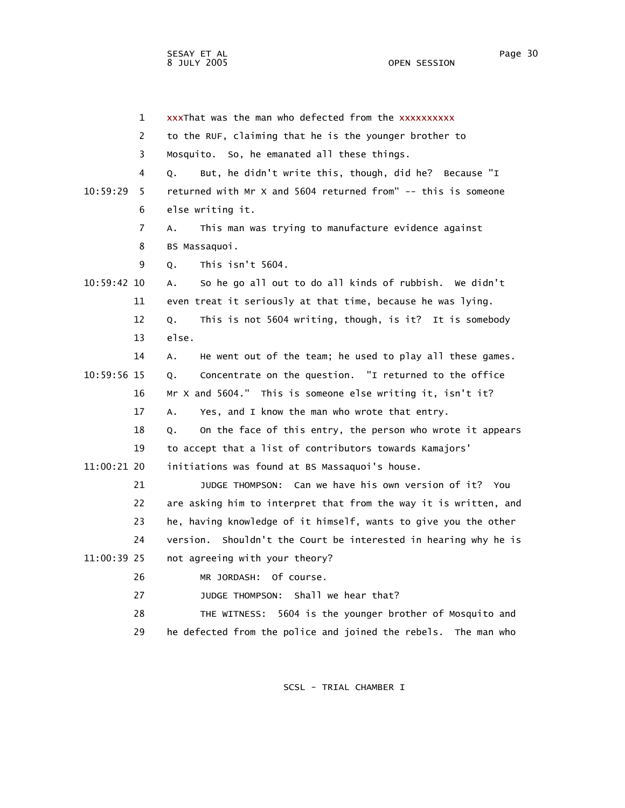1 xxxThat was the man who defected from the xxxxxxxxxx 2 to the RUF, claiming that he is the younger brother to 3 Mosquito. So, he emanated all these things. 4 Q. But, he didn't write this, though, did he? Because "I 10:59:29 5 returned with Mr X and 5604 returned from" -- this is someone 6 else writing it. 7 A. This man was trying to manufacture evidence against 8 BS Massaquoi. 9 Q. This isn't 5604. 10:59:42 10 A. So he go all out to do all kinds of rubbish. We didn't 11 even treat it seriously at that time, because he was lying. 12 Q. This is not 5604 writing, though, is it? It is somebody 13 else. 14 A. He went out of the team; he used to play all these games. 10:59:56 15 Q. Concentrate on the question. "I returned to the office 16 Mr X and 5604." This is someone else writing it, isn't it? 17 A. Yes, and I know the man who wrote that entry. 18 Q. On the face of this entry, the person who wrote it appears 19 to accept that a list of contributors towards Kamajors' 11:00:21 20 initiations was found at BS Massaquoi's house. 21 JUDGE THOMPSON: Can we have his own version of it? You 22 are asking him to interpret that from the way it is written, and 23 he, having knowledge of it himself, wants to give you the other 24 version. Shouldn't the Court be interested in hearing why he is 11:00:39 25 not agreeing with your theory? 26 MR JORDASH: Of course. 27 **JUDGE THOMPSON:** Shall we hear that? 28 THE WITNESS: 5604 is the younger brother of Mosquito and 29 he defected from the police and joined the rebels. The man who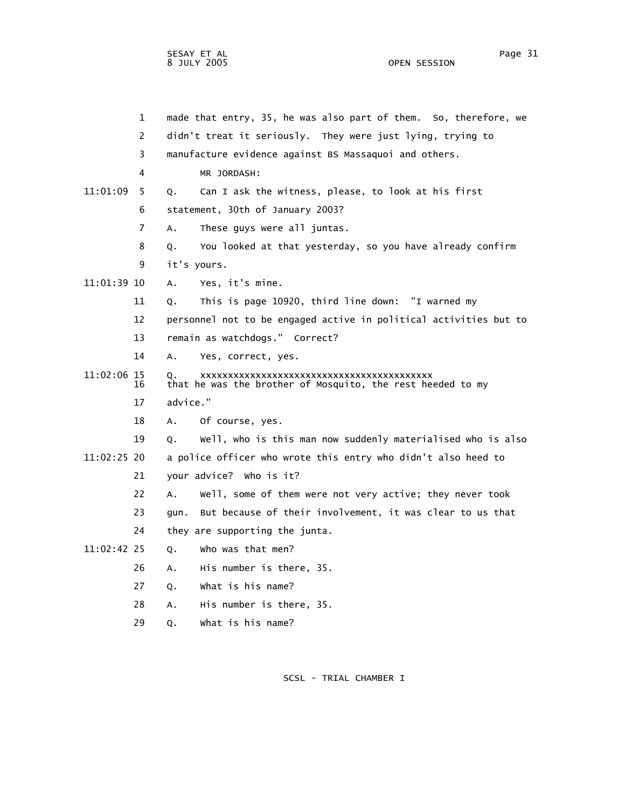| $\mathbf 1$       | made that entry, 35, he was also part of them. So, therefore, we  |
|-------------------|-------------------------------------------------------------------|
| 2                 | didn't treat it seriously. They were just lying, trying to        |
| 3                 | manufacture evidence against BS Massaquoi and others.             |
| 4                 | MR JORDASH:                                                       |
| 11:01:09<br>5.    | Can I ask the witness, please, to look at his first<br>Q.         |
| 6                 | statement, 30th of January 2003?                                  |
| 7                 | These guys were all juntas.<br>Α.                                 |
| 8                 | You looked at that yesterday, so you have already confirm<br>Q.   |
| 9                 | it's yours.                                                       |
| 11:01:39 10       | Yes, it's mine.<br>А.                                             |
| 11                | This is page 10920, third line down: "I warned my<br>Q.           |
| 12                | personnel not to be engaged active in political activities but to |
| 13                | remain as watchdogs." Correct?                                    |
| 14                | Α.<br>Yes, correct, yes.                                          |
| 11:02:06 15<br>16 | Q.<br>that he was the brother of Mosquito, the rest heeded to my  |
| 17                | advice."                                                          |
| 18                | Of course, yes.<br>А.                                             |
| 19                | Well, who is this man now suddenly materialised who is also<br>Q. |
| 11:02:25 20       | a police officer who wrote this entry who didn't also heed to     |
| 21                | your advice? Who is it?                                           |
| 22                | Well, some of them were not very active; they never took<br>А.    |
| 23                | But because of their involvement, it was clear to us that<br>qun. |
| 24                | they are supporting the junta.                                    |
| 11:02:42 25       | who was that men?<br>Q.                                           |
| 26                | His number is there, 35.<br>А.                                    |
| 27                | What is his name?<br>Q.                                           |
| 28                | His number is there, 35.<br>А.                                    |

29 Q. What is his name?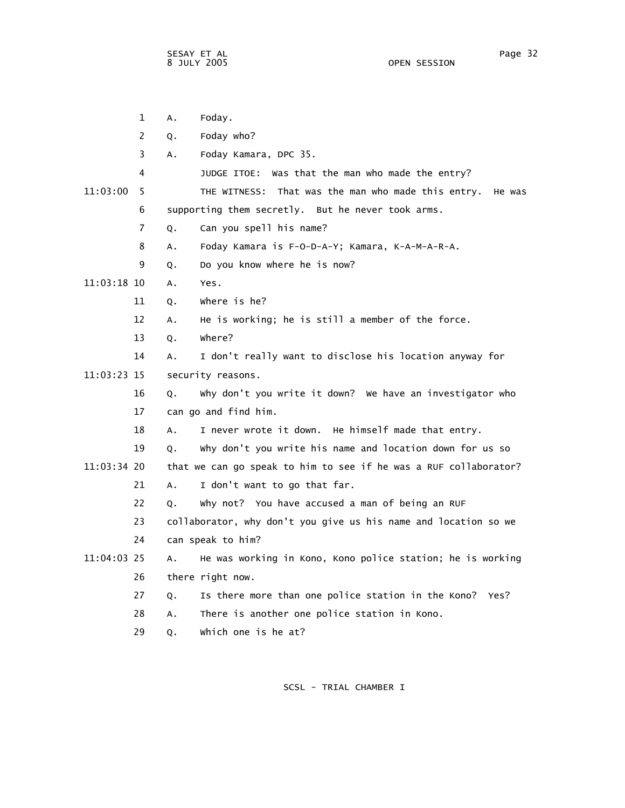|             | 1  | Α. | Foday.                                                           |
|-------------|----|----|------------------------------------------------------------------|
|             | 2  | Q. | Foday who?                                                       |
|             | 3  | Α. | Foday Kamara, DPC 35.                                            |
|             | 4  |    | JUDGE ITOE: Was that the man who made the entry?                 |
| 11:03:00    | 5  |    | THE WITNESS: That was the man who made this entry.<br>He was     |
|             | 6  |    | supporting them secretly. But he never took arms.                |
|             | 7  | Q. | Can you spell his name?                                          |
|             | 8  | Α. | Foday Kamara is F-O-D-A-Y; Kamara, K-A-M-A-R-A.                  |
|             | 9  | Q. | Do you know where he is now?                                     |
| 11:03:18 10 |    | A. | Yes.                                                             |
|             | 11 | Q. | where is he?                                                     |
|             | 12 | A. | He is working; he is still a member of the force.                |
|             | 13 | Q. | where?                                                           |
|             | 14 | А. | I don't really want to disclose his location anyway for          |
| 11:03:23 15 |    |    | security reasons.                                                |
|             | 16 | Q. | why don't you write it down? We have an investigator who         |
|             | 17 |    | can go and find him.                                             |
|             | 18 | Α. | I never wrote it down. He himself made that entry.               |
|             | 19 | Q. | why don't you write his name and location down for us so         |
| 11:03:34 20 |    |    | that we can go speak to him to see if he was a RUF collaborator? |
|             | 21 | Α. | I don't want to go that far.                                     |
|             | 22 | Q. | why not? You have accused a man of being an RUF                  |
|             | 23 |    | collaborator, why don't you give us his name and location so we  |
|             | 24 |    | can speak to him?                                                |
| 11:04:03 25 |    | Α. | He was working in Kono, Kono police station; he is working       |
|             | 26 |    | there right now.                                                 |
|             | 27 | Q. | Is there more than one police station in the Kono? Yes?          |
|             | 28 | А. | There is another one police station in Kono.                     |
|             | 29 | Q. | which one is he at?                                              |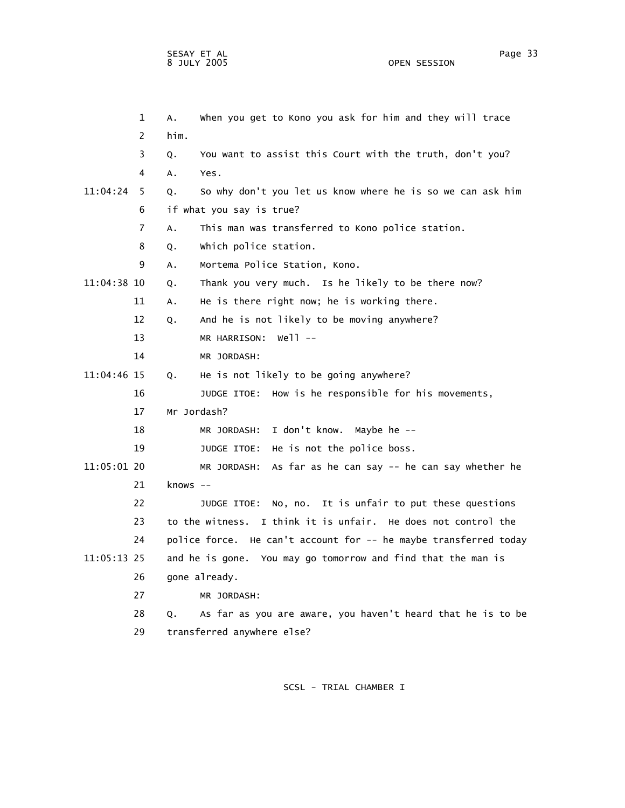1 A. When you get to Kono you ask for him and they will trace 2 him. 3 Q. You want to assist this Court with the truth, don't you? 4 A. Yes. 11:04:24 5 Q. So why don't you let us know where he is so we can ask him 6 if what you say is true? 7 A. This man was transferred to Kono police station. 8 Q. Which police station. 9 A. Mortema Police Station, Kono. 11:04:38 10 Q. Thank you very much. Is he likely to be there now? 11 A. He is there right now; he is working there. 12 Q. And he is not likely to be moving anywhere? 13 MR HARRISON: Well -- 14 MR JORDASH: 11:04:46 15 Q. He is not likely to be going anywhere? 16 JUDGE ITOE: How is he responsible for his movements, 17 Mr Jordash? 18 MR JORDASH: I don't know. Maybe he -- 19 JUDGE ITOE: He is not the police boss. 11:05:01 20 MR JORDASH: As far as he can say -- he can say whether he 21 knows -- 22 JUDGE ITOE: No, no. It is unfair to put these questions 23 to the witness. I think it is unfair. He does not control the 24 police force. He can't account for -- he maybe transferred today 11:05:13 25 and he is gone. You may go tomorrow and find that the man is 26 gone already. 27 MR JORDASH: 28 Q. As far as you are aware, you haven't heard that he is to be 29 transferred anywhere else?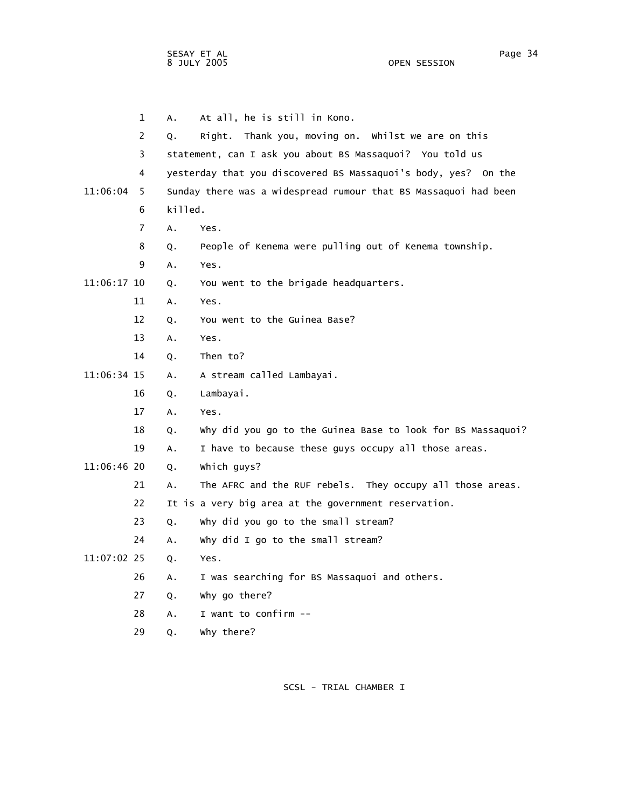1 A. At all, he is still in Kono. 2 Q. Right. Thank you, moving on. Whilst we are on this 3 statement, can I ask you about BS Massaquoi? You told us 4 yesterday that you discovered BS Massaquoi's body, yes? On the 11:06:04 5 Sunday there was a widespread rumour that BS Massaquoi had been 6 killed. 7 A. Yes. 8 Q. People of Kenema were pulling out of Kenema township. 9 A. Yes. 11:06:17 10 Q. You went to the brigade headquarters. 11 A. Yes. 12 Q. You went to the Guinea Base? 13 A. Yes. 14 Q. Then to? 11:06:34 15 A. A stream called Lambayai. 16 Q. Lambayai. 17 A. Yes. 18 Q. Why did you go to the Guinea Base to look for BS Massaquoi? 19 A. I have to because these guys occupy all those areas. 11:06:46 20 Q. Which guys? 21 A. The AFRC and the RUF rebels. They occupy all those areas. 22 It is a very big area at the government reservation. 23 Q. Why did you go to the small stream? 24 A. Why did I go to the small stream? 11:07:02 25 Q. Yes. 26 A. I was searching for BS Massaquoi and others. 27 Q. Why go there? 28 A. I want to confirm -- 29 Q. Why there?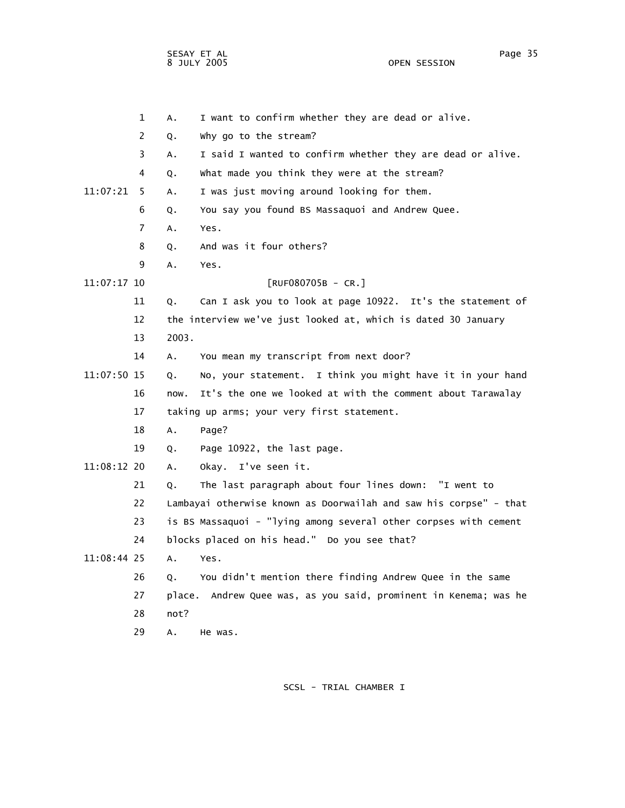OPEN SESSION

|             | $\mathbf 1$ | А.     | I want to confirm whether they are dead or alive.                 |
|-------------|-------------|--------|-------------------------------------------------------------------|
|             | 2           | Q.     | why go to the stream?                                             |
|             | 3           | Α.     | I said I wanted to confirm whether they are dead or alive.        |
|             | 4           | Q.     | what made you think they were at the stream?                      |
| 11:07:21    | 5           | Α.     | I was just moving around looking for them.                        |
|             | 6           | Q.     | You say you found BS Massaquoi and Andrew Quee.                   |
|             | 7           | Α.     | Yes.                                                              |
|             | 8           | Q.     | And was it four others?                                           |
|             | 9           | А.     | Yes.                                                              |
| 11:07:17 10 |             |        | $[RUF080705B - CR.]$                                              |
|             | 11          | Q.     | Can I ask you to look at page 10922. It's the statement of        |
|             | 12          |        | the interview we've just looked at, which is dated 30 January     |
|             | 13          | 2003.  |                                                                   |
|             | 14          | Α.     | You mean my transcript from next door?                            |
| 11:07:50 15 |             | Q.     | No, your statement. I think you might have it in your hand        |
|             | 16          | now.   | It's the one we looked at with the comment about Tarawalay        |
|             | 17          |        | taking up arms; your very first statement.                        |
|             | 18          | Α.     | Page?                                                             |
|             | 19          | Q.     | Page 10922, the last page.                                        |
| 11:08:12 20 |             | А.     | Okay. I've seen it.                                               |
|             | 21          | Q.     | The last paragraph about four lines down: "I went to              |
|             | 22          |        | Lambayai otherwise known as Doorwailah and saw his corpse" - that |
|             | 23          |        | is BS Massaquoi - "lying among several other corpses with cement  |
|             | 24          |        | blocks placed on his head." Do you see that?                      |
| 11:08:44 25 |             | А.     | Yes.                                                              |
|             | 26          | Q.     | You didn't mention there finding Andrew Quee in the same          |
|             | 27          | place. | Andrew Quee was, as you said, prominent in Kenema; was he         |
|             | 28          | not?   |                                                                   |
|             | 29          | А.     | He was.                                                           |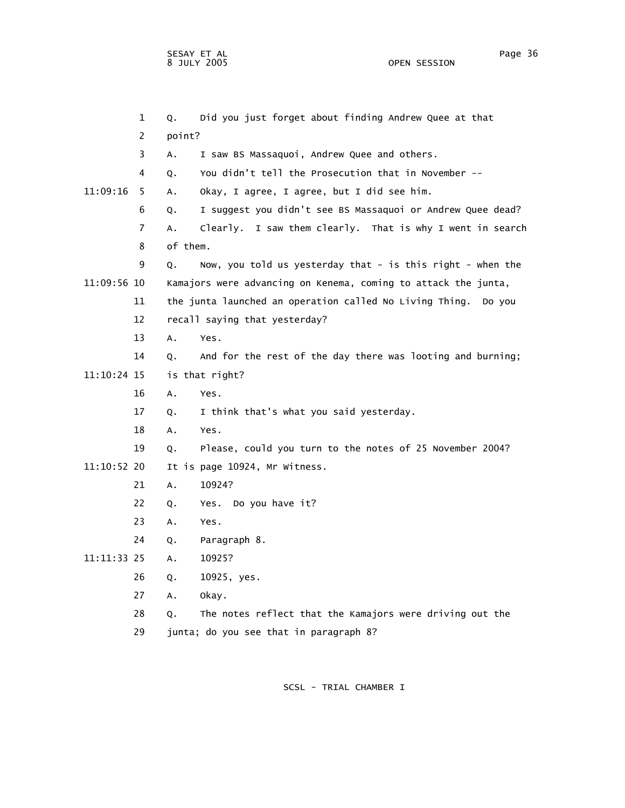1 Q. Did you just forget about finding Andrew Quee at that 2 point? 3 A. I saw BS Massaquoi, Andrew Quee and others. 4 Q. You didn't tell the Prosecution that in November -- 11:09:16 5 A. Okay, I agree, I agree, but I did see him. 6 Q. I suggest you didn't see BS Massaquoi or Andrew Quee dead? 7 A. Clearly. I saw them clearly. That is why I went in search 8 of them. 9 Q. Now, you told us yesterday that - is this right - when the 11:09:56 10 Kamajors were advancing on Kenema, coming to attack the junta, 11 the junta launched an operation called No Living Thing. Do you 12 recall saying that yesterday? 13 A. Yes. 14 Q. And for the rest of the day there was looting and burning; 11:10:24 15 is that right? 16 A. Yes. 17 Q. I think that's what you said yesterday. 18 A. Yes. 19 Q. Please, could you turn to the notes of 25 November 2004? 11:10:52 20 It is page 10924, Mr Witness. 21 A. 10924? 22 Q. Yes. Do you have it? 23 A. Yes. 24 Q. Paragraph 8. 11:11:33 25 A. 10925? 26 Q. 10925, yes. 27 A. Okay. 28 Q. The notes reflect that the Kamajors were driving out the 29 junta; do you see that in paragraph 8?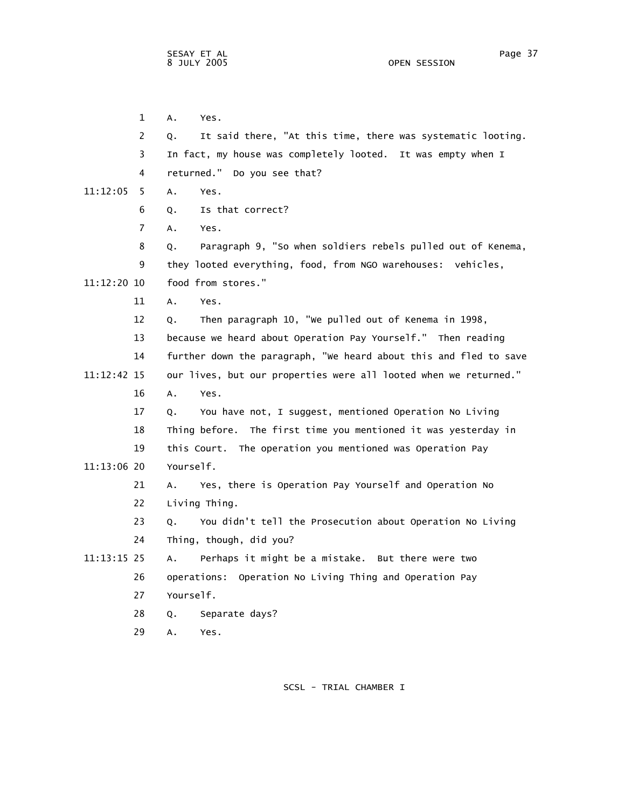1 A. Yes. 2 Q. It said there, "At this time, there was systematic looting. 3 In fact, my house was completely looted. It was empty when I 4 returned." Do you see that? 11:12:05 5 A. Yes. 6 Q. Is that correct? 7 A. Yes. 8 Q. Paragraph 9, "So when soldiers rebels pulled out of Kenema, 9 they looted everything, food, from NGO warehouses: vehicles, 11:12:20 10 food from stores." 11 A. Yes. 12 Q. Then paragraph 10, "We pulled out of Kenema in 1998, 13 because we heard about Operation Pay Yourself." Then reading 14 further down the paragraph, "We heard about this and fled to save 11:12:42 15 our lives, but our properties were all looted when we returned." 16 A. Yes. 17 Q. You have not, I suggest, mentioned Operation No Living 18 Thing before. The first time you mentioned it was yesterday in 19 this Court. The operation you mentioned was Operation Pay 11:13:06 20 Yourself. 21 A. Yes, there is Operation Pay Yourself and Operation No 22 Living Thing. 23 Q. You didn't tell the Prosecution about Operation No Living 24 Thing, though, did you? 11:13:15 25 A. Perhaps it might be a mistake. But there were two 26 operations: Operation No Living Thing and Operation Pay 27 Yourself. 28 Q. Separate days? 29 A. Yes.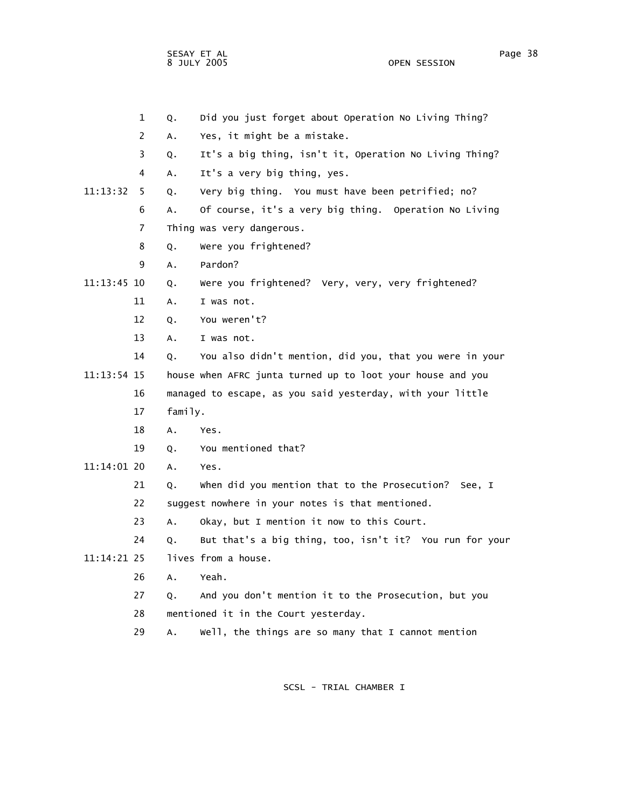SESAY ET AL Page 38 8 JULY 2005

 1 Q. Did you just forget about Operation No Living Thing? 2 A. Yes, it might be a mistake. 3 Q. It's a big thing, isn't it, Operation No Living Thing? 4 A. It's a very big thing, yes. 11:13:32 5 Q. Very big thing. You must have been petrified; no? 6 A. Of course, it's a very big thing. Operation No Living 7 Thing was very dangerous. 8 Q. Were you frightened? 9 A. Pardon? 11:13:45 10 Q. Were you frightened? Very, very, very frightened? 11 A. I was not. 12 Q. You weren't? 13 A. I was not. 14 Q. You also didn't mention, did you, that you were in your 11:13:54 15 house when AFRC junta turned up to loot your house and you 16 managed to escape, as you said yesterday, with your little 17 family. 18 A. Yes. 19 Q. You mentioned that? 11:14:01 20 A. Yes. 21 Q. When did you mention that to the Prosecution? See, I 22 suggest nowhere in your notes is that mentioned. 23 A. Okay, but I mention it now to this Court. 24 Q. But that's a big thing, too, isn't it? You run for your 11:14:21 25 lives from a house. 26 A. Yeah. 27 Q. And you don't mention it to the Prosecution, but you 28 mentioned it in the Court yesterday. 29 A. Well, the things are so many that I cannot mention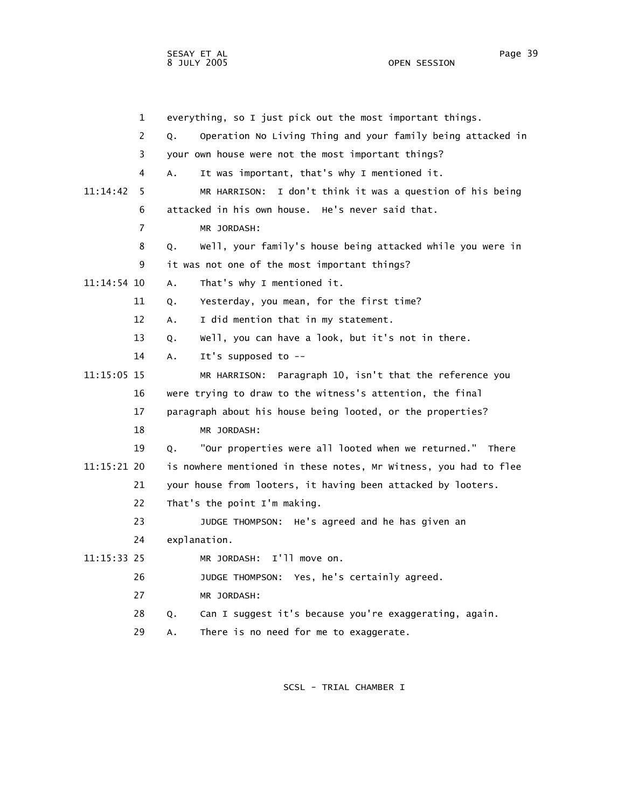1 everything, so I just pick out the most important things. 2 Q. Operation No Living Thing and your family being attacked in 3 your own house were not the most important things? 4 A. It was important, that's why I mentioned it. 11:14:42 5 MR HARRISON: I don't think it was a question of his being 6 attacked in his own house. He's never said that. 7 MR JORDASH: 8 Q. Well, your family's house being attacked while you were in 9 it was not one of the most important things? 11:14:54 10 A. That's why I mentioned it. 11 Q. Yesterday, you mean, for the first time? 12 A. I did mention that in my statement. 13 Q. Well, you can have a look, but it's not in there. 14 A. It's supposed to -- 11:15:05 15 MR HARRISON: Paragraph 10, isn't that the reference you 16 were trying to draw to the witness's attention, the final 17 paragraph about his house being looted, or the properties? 18 MR JORDASH: 19 Q. "Our properties were all looted when we returned." There 11:15:21 20 is nowhere mentioned in these notes, Mr Witness, you had to flee 21 your house from looters, it having been attacked by looters. 22 That's the point I'm making. 23 JUDGE THOMPSON: He's agreed and he has given an 24 explanation. 11:15:33 25 MR JORDASH: I'll move on. 26 JUDGE THOMPSON: Yes, he's certainly agreed. 27 MR JORDASH: 28 Q. Can I suggest it's because you're exaggerating, again. 29 A. There is no need for me to exaggerate.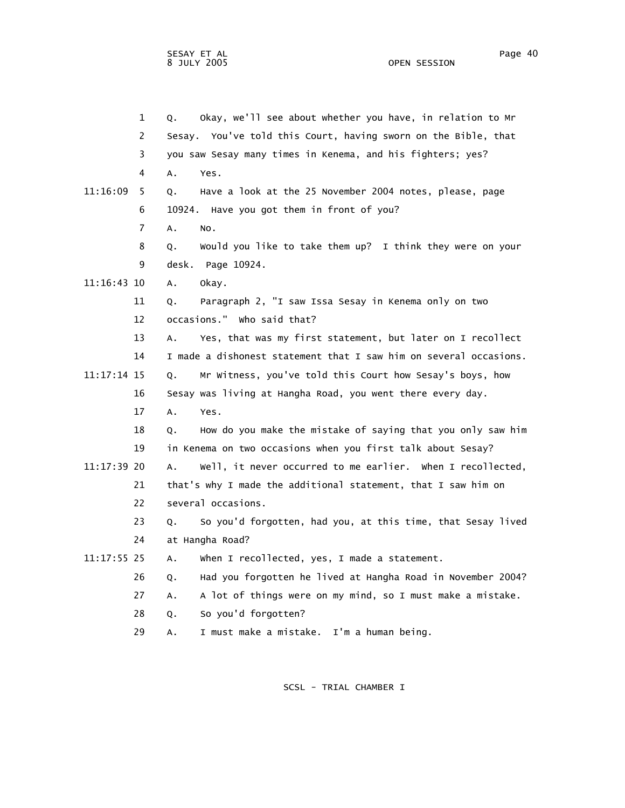1 Q. Okay, we'll see about whether you have, in relation to Mr 2 Sesay. You've told this Court, having sworn on the Bible, that 3 you saw Sesay many times in Kenema, and his fighters; yes? 4 A. Yes. 11:16:09 5 Q. Have a look at the 25 November 2004 notes, please, page 6 10924. Have you got them in front of you? 7 A. No. 8 Q. Would you like to take them up? I think they were on your 9 desk. Page 10924. 11:16:43 10 A. Okay. 11 Q. Paragraph 2, "I saw Issa Sesay in Kenema only on two 12 occasions." Who said that? 13 A. Yes, that was my first statement, but later on I recollect 14 I made a dishonest statement that I saw him on several occasions. 11:17:14 15 Q. Mr Witness, you've told this Court how Sesay's boys, how 16 Sesay was living at Hangha Road, you went there every day. 17 A. Yes. 18 Q. How do you make the mistake of saying that you only saw him 19 in Kenema on two occasions when you first talk about Sesay? 11:17:39 20 A. Well, it never occurred to me earlier. When I recollected, 21 that's why I made the additional statement, that I saw him on 22 several occasions. 23 Q. So you'd forgotten, had you, at this time, that Sesay lived 24 at Hangha Road? 11:17:55 25 A. When I recollected, yes, I made a statement. 26 Q. Had you forgotten he lived at Hangha Road in November 2004? 27 A. A lot of things were on my mind, so I must make a mistake. 28 Q. So you'd forgotten? 29 A. I must make a mistake. I'm a human being.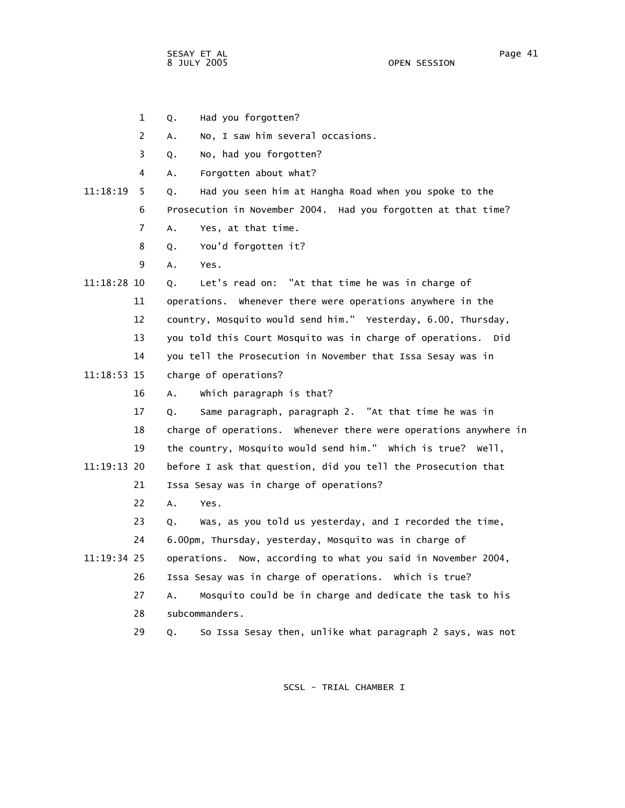1 Q. Had you forgotten?

2 A. No, I saw him several occasions.

3 Q. No, had you forgotten?

4 A. Forgotten about what?

## 11:18:19 5 Q. Had you seen him at Hangha Road when you spoke to the

6 Prosecution in November 2004. Had you forgotten at that time?

- 7 A. Yes, at that time.
- 8 Q. You'd forgotten it?
- 9 A. Yes.

## 11:18:28 10 Q. Let's read on: "At that time he was in charge of 11 operations. Whenever there were operations anywhere in the 12 country, Mosquito would send him." Yesterday, 6.00, Thursday, 13 you told this Court Mosquito was in charge of operations. Did 14 you tell the Prosecution in November that Issa Sesay was in

- 11:18:53 15 charge of operations?
	- 16 A. Which paragraph is that?
- 17 Q. Same paragraph, paragraph 2. "At that time he was in 18 charge of operations. Whenever there were operations anywhere in 19 the country, Mosquito would send him." Which is true? Well, 11:19:13 20 before I ask that question, did you tell the Prosecution that 21 Issa Sesay was in charge of operations?
	- 22 A. Yes.

 23 Q. Was, as you told us yesterday, and I recorded the time, 24 6.00pm, Thursday, yesterday, Mosquito was in charge of 11:19:34 25 operations. Now, according to what you said in November 2004, 26 Issa Sesay was in charge of operations. Which is true? 27 A. Mosquito could be in charge and dedicate the task to his

28 subcommanders.

29 Q. So Issa Sesay then, unlike what paragraph 2 says, was not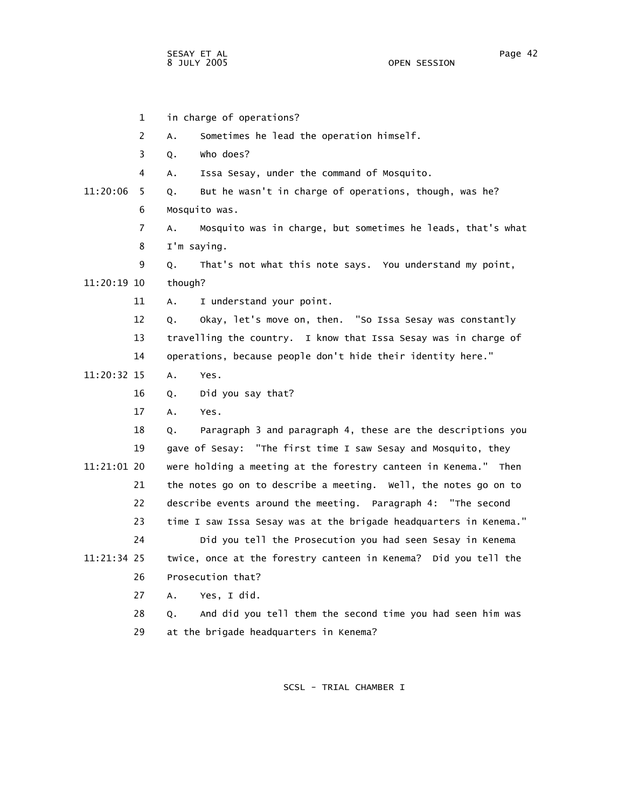1 in charge of operations? 2 A. Sometimes he lead the operation himself. 3 Q. Who does? 4 A. Issa Sesay, under the command of Mosquito. 11:20:06 5 Q. But he wasn't in charge of operations, though, was he? 6 Mosquito was. 7 A. Mosquito was in charge, but sometimes he leads, that's what 8 I'm saying. 9 Q. That's not what this note says. You understand my point, 11:20:19 10 though? 11 A. I understand your point. 12 Q. Okay, let's move on, then. "So Issa Sesay was constantly 13 travelling the country. I know that Issa Sesay was in charge of 14 operations, because people don't hide their identity here." 11:20:32 15 A. Yes. 16 Q. Did you say that? 17 A. Yes. 18 Q. Paragraph 3 and paragraph 4, these are the descriptions you 19 gave of Sesay: "The first time I saw Sesay and Mosquito, they 11:21:01 20 were holding a meeting at the forestry canteen in Kenema." Then 21 the notes go on to describe a meeting. Well, the notes go on to 22 describe events around the meeting. Paragraph 4: "The second 23 time I saw Issa Sesay was at the brigade headquarters in Kenema." 24 Did you tell the Prosecution you had seen Sesay in Kenema 11:21:34 25 twice, once at the forestry canteen in Kenema? Did you tell the 26 Prosecution that? 27 A. Yes, I did. 28 Q. And did you tell them the second time you had seen him was 29 at the brigade headquarters in Kenema?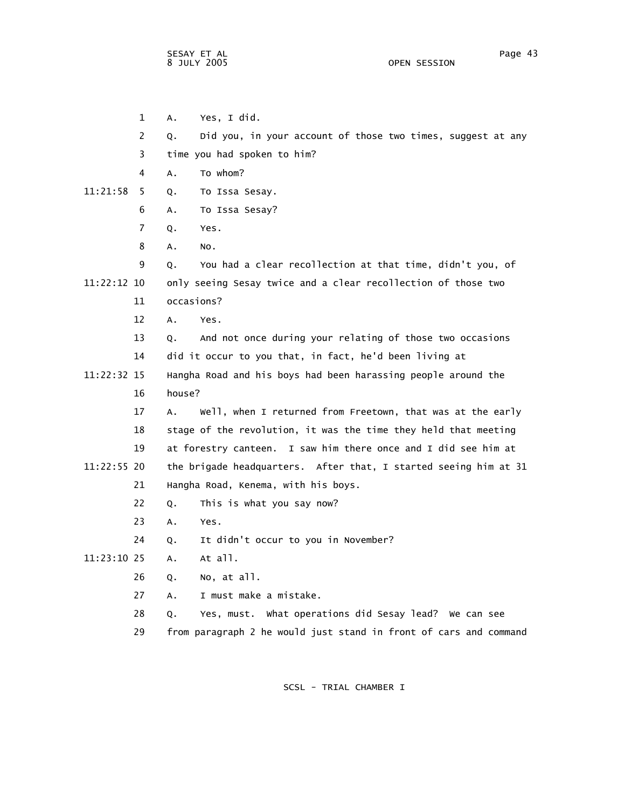1 A. Yes, I did. 2 Q. Did you, in your account of those two times, suggest at any 3 time you had spoken to him? 4 A. To whom? 11:21:58 5 Q. To Issa Sesay. 6 A. To Issa Sesay? 7 Q. Yes. 8 A. No. 9 Q. You had a clear recollection at that time, didn't you, of 11:22:12 10 only seeing Sesay twice and a clear recollection of those two 11 occasions? 12 A. Yes. 13 Q. And not once during your relating of those two occasions 14 did it occur to you that, in fact, he'd been living at 11:22:32 15 Hangha Road and his boys had been harassing people around the 16 house? 17 A. Well, when I returned from Freetown, that was at the early 18 stage of the revolution, it was the time they held that meeting 19 at forestry canteen. I saw him there once and I did see him at 11:22:55 20 the brigade headquarters. After that, I started seeing him at 31 21 Hangha Road, Kenema, with his boys. 22 Q. This is what you say now? 23 A. Yes. 24 Q. It didn't occur to you in November? 11:23:10 25 A. At all. 26 Q. No, at all. 27 A. I must make a mistake. 28 Q. Yes, must. What operations did Sesay lead? We can see

29 from paragraph 2 he would just stand in front of cars and command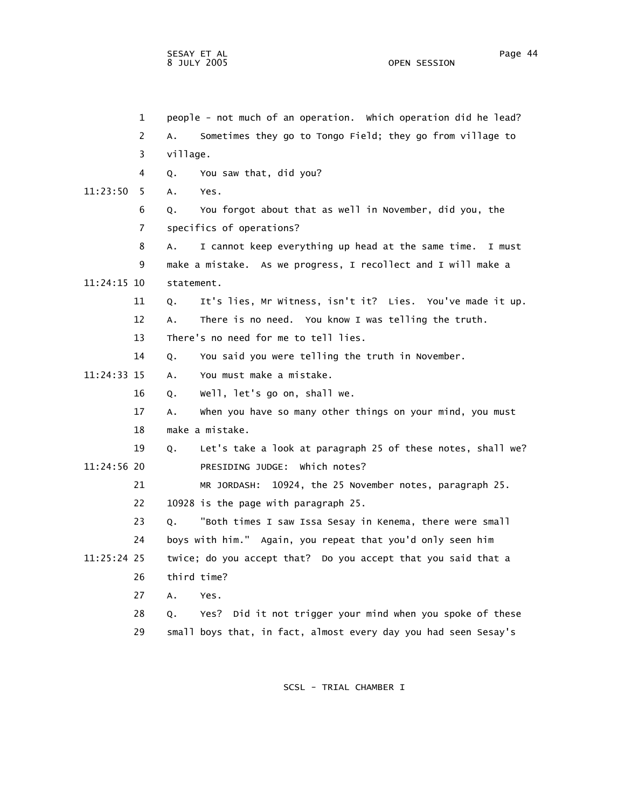1 people - not much of an operation. Which operation did he lead? 2 A. Sometimes they go to Tongo Field; they go from village to 3 village. 4 Q. You saw that, did you? 11:23:50 5 A. Yes. 6 Q. You forgot about that as well in November, did you, the 7 specifics of operations? 8 A. I cannot keep everything up head at the same time. I must 9 make a mistake. As we progress, I recollect and I will make a 11:24:15 10 statement. 11 Q. It's lies, Mr Witness, isn't it? Lies. You've made it up. 12 A. There is no need. You know I was telling the truth. 13 There's no need for me to tell lies. 14 Q. You said you were telling the truth in November. 11:24:33 15 A. You must make a mistake. 16 Q. Well, let's go on, shall we. 17 A. When you have so many other things on your mind, you must 18 make a mistake. 19 Q. Let's take a look at paragraph 25 of these notes, shall we? 11:24:56 20 PRESIDING JUDGE: Which notes? 21 MR JORDASH: 10924, the 25 November notes, paragraph 25. 22 10928 is the page with paragraph 25. 23 Q. "Both times I saw Issa Sesay in Kenema, there were small 24 boys with him." Again, you repeat that you'd only seen him 11:25:24 25 twice; do you accept that? Do you accept that you said that a 26 third time? 27 A. Yes. 28 Q. Yes? Did it not trigger your mind when you spoke of these 29 small boys that, in fact, almost every day you had seen Sesay's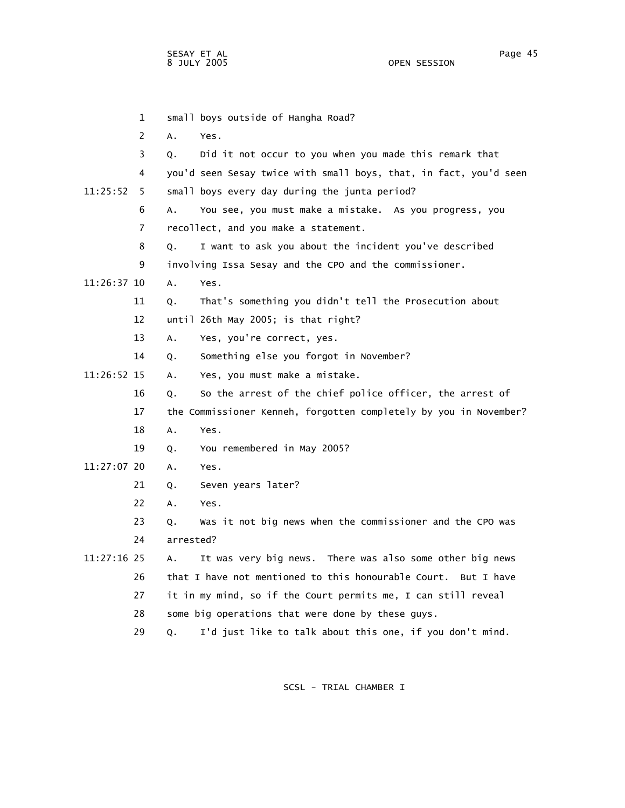|               | $\mathbf{1}$ | small boys outside of Hangha Road?                                |
|---------------|--------------|-------------------------------------------------------------------|
|               | 2            | А.<br>Yes.                                                        |
|               | 3            | Did it not occur to you when you made this remark that<br>Q.      |
|               | 4            | you'd seen Sesay twice with small boys, that, in fact, you'd seen |
| 11:25:52      | 5            | small boys every day during the junta period?                     |
|               | 6            | You see, you must make a mistake. As you progress, you<br>Α.      |
|               | 7            | recollect, and you make a statement.                              |
|               | 8            | I want to ask you about the incident you've described<br>Q.       |
|               | 9            | involving Issa Sesay and the CPO and the commissioner.            |
| $11:26:37$ 10 |              | A.<br>Yes.                                                        |
|               | 11           | That's something you didn't tell the Prosecution about<br>Q.      |
|               | 12           | until 26th May 2005; is that right?                               |
|               | 13           | Yes, you're correct, yes.<br>Α.                                   |
|               | 14           | Something else you forgot in November?<br>Q.                      |
| 11:26:52 15   |              | Yes, you must make a mistake.<br>А.                               |
|               | 16           | So the arrest of the chief police officer, the arrest of<br>Q.    |
|               | 17           | the Commissioner Kenneh, forgotten completely by you in November? |
|               | 18           | A.<br>Yes.                                                        |
|               | 19           | You remembered in May 2005?<br>Q.                                 |
| 11:27:07 20   |              | Α.<br>Yes.                                                        |
|               | 21           | Seven years later?<br>Q.                                          |
|               | 22           | A.<br>Yes.                                                        |
|               | 23           | Was it not big news when the commissioner and the CPO was<br>Q.   |
|               | 24           | arrested?                                                         |
| 11:27:16 25   |              | It was very big news. There was also some other big news<br>А.    |
|               | 26           | that I have not mentioned to this honourable Court. But I have    |
|               | 27           | it in my mind, so if the Court permits me, I can still reveal     |
|               | 28           | some big operations that were done by these guys.                 |
|               |              |                                                                   |

29 Q. I'd just like to talk about this one, if you don't mind.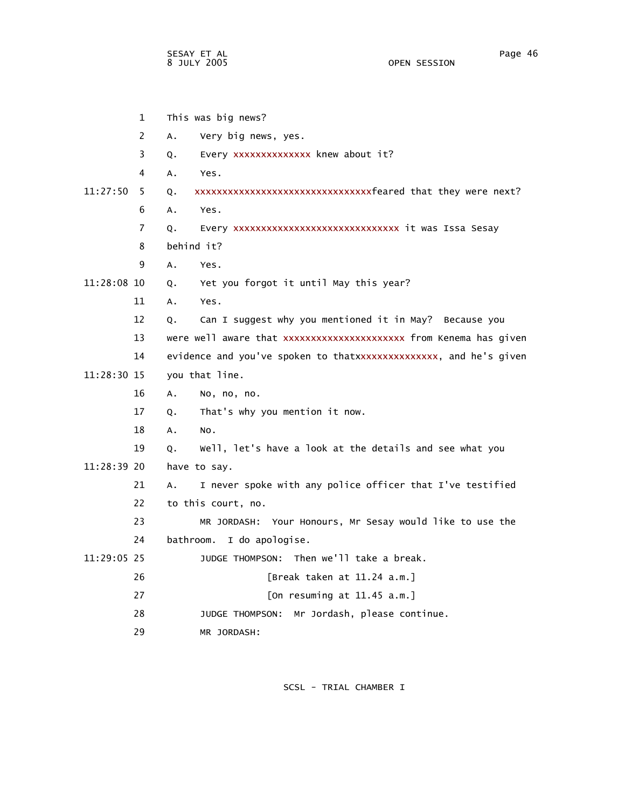|             | $\mathbf{1}$   | This was big news?                                                |
|-------------|----------------|-------------------------------------------------------------------|
|             | 2              | Very big news, yes.<br>A.                                         |
|             | 3              | Every xxxxxxxxxxxxxx knew about it?<br>Q.                         |
|             | 4              | А.<br>Yes.                                                        |
| 11:27:50    | 5.             | xxxxxxxxxxxxxxxxxxxxxxxxxxxxxxxfeared that they were next?<br>Q.  |
|             | 6              | A.<br>Yes.                                                        |
|             | $\overline{7}$ | Every xxxxxxxxxxxxxxxxxxxxxxxxxxxxx it was Issa Sesay<br>Q.       |
|             | 8              | behind it?                                                        |
|             | 9              | A.<br>Yes.                                                        |
| 11:28:08 10 |                | Yet you forgot it until May this year?<br>$Q_{\star}$             |
|             | 11             | A.<br>Yes.                                                        |
|             | 12             | Can I suggest why you mentioned it in May? Because you<br>Q.      |
|             | 13             | were well aware that xxxxxxxxxxxxxxxxxxxxxx from Kenema has given |
|             | 14             | evidence and you've spoken to thatxxxxxxxxxxxxxxx, and he's given |
| 11:28:30 15 |                | you that line.                                                    |
|             | 16             | Α.<br>No, no, no.                                                 |
|             | 17             | That's why you mention it now.<br>Q.                              |
|             | 18             | A.<br>NO.                                                         |
|             | 19             | Well, let's have a look at the details and see what you<br>Q.     |
| 11:28:39 20 |                | have to say.                                                      |
|             | 21             | I never spoke with any police officer that I've testified<br>Α.   |
|             | 22             | to this court, no.                                                |
|             | 23             | MR JORDASH: Your Honours, Mr Sesay would like to use the          |
|             | 24             | bathroom. I do apologise.                                         |
| 11:29:05 25 |                | JUDGE THOMPSON: Then we'll take a break.                          |
|             | 26             | [Break taken at 11.24 a.m.]                                       |
|             | 27             | [On resuming at $11.45$ a.m.]                                     |
|             | 28             | Mr Jordash, please continue.<br>JUDGE THOMPSON:                   |
|             | 29             | MR JORDASH:                                                       |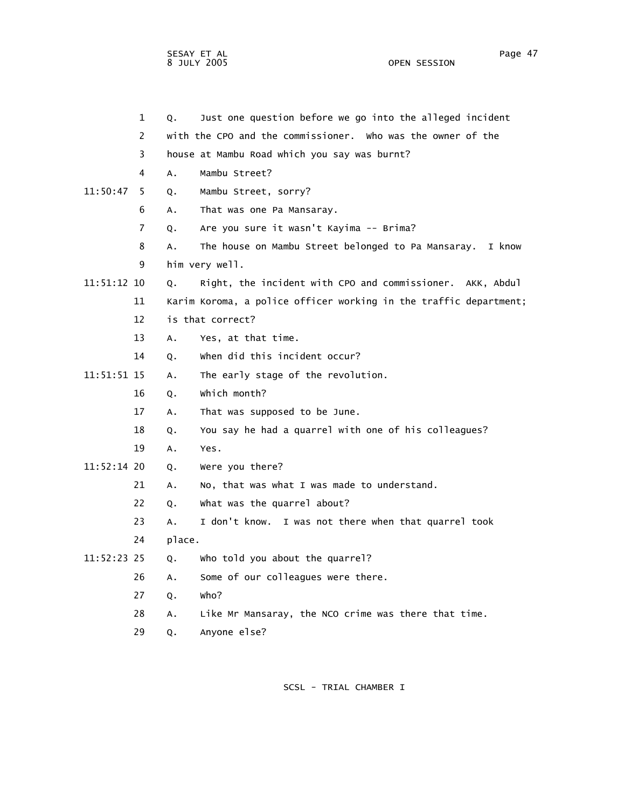sesay et al. International and the second service of the service of the service of the service of the service o 8 JULY 2005 OPEN SESSION

|  |               | $\mathbf{1}$   | Q. | Just one question before we go into the alleged incident          |
|--|---------------|----------------|----|-------------------------------------------------------------------|
|  |               | 2              |    | with the CPO and the commissioner. Who was the owner of the       |
|  |               | 3              |    | house at Mambu Road which you say was burnt?                      |
|  |               | 4              | A. | Mambu Street?                                                     |
|  | 11:50:47      | -5             | Q. | Mambu Street, sorry?                                              |
|  |               | 6              | Α. | That was one Pa Mansaray.                                         |
|  |               | $\overline{7}$ | Q. | Are you sure it wasn't Kayima -- Brima?                           |
|  |               | 8              | A. | The house on Mambu Street belonged to Pa Mansaray. I know         |
|  |               | 9              |    | him very well.                                                    |
|  | 11:51:12 10   |                | 0. | Right, the incident with CPO and commissioner. AKK, Abdul         |
|  |               | 11             |    | Karim Koroma, a police officer working in the traffic department; |
|  |               | 12             |    | is that correct?                                                  |
|  |               | 13             | A. | Yes, at that time.                                                |
|  |               | 14             | Q. | when did this incident occur?                                     |
|  | $11:51:51$ 15 |                | A. | The early stage of the revolution.                                |
|  |               | 16             | Q. | which month?                                                      |
|  |               | 17             | A. | That was supposed to be June.                                     |
|  |               |                |    |                                                                   |

- 18 Q. You say he had a quarrel with one of his colleagues?
- 19 A. Yes.
- 11:52:14 20 Q. Were you there?
	- 21 A. No, that was what I was made to understand.
	- 22 Q. What was the quarrel about?
	- 23 A. I don't know. I was not there when that quarrel took
	- 24 place.
- 11:52:23 25 Q. Who told you about the quarrel?
	- 26 A. Some of our colleagues were there.
	- 27 Q. Who?
	- 28 A. Like Mr Mansaray, the NCO crime was there that time.
	- 29 Q. Anyone else?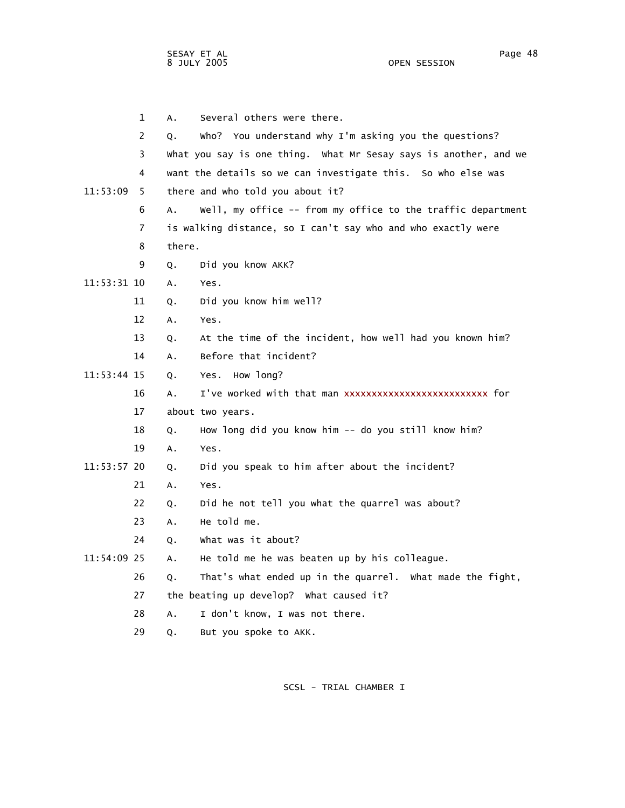1 A. Several others were there. 2 Q. Who? You understand why I'm asking you the questions? 3 What you say is one thing. What Mr Sesay says is another, and we 4 want the details so we can investigate this. So who else was 11:53:09 5 there and who told you about it? 6 A. Well, my office -- from my office to the traffic department 7 is walking distance, so I can't say who and who exactly were 8 there. 9 Q. Did you know AKK? 11:53:31 10 A. Yes. 11 Q. Did you know him well? 12 A. Yes. 13 Q. At the time of the incident, how well had you known him? 14 A. Before that incident? 11:53:44 15 Q. Yes. How long? 16 A. I've worked with that man xxxxxxxxxxxxxxxxxxxxxxxxxx for 17 about two years. 18 Q. How long did you know him -- do you still know him? 19 A. Yes. 11:53:57 20 Q. Did you speak to him after about the incident? 21 A. Yes. 22 Q. Did he not tell you what the quarrel was about? 23 A. He told me. 24 Q. What was it about? 11:54:09 25 A. He told me he was beaten up by his colleague. 26 Q. That's what ended up in the quarrel. What made the fight, 27 the beating up develop? What caused it? 28 A. I don't know, I was not there.

29 Q. But you spoke to AKK.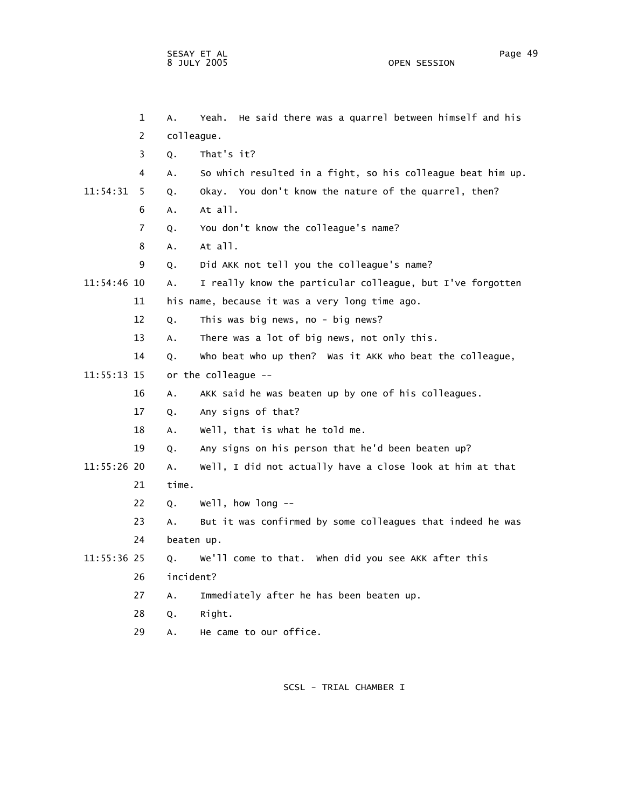1 A. Yeah. He said there was a quarrel between himself and his 2 colleague. 3 Q. That's it? 4 A. So which resulted in a fight, so his colleague beat him up. 11:54:31 5 Q. Okay. You don't know the nature of the quarrel, then? 6 A. At all. 7 Q. You don't know the colleague's name? 8 A. At all. 9 Q. Did AKK not tell you the colleague's name? 11:54:46 10 A. I really know the particular colleague, but I've forgotten 11 his name, because it was a very long time ago. 12 Q. This was big news, no - big news? 13 A. There was a lot of big news, not only this. 14 Q. Who beat who up then? Was it AKK who beat the colleague, 11:55:13 15 or the colleague -- 16 A. AKK said he was beaten up by one of his colleagues. 17 Q. Any signs of that? 18 A. Well, that is what he told me. 19 Q. Any signs on his person that he'd been beaten up? 11:55:26 20 A. Well, I did not actually have a close look at him at that 21 time. 22 Q. Well, how long --

 23 A. But it was confirmed by some colleagues that indeed he was 24 beaten up.

- 11:55:36 25 Q. We'll come to that. When did you see AKK after this 26 incident?
	- 27 A. Immediately after he has been beaten up.
	- 28 Q. Right.
	- 29 A. He came to our office.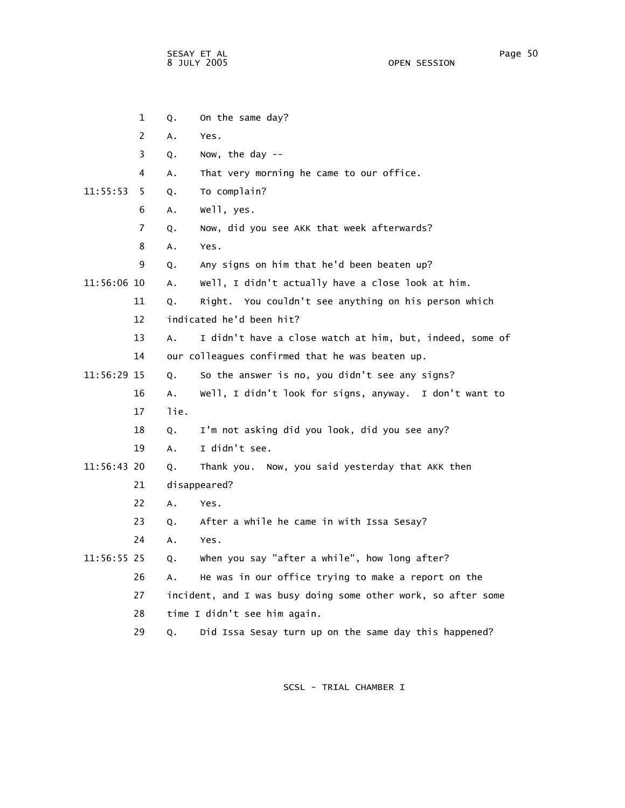OPEN SESSION

|             | $\mathbf{1}$   | Q.            | On the same day?                                              |
|-------------|----------------|---------------|---------------------------------------------------------------|
|             | 2              | A.            | Yes.                                                          |
|             | 3              | Q.            | Now, the day $-$                                              |
|             | 4              | Α.            | That very morning he came to our office.                      |
| 11:55:53    | 5              | Q.            | To complain?                                                  |
|             | 6              | Α.            | well, yes.                                                    |
|             | $\overline{7}$ | Q.            | Now, did you see AKK that week afterwards?                    |
|             | 8              | Α.            | Yes.                                                          |
|             | 9              | Q.            | Any signs on him that he'd been beaten up?                    |
| 11:56:06 10 |                | Α.            | Well, I didn't actually have a close look at him.             |
|             | 11             | Q.            | Right. You couldn't see anything on his person which          |
|             | 12             |               | indicated he'd been hit?                                      |
|             | 13             | Α.            | I didn't have a close watch at him, but, indeed, some of      |
|             | 14             |               | our colleagues confirmed that he was beaten up.               |
| 11:56:29 15 |                | Q.            | So the answer is no, you didn't see any signs?                |
|             | 16             | A.            | Well, I didn't look for signs, anyway. I don't want to        |
|             | 17             | lie.          |                                                               |
|             | 18             | Q.            | I'm not asking did you look, did you see any?                 |
|             | 19             | $A_{\bullet}$ | I didn't see.                                                 |
| 11:56:43 20 |                | Q.            | Thank you. Now, you said yesterday that AKK then              |
|             | 21             |               | disappeared?                                                  |
|             | 22             | Α.            | Yes.                                                          |
|             | 23             | Q.            | After a while he came in with Issa Sesay?                     |
|             | 24             | Α.            | Yes.                                                          |
| 11:56:55 25 |                | Q.            | when you say "after a while", how long after?                 |
|             | 26             | A.            | He was in our office trying to make a report on the           |
|             | 27             |               | incident, and I was busy doing some other work, so after some |
|             | 28             |               | time I didn't see him again.                                  |
|             | 29             | Q.            | Did Issa Sesay turn up on the same day this happened?         |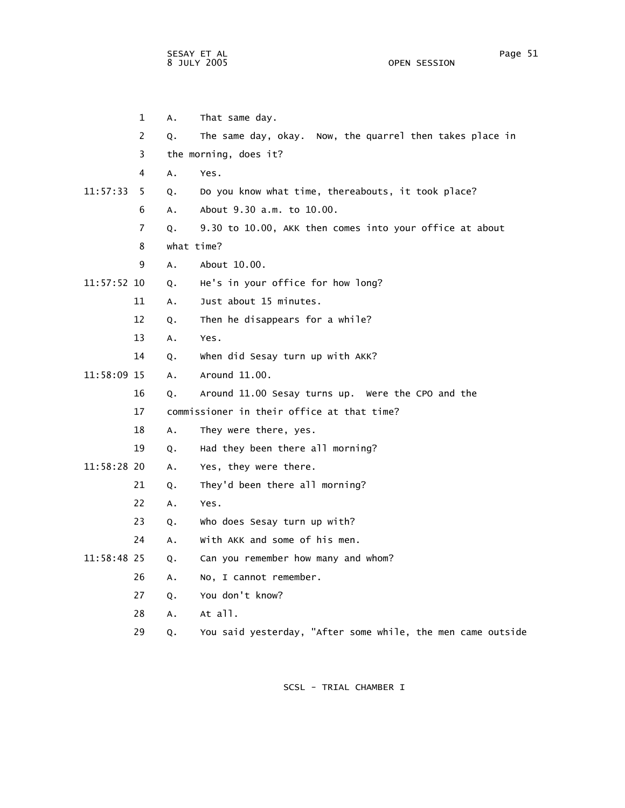OPEN SESSION

 1 A. That same day. 2 Q. The same day, okay. Now, the quarrel then takes place in 3 the morning, does it? 4 A. Yes. 11:57:33 5 Q. Do you know what time, thereabouts, it took place? 6 A. About 9.30 a.m. to 10.00. 7 Q. 9.30 to 10.00, AKK then comes into your office at about 8 what time? 9 A. About 10.00. 11:57:52 10 Q. He's in your office for how long? 11 A. Just about 15 minutes. 12 Q. Then he disappears for a while? 13 A. Yes. 14 Q. When did Sesay turn up with AKK? 11:58:09 15 A. Around 11.00. 16 Q. Around 11.00 Sesay turns up. Were the CPO and the 17 commissioner in their office at that time? 18 A. They were there, yes. 19 Q. Had they been there all morning? 11:58:28 20 A. Yes, they were there. 21 Q. They'd been there all morning? 22 A. Yes. 23 Q. Who does Sesay turn up with? 24 A. With AKK and some of his men. 11:58:48 25 Q. Can you remember how many and whom? 26 A. No, I cannot remember. 27 Q. You don't know? 28 A. At all. 29 Q. You said yesterday, "After some while, the men came outside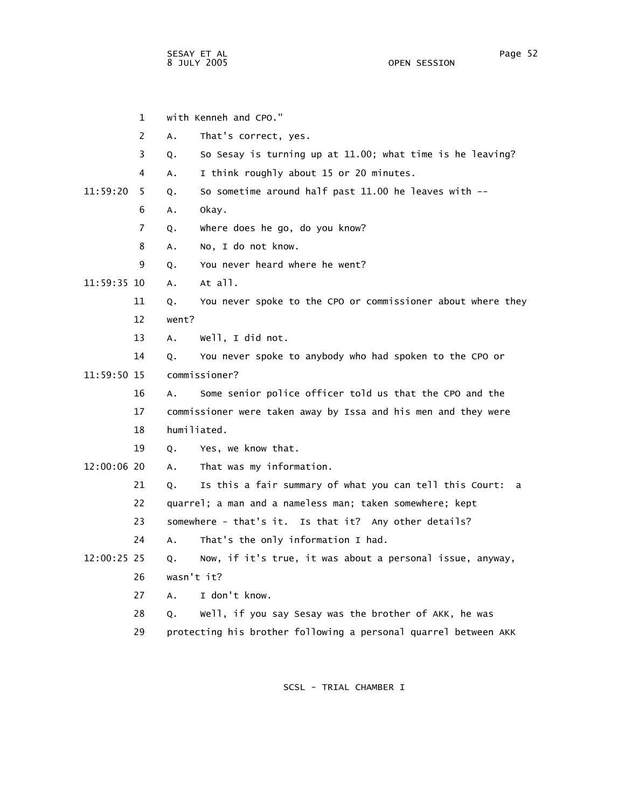1 with Kenneh and CPO." 2 A. That's correct, yes. 3 Q. So Sesay is turning up at 11.00; what time is he leaving? 4 A. I think roughly about 15 or 20 minutes. 11:59:20 5 Q. So sometime around half past 11.00 he leaves with -- 6 A. Okay. 7 Q. Where does he go, do you know? 8 A. No, I do not know. 9 Q. You never heard where he went? 11:59:35 10 A. At all. 11 Q. You never spoke to the CPO or commissioner about where they 12 went? 13 A. Well, I did not. 14 Q. You never spoke to anybody who had spoken to the CPO or 11:59:50 15 commissioner? 16 A. Some senior police officer told us that the CPO and the 17 commissioner were taken away by Issa and his men and they were 18 humiliated. 19 Q. Yes, we know that. 12:00:06 20 A. That was my information. 21 Q. Is this a fair summary of what you can tell this Court: a 22 quarrel; a man and a nameless man; taken somewhere; kept 23 somewhere - that's it. Is that it? Any other details? 24 A. That's the only information I had. 12:00:25 25 Q. Now, if it's true, it was about a personal issue, anyway, 26 wasn't it? 27 A. I don't know. 28 Q. Well, if you say Sesay was the brother of AKK, he was 29 protecting his brother following a personal quarrel between AKK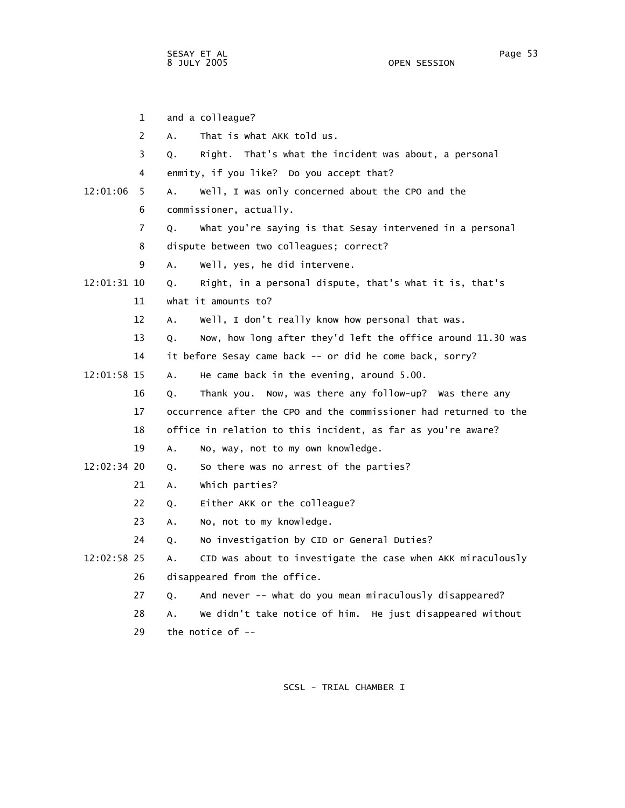1 and a colleague? 2 A. That is what AKK told us. 3 Q. Right. That's what the incident was about, a personal 4 enmity, if you like? Do you accept that? 12:01:06 5 A. Well, I was only concerned about the CPO and the 6 commissioner, actually. 7 Q. What you're saying is that Sesay intervened in a personal 8 dispute between two colleagues; correct? 9 A. Well, yes, he did intervene. 12:01:31 10 Q. Right, in a personal dispute, that's what it is, that's 11 what it amounts to? 12 A. Well, I don't really know how personal that was. 13 Q. Now, how long after they'd left the office around 11.30 was 14 it before Sesay came back -- or did he come back, sorry? 12:01:58 15 A. He came back in the evening, around 5.00. 16 Q. Thank you. Now, was there any follow-up? Was there any 17 occurrence after the CPO and the commissioner had returned to the 18 office in relation to this incident, as far as you're aware? 19 A. No, way, not to my own knowledge. 12:02:34 20 Q. So there was no arrest of the parties? 21 A. Which parties? 22 Q. Either AKK or the colleague? 23 A. No, not to my knowledge. 24 Q. No investigation by CID or General Duties? 12:02:58 25 A. CID was about to investigate the case when AKK miraculously 26 disappeared from the office. 27 Q. And never -- what do you mean miraculously disappeared? 28 A. We didn't take notice of him. He just disappeared without 29 the notice of --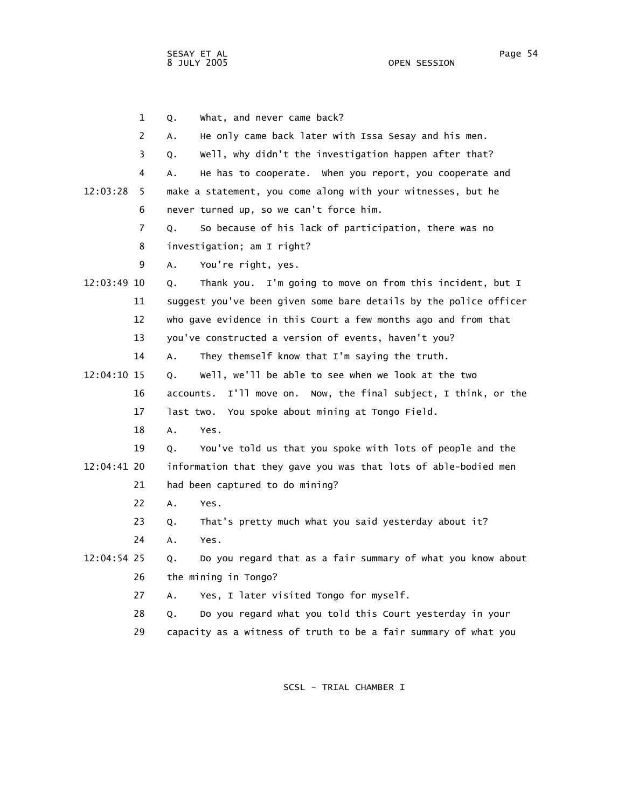1 Q. What, and never came back? 2 A. He only came back later with Issa Sesay and his men. 3 Q. Well, why didn't the investigation happen after that? 4 A. He has to cooperate. When you report, you cooperate and 12:03:28 5 make a statement, you come along with your witnesses, but he 6 never turned up, so we can't force him. 7 Q. So because of his lack of participation, there was no 8 investigation; am I right? 9 A. You're right, yes. 12:03:49 10 Q. Thank you. I'm going to move on from this incident, but I 11 suggest you've been given some bare details by the police officer 12 who gave evidence in this Court a few months ago and from that 13 you've constructed a version of events, haven't you? 14 A. They themself know that I'm saying the truth. 12:04:10 15 Q. Well, we'll be able to see when we look at the two 16 accounts. I'll move on. Now, the final subject, I think, or the 17 last two. You spoke about mining at Tongo Field. 18 A. Yes. 19 Q. You've told us that you spoke with lots of people and the 12:04:41 20 information that they gave you was that lots of able-bodied men 21 had been captured to do mining? 22 A. Yes. 23 Q. That's pretty much what you said yesterday about it? 24 A. Yes. 12:04:54 25 Q. Do you regard that as a fair summary of what you know about 26 the mining in Tongo? 27 A. Yes, I later visited Tongo for myself. 28 Q. Do you regard what you told this Court yesterday in your 29 capacity as a witness of truth to be a fair summary of what you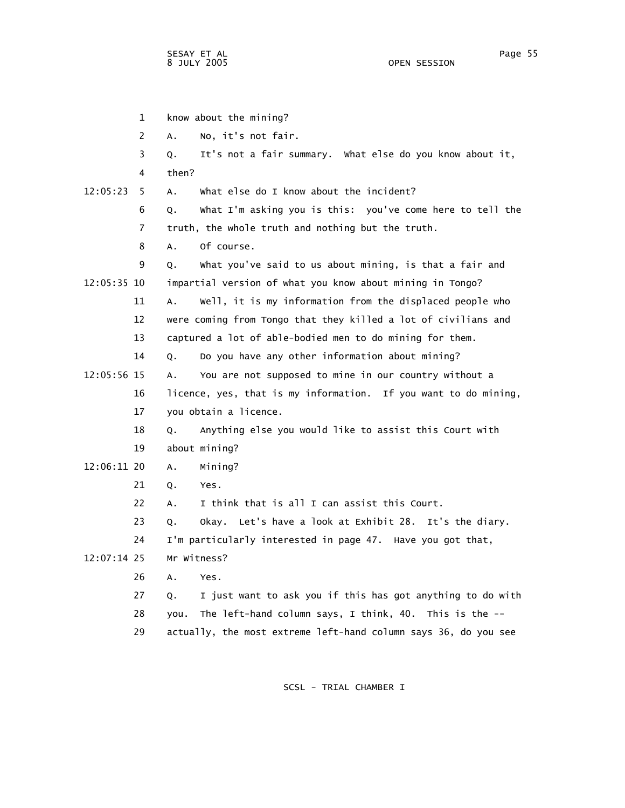|             | $\mathbf{1}$ | know about the mining?                                           |
|-------------|--------------|------------------------------------------------------------------|
|             | 2            | No, it's not fair.<br>А.                                         |
|             | 3            | It's not a fair summary. What else do you know about it,<br>Q.   |
|             | 4            | then?                                                            |
| 12:05:23    | 5.           | What else do I know about the incident?<br>Α.                    |
|             | 6            | What I'm asking you is this: you've come here to tell the<br>Q.  |
|             | 7            | truth, the whole truth and nothing but the truth.                |
|             | 8            | Of course.<br>Α.                                                 |
|             | 9            | What you've said to us about mining, is that a fair and<br>Q.    |
| 12:05:35 10 |              | impartial version of what you know about mining in Tongo?        |
|             | 11           | Well, it is my information from the displaced people who<br>Α.   |
|             | 12           | were coming from Tongo that they killed a lot of civilians and   |
|             | 13           | captured a lot of able-bodied men to do mining for them.         |
|             | 14           | Do you have any other information about mining?<br>О.            |
| 12:05:56 15 |              | You are not supposed to mine in our country without a<br>А.      |
|             | 16           | licence, yes, that is my information. If you want to do mining,  |
|             | 17           | you obtain a licence.                                            |
|             | 18           | Anything else you would like to assist this Court with<br>Q.     |
|             | 19           | about mining?                                                    |
| 12:06:11 20 |              | Mining?<br>A.                                                    |
|             | 21           | Yes.<br>Q.                                                       |
|             | 22           | I think that is all I can assist this Court.<br>А.               |
|             | 23           | Okay. Let's have a look at Exhibit 28. It's the diary.<br>О.     |
|             | 24           | I'm particularly interested in page 47. Have you got that,       |
| 12:07:14 25 |              | Mr Witness?                                                      |
|             | 26           | A.<br>Yes.                                                       |
|             | 27           | I just want to ask you if this has got anything to do with<br>Q. |
|             | 28           | The left-hand column says, I think, 40. This is the --<br>you.   |
|             | 29           | actually, the most extreme left-hand column says 36, do you see  |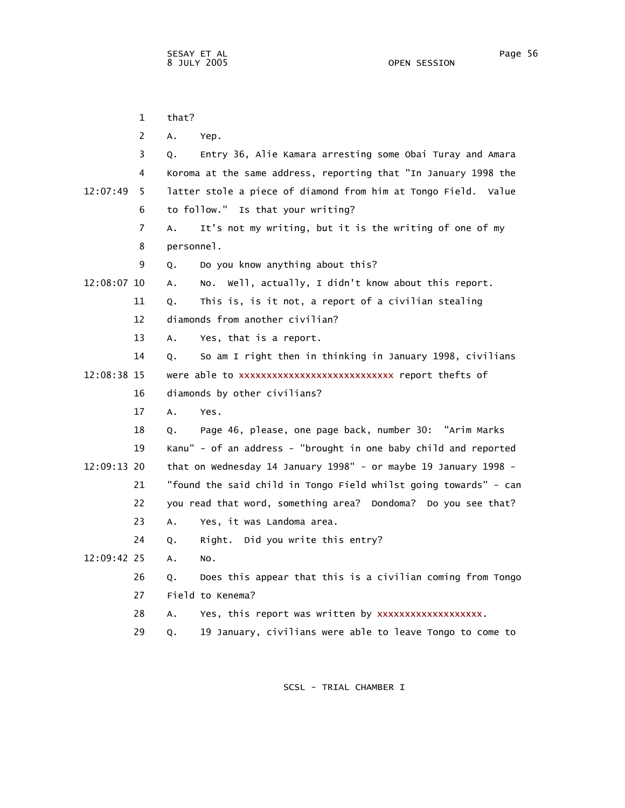|             | $\mathbf{1}$ | that?                                                            |
|-------------|--------------|------------------------------------------------------------------|
|             | 2            | Α.<br>Yep.                                                       |
|             | 3            | Entry 36, Alie Kamara arresting some Obai Turay and Amara<br>Q.  |
|             | 4            | Koroma at the same address, reporting that "In January 1998 the  |
| 12:07:49    | 5.           | latter stole a piece of diamond from him at Tongo Field. Value   |
|             | 6            | to follow." Is that your writing?                                |
|             | 7            | It's not my writing, but it is the writing of one of my<br>Α.    |
|             | 8            | personnel.                                                       |
|             | 9            | Do you know anything about this?<br>Q.                           |
| 12:08:07 10 |              | Well, actually, I didn't know about this report.<br>А.<br>NO.    |
|             | 11           | This is, is it not, a report of a civilian stealing<br>Q.        |
|             | 12           | diamonds from another civilian?                                  |
|             | 13           | Yes, that is a report.<br>A.                                     |
|             | 14           | So am I right then in thinking in January 1998, civilians<br>Q.  |
| 12:08:38 15 |              | were able to xxxxxxxxxxxxxxxxxxxxxxxxxxxx report thefts of       |
|             | 16           | diamonds by other civilians?                                     |
|             | 17           | A.<br>Yes.                                                       |
|             | 18           | Page 46, please, one page back, number 30: "Arim Marks<br>Q.     |
|             | 19           | Kanu" - of an address - "brought in one baby child and reported  |
| 12:09:13 20 |              | that on Wednesday 14 January 1998" - or maybe 19 January 1998 -  |
|             | 21           | "found the said child in Tongo Field whilst going towards" - can |
|             | 22           | you read that word, something area? Dondoma? Do you see that?    |
|             | 23           | Yes, it was Landoma area.<br>Α.                                  |
|             | 24           | Right. Did you write this entry?<br>Q.                           |
| 12:09:42 25 |              | Α.<br>NO.                                                        |
|             | 26           | Does this appear that this is a civilian coming from Tongo<br>Q. |
|             | 27           | Field to Kenema?                                                 |
|             | 28           | Yes, this report was written by xxxxxxxxxxxxxxxxxx.<br>А.        |
|             | 29           | 19 January, civilians were able to leave Tongo to come to<br>Q.  |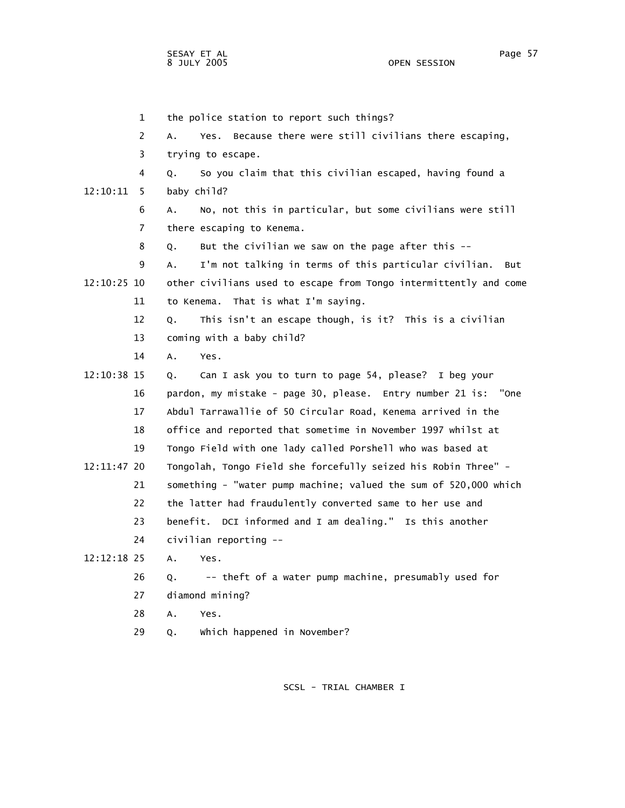1 the police station to report such things? 2 A. Yes. Because there were still civilians there escaping, 3 trying to escape. 4 Q. So you claim that this civilian escaped, having found a 12:10:11 5 baby child? 6 A. No, not this in particular, but some civilians were still 7 there escaping to Kenema. 8 Q. But the civilian we saw on the page after this -- 9 A. I'm not talking in terms of this particular civilian. But 12:10:25 10 other civilians used to escape from Tongo intermittently and come 11 to Kenema. That is what I'm saying. 12 Q. This isn't an escape though, is it? This is a civilian 13 coming with a baby child? 14 A. Yes. 12:10:38 15 Q. Can I ask you to turn to page 54, please? I beg your 16 pardon, my mistake - page 30, please. Entry number 21 is: "One 17 Abdul Tarrawallie of 50 Circular Road, Kenema arrived in the 18 office and reported that sometime in November 1997 whilst at 19 Tongo Field with one lady called Porshell who was based at 12:11:47 20 Tongolah, Tongo Field she forcefully seized his Robin Three" - 21 something - "water pump machine; valued the sum of 520,000 which 22 the latter had fraudulently converted same to her use and 23 benefit. DCI informed and I am dealing." Is this another 24 civilian reporting -- 12:12:18 25 A. Yes. 26 Q. -- theft of a water pump machine, presumably used for 27 diamond mining? 28 A. Yes.

SCSL - TRIAL CHAMBER I

29 Q. Which happened in November?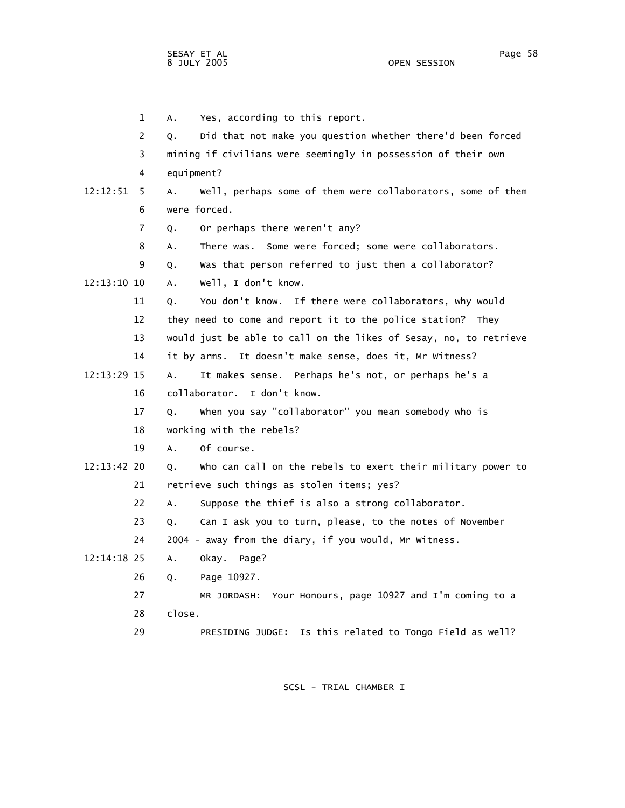1 A. Yes, according to this report. 2 Q. Did that not make you question whether there'd been forced 3 mining if civilians were seemingly in possession of their own 4 equipment? 12:12:51 5 A. Well, perhaps some of them were collaborators, some of them 6 were forced. 7 Q. Or perhaps there weren't any? 8 A. There was. Some were forced; some were collaborators. 9 Q. Was that person referred to just then a collaborator? 12:13:10 10 A. Well, I don't know. 11 Q. You don't know. If there were collaborators, why would 12 they need to come and report it to the police station? They 13 would just be able to call on the likes of Sesay, no, to retrieve 14 it by arms. It doesn't make sense, does it, Mr Witness? 12:13:29 15 A. It makes sense. Perhaps he's not, or perhaps he's a 16 collaborator. I don't know. 17 Q. When you say "collaborator" you mean somebody who is 18 working with the rebels? 19 A. Of course. 12:13:42 20 Q. Who can call on the rebels to exert their military power to 21 retrieve such things as stolen items; yes? 22 A. Suppose the thief is also a strong collaborator. 23 Q. Can I ask you to turn, please, to the notes of November 24 2004 - away from the diary, if you would, Mr Witness. 12:14:18 25 A. Okay. Page? 26 Q. Page 10927. 27 MR JORDASH: Your Honours, page 10927 and I'm coming to a

- 28 close.
- 29 PRESIDING JUDGE: Is this related to Tongo Field as well?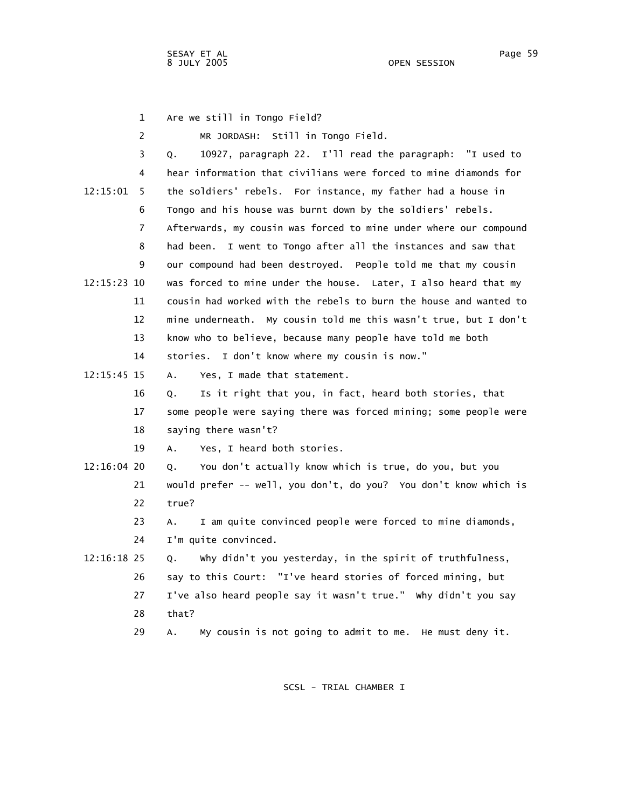|               | $\mathbf{1}$ | Are we still in Tongo Field?                                      |
|---------------|--------------|-------------------------------------------------------------------|
|               | 2            | MR JORDASH: Still in Tongo Field.                                 |
|               | 3            | 10927, paragraph 22. I'll read the paragraph: "I used to<br>Q.    |
|               | 4            | hear information that civilians were forced to mine diamonds for  |
| 12:15:01      | 5            | the soldiers' rebels. For instance, my father had a house in      |
|               | 6            | Tongo and his house was burnt down by the soldiers' rebels.       |
|               | 7            | Afterwards, my cousin was forced to mine under where our compound |
|               | 8            | had been. I went to Tongo after all the instances and saw that    |
|               | 9            | our compound had been destroyed. People told me that my cousin    |
| 12:15:23 10   |              | was forced to mine under the house. Later, I also heard that my   |
|               | 11           | cousin had worked with the rebels to burn the house and wanted to |
|               | 12           | mine underneath. My cousin told me this wasn't true, but I don't  |
|               | 13           | know who to believe, because many people have told me both        |
|               | 14           | stories. I don't know where my cousin is now."                    |
| $12:15:45$ 15 |              | Yes, I made that statement.<br>А.                                 |
|               | 16           | Is it right that you, in fact, heard both stories, that<br>Q.     |
|               | 17           | some people were saying there was forced mining; some people were |
|               | 18           | saying there wasn't?                                              |
|               | 19           | Yes, I heard both stories.<br>А.                                  |
| $12:16:04$ 20 |              | You don't actually know which is true, do you, but you<br>Q.      |
|               | 21           | would prefer -- well, you don't, do you? You don't know which is  |
|               | 22           | true?                                                             |
|               | 23           | I am quite convinced people were forced to mine diamonds,<br>Α.   |
|               | 24           | I'm quite convinced.                                              |
| $12:16:18$ 25 |              | why didn't you yesterday, in the spirit of truthfulness,<br>Q.    |
|               | 26           | say to this Court: "I've heard stories of forced mining, but      |
|               | 27           | I've also heard people say it wasn't true." Why didn't you say    |
|               | 28           | that?                                                             |
|               | 29           | My cousin is not going to admit to me. He must deny it.<br>А.     |
|               |              |                                                                   |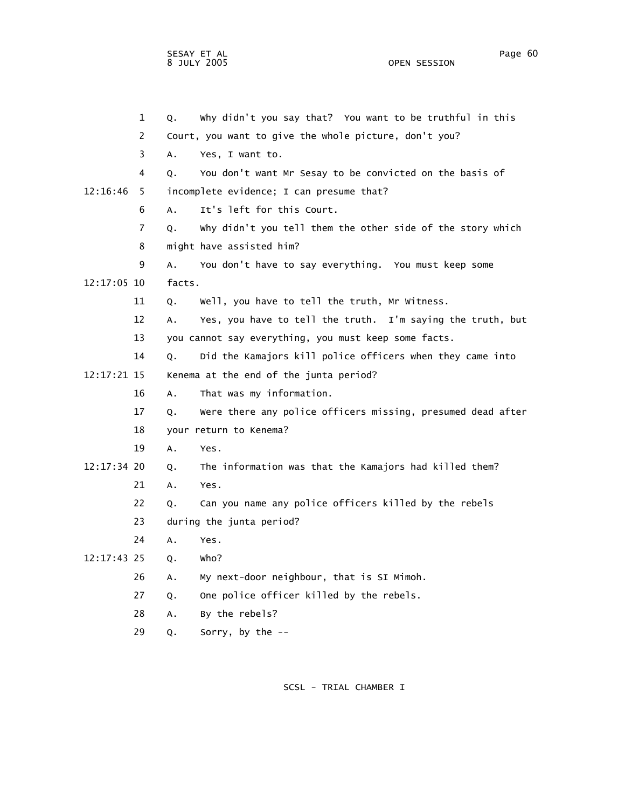OPEN SESSION

 1 Q. Why didn't you say that? You want to be truthful in this 2 Court, you want to give the whole picture, don't you? 3 A. Yes, I want to. 4 Q. You don't want Mr Sesay to be convicted on the basis of 12:16:46 5 incomplete evidence; I can presume that? 6 A. It's left for this Court. 7 Q. Why didn't you tell them the other side of the story which 8 might have assisted him? 9 A. You don't have to say everything. You must keep some 12:17:05 10 facts. 11 Q. Well, you have to tell the truth, Mr Witness. 12 A. Yes, you have to tell the truth. I'm saying the truth, but 13 you cannot say everything, you must keep some facts. 14 Q. Did the Kamajors kill police officers when they came into 12:17:21 15 Kenema at the end of the junta period? 16 A. That was my information. 17 Q. Were there any police officers missing, presumed dead after 18 your return to Kenema? 19 A. Yes. 12:17:34 20 Q. The information was that the Kamajors had killed them? 21 A. Yes. 22 Q. Can you name any police officers killed by the rebels 23 during the junta period? 24 A. Yes. 12:17:43 25 Q. Who? 26 A. My next-door neighbour, that is SI Mimoh. 27 Q. One police officer killed by the rebels. 28 A. By the rebels? 29 Q. Sorry, by the --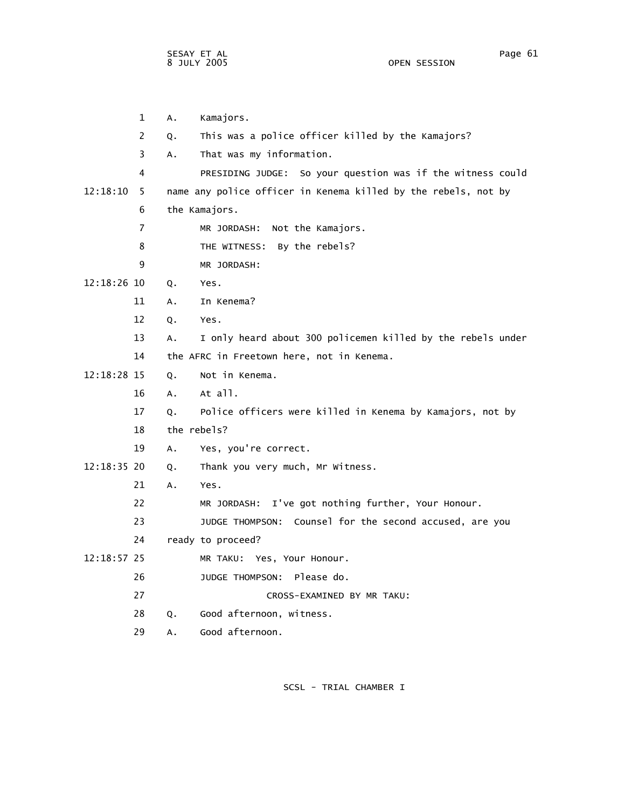1 A. Kamajors. 2 Q. This was a police officer killed by the Kamajors? 3 A. That was my information. 4 PRESIDING JUDGE: So your question was if the witness could 12:18:10 5 name any police officer in Kenema killed by the rebels, not by 6 the Kamajors. 7 MR JORDASH: Not the Kamajors. 8 THE WITNESS: By the rebels? 9 MR JORDASH: 12:18:26 10 Q. Yes. 11 A. In Kenema? 12 Q. Yes. 13 A. I only heard about 300 policemen killed by the rebels under 14 the AFRC in Freetown here, not in Kenema. 12:18:28 15 Q. Not in Kenema. 16 A. At all. 17 Q. Police officers were killed in Kenema by Kamajors, not by 18 the rebels? 19 A. Yes, you're correct. 12:18:35 20 Q. Thank you very much, Mr Witness. 21 A. Yes. 22 MR JORDASH: I've got nothing further, Your Honour. 23 JUDGE THOMPSON: Counsel for the second accused, are you 24 ready to proceed? 12:18:57 25 MR TAKU: Yes, Your Honour. 26 JUDGE THOMPSON: Please do. 27 CROSS-EXAMINED BY MR TAKU: 28 Q. Good afternoon, witness. 29 A. Good afternoon.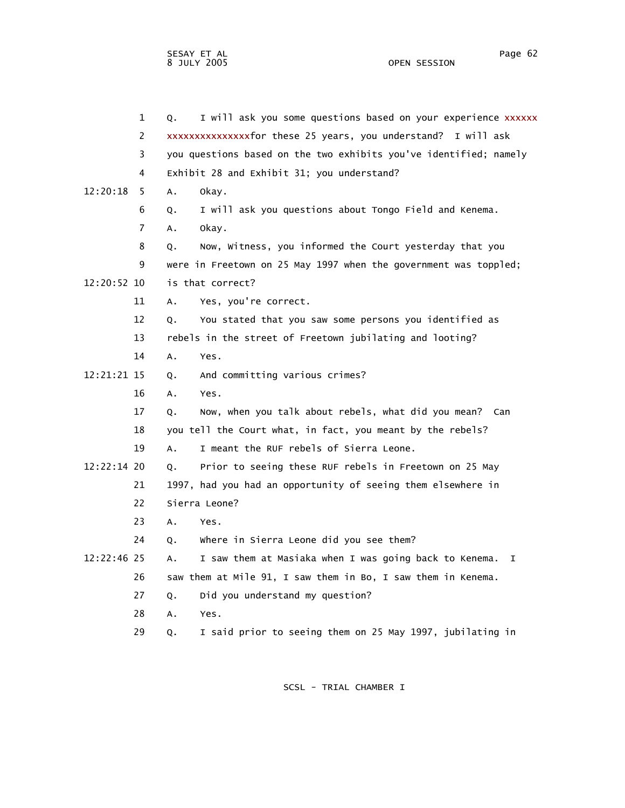|             | $\mathbf{1}$   | Q. | I will ask you some questions based on your experience xxxxxx     |
|-------------|----------------|----|-------------------------------------------------------------------|
|             | 2              |    | xxxxxxxxxxxxxxfor these 25 years, you understand? I will ask      |
|             | 3              |    | you questions based on the two exhibits you've identified; namely |
|             | 4              |    | Exhibit 28 and Exhibit 31; you understand?                        |
| 12:20:18    | 5.             | А. | okay.                                                             |
|             | 6              | Q. | I will ask you questions about Tongo Field and Kenema.            |
|             | $\overline{7}$ | А. | okay.                                                             |
|             | 8              | Q. | Now, Witness, you informed the Court yesterday that you           |
|             | 9              |    | were in Freetown on 25 May 1997 when the government was toppled;  |
| 12:20:52 10 |                |    | is that correct?                                                  |
|             | 11             | А. | Yes, you're correct.                                              |
|             | 12             | Q. | You stated that you saw some persons you identified as            |
|             | 13             |    | rebels in the street of Freetown jubilating and looting?          |
|             | 14             | А. | Yes.                                                              |
| 12:21:21 15 |                | Q. | And committing various crimes?                                    |
|             | 16             | А. | Yes.                                                              |
|             | 17             | Q. | Now, when you talk about rebels, what did you mean? Can           |
|             | 18             |    | you tell the Court what, in fact, you meant by the rebels?        |
|             | 19             | А. | I meant the RUF rebels of Sierra Leone.                           |
| 12:22:14 20 |                | Q. | Prior to seeing these RUF rebels in Freetown on 25 May            |
|             | 21             |    | 1997, had you had an opportunity of seeing them elsewhere in      |
|             | 22             |    | Sierra Leone?                                                     |
|             | 23             | Α. | Yes.                                                              |
|             | 24             | Q. | Where in Sierra Leone did you see them?                           |
| 12:22:46 25 |                | А. | I saw them at Masiaka when I was going back to Kenema.<br>I.      |
|             | 26             |    | saw them at Mile 91, I saw them in Bo, I saw them in Kenema.      |
|             | 27             | Q. | Did you understand my question?                                   |
|             | 28             | Α. | Yes.                                                              |
|             | 29             | Q. | I said prior to seeing them on 25 May 1997, jubilating in         |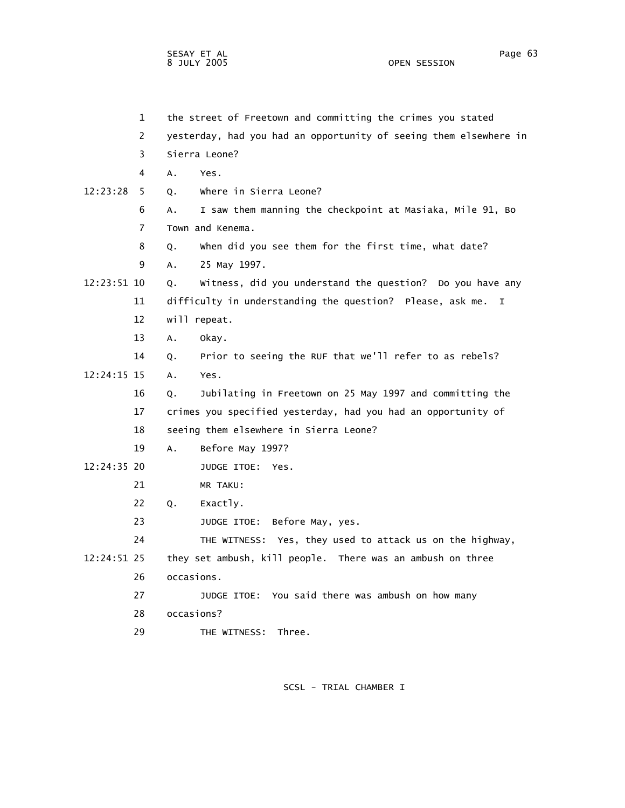1 the street of Freetown and committing the crimes you stated 2 yesterday, had you had an opportunity of seeing them elsewhere in 3 Sierra Leone? 4 A. Yes. 12:23:28 5 Q. Where in Sierra Leone? 6 A. I saw them manning the checkpoint at Masiaka, Mile 91, Bo 7 Town and Kenema. 8 Q. When did you see them for the first time, what date? 9 A. 25 May 1997. 12:23:51 10 Q. Witness, did you understand the question? Do you have any 11 difficulty in understanding the question? Please, ask me. I 12 will repeat. 13 A. Okay. 14 Q. Prior to seeing the RUF that we'll refer to as rebels? 12:24:15 15 A. Yes. 16 Q. Jubilating in Freetown on 25 May 1997 and committing the 17 crimes you specified yesterday, had you had an opportunity of 18 seeing them elsewhere in Sierra Leone? 19 A. Before May 1997? 12:24:35 20 JUDGE ITOE: Yes. 21 MR TAKU: 22 Q. Exactly. 23 JUDGE ITOE: Before May, yes. 24 THE WITNESS: Yes, they used to attack us on the highway, 12:24:51 25 they set ambush, kill people. There was an ambush on three 26 occasions. 27 JUDGE ITOE: You said there was ambush on how many 28 occasions? 29 THE WITNESS: Three.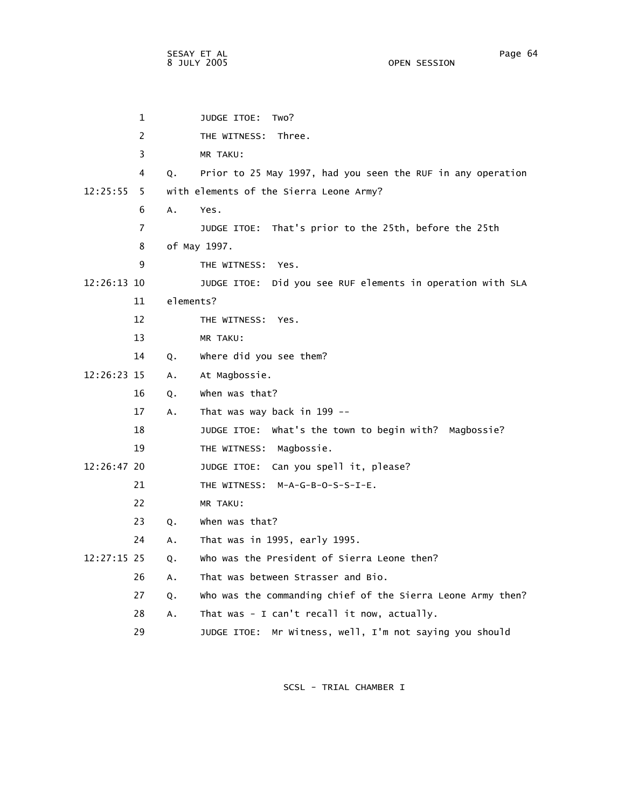1 JUDGE ITOE: Two? 2 THE WITNESS: Three. 3 MR TAKU: 4 Q. Prior to 25 May 1997, had you seen the RUF in any operation 12:25:55 5 with elements of the Sierra Leone Army? 6 A. Yes. 7 JUDGE ITOE: That's prior to the 25th, before the 25th 8 of May 1997. 9 THE WITNESS: Yes. 12:26:13 10 JUDGE ITOE: Did you see RUF elements in operation with SLA 11 elements? 12 THE WITNESS: Yes. 13 MR TAKU: 14 Q. Where did you see them? 12:26:23 15 A. At Magbossie. 16 Q. When was that? 17 A. That was way back in 199 -- 18 JUDGE ITOE: What's the town to begin with? Magbossie? 19 THE WITNESS: Magbossie. 12:26:47 20 JUDGE ITOE: Can you spell it, please? 21 THE WITNESS: M-A-G-B-O-S-S-I-E. 22 MR TAKU: 23 Q. When was that? 24 A. That was in 1995, early 1995. 12:27:15 25 Q. Who was the President of Sierra Leone then? 26 A. That was between Strasser and Bio. 27 Q. Who was the commanding chief of the Sierra Leone Army then? 28 A. That was - I can't recall it now, actually. 29 JUDGE ITOE: Mr Witness, well, I'm not saying you should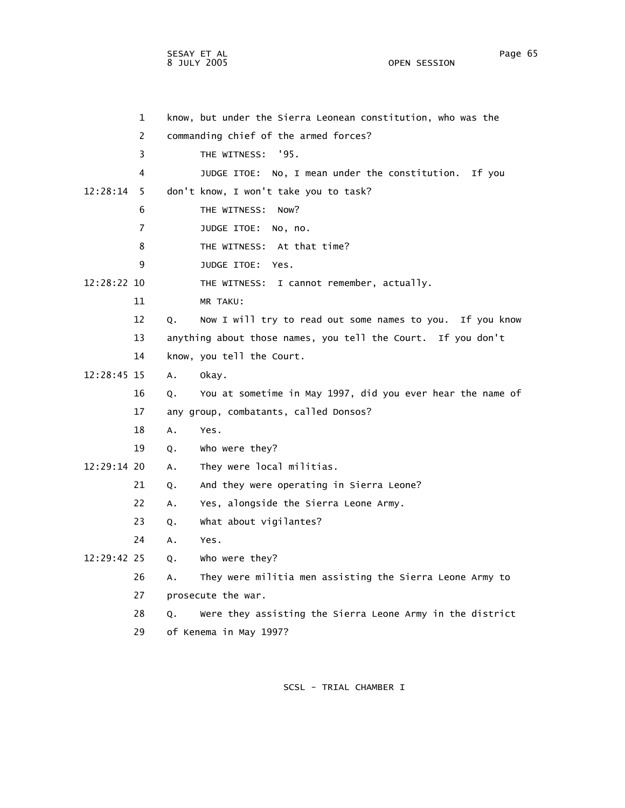OPEN SESSION

 1 know, but under the Sierra Leonean constitution, who was the 2 commanding chief of the armed forces? 3 THE WITNESS: '95. 4 JUDGE ITOE: No, I mean under the constitution. If you 12:28:14 5 don't know, I won't take you to task? 6 THE WITNESS: Now? 7 JUDGE ITOE: No, no. 8 THE WITNESS: At that time? 9 JUDGE ITOE: Yes. 12:28:22 10 THE WITNESS: I cannot remember, actually. 11 MR TAKU: 12 Q. Now I will try to read out some names to you. If you know 13 anything about those names, you tell the Court. If you don't 14 know, you tell the Court. 12:28:45 15 A. Okay. 16 Q. You at sometime in May 1997, did you ever hear the name of 17 any group, combatants, called Donsos? 18 A. Yes. 19 Q. Who were they? 12:29:14 20 A. They were local militias. 21 Q. And they were operating in Sierra Leone? 22 A. Yes, alongside the Sierra Leone Army. 23 Q. What about vigilantes? 24 A. Yes. 12:29:42 25 Q. Who were they? 26 A. They were militia men assisting the Sierra Leone Army to 27 prosecute the war.

28 Q. Were they assisting the Sierra Leone Army in the district

29 of Kenema in May 1997?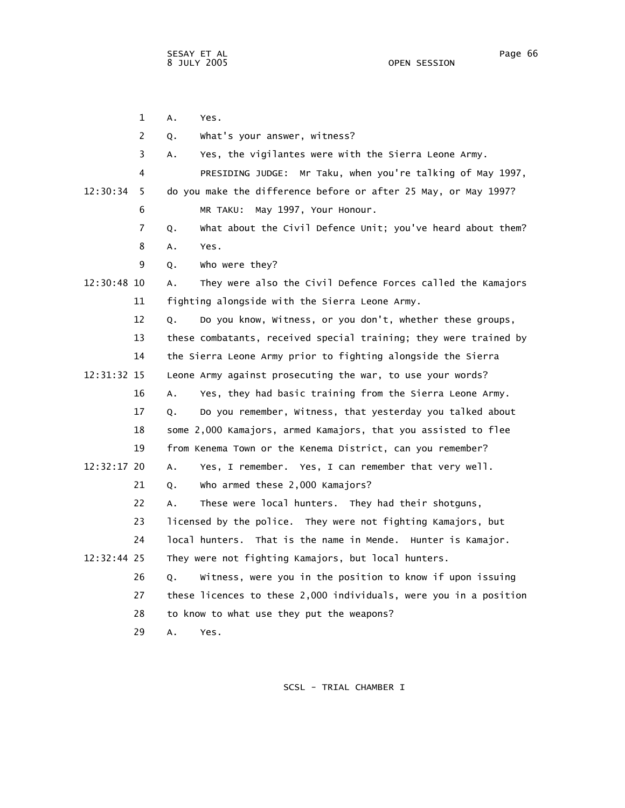|               | 1              | Α.<br>Yes.                                                        |  |
|---------------|----------------|-------------------------------------------------------------------|--|
|               | $\overline{2}$ | What's your answer, witness?<br>Q.                                |  |
|               | 3              | Yes, the vigilantes were with the Sierra Leone Army.<br>А.        |  |
|               | 4              | PRESIDING JUDGE: Mr Taku, when you're talking of May 1997,        |  |
| 12:30:34      | 5              | do you make the difference before or after 25 May, or May 1997?   |  |
|               | 6              | May 1997, Your Honour.<br>MR TAKU:                                |  |
|               | $\overline{7}$ | What about the Civil Defence Unit; you've heard about them?<br>Q. |  |
|               | 8              | Α.<br>Yes.                                                        |  |
|               | 9              | who were they?<br>Q.                                              |  |
| 12:30:48 10   |                | They were also the Civil Defence Forces called the Kamajors<br>А. |  |
|               | 11             | fighting alongside with the Sierra Leone Army.                    |  |
|               | 12             | Do you know, Witness, or you don't, whether these groups,<br>Q.   |  |
|               | 13             | these combatants, received special training; they were trained by |  |
|               | 14             | the Sierra Leone Army prior to fighting alongside the Sierra      |  |
| 12:31:32 15   |                | Leone Army against prosecuting the war, to use your words?        |  |
|               | 16             | Yes, they had basic training from the Sierra Leone Army.<br>Α.    |  |
|               | 17             | Do you remember, Witness, that yesterday you talked about<br>Q.   |  |
|               | 18             | some 2,000 Kamajors, armed Kamajors, that you assisted to flee    |  |
|               | 19             | from Kenema Town or the Kenema District, can you remember?        |  |
| $12:32:17$ 20 |                | Yes, I remember. Yes, I can remember that very well.<br>Α.        |  |
|               | 21             | who armed these 2,000 Kamajors?<br>Q.                             |  |
|               | 22             | These were local hunters. They had their shotguns,<br>A.          |  |
|               | 23             | licensed by the police. They were not fighting Kamajors, but      |  |
|               | 24             | local hunters. That is the name in Mende. Hunter is Kamajor.      |  |
| 12:32:44 25   |                | They were not fighting Kamajors, but local hunters.               |  |
|               | 26             | Witness, were you in the position to know if upon issuing<br>Q.   |  |
|               | 27             | these licences to these 2,000 individuals, were you in a position |  |
|               | 28             | to know to what use they put the weapons?                         |  |
|               | 29             | A.<br>Yes.                                                        |  |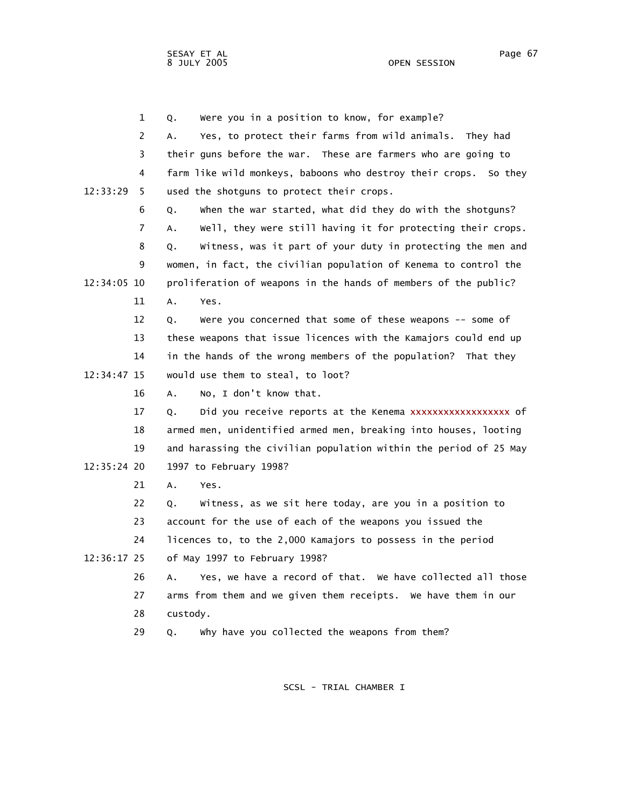OPEN SESSION

 1 Q. Were you in a position to know, for example? 2 A. Yes, to protect their farms from wild animals. They had 3 their guns before the war. These are farmers who are going to 4 farm like wild monkeys, baboons who destroy their crops. So they 12:33:29 5 used the shotguns to protect their crops. 6 Q. When the war started, what did they do with the shotguns? 7 A. Well, they were still having it for protecting their crops. 8 Q. Witness, was it part of your duty in protecting the men and 9 women, in fact, the civilian population of Kenema to control the 12:34:05 10 proliferation of weapons in the hands of members of the public? 11 A. Yes. 12 Q. Were you concerned that some of these weapons -- some of 13 these weapons that issue licences with the Kamajors could end up 14 in the hands of the wrong members of the population? That they 12:34:47 15 would use them to steal, to loot? 16 A. No, I don't know that. 17 Q. Did you receive reports at the Kenema xxxxxxxxxxxxxxxxx of 18 armed men, unidentified armed men, breaking into houses, looting 19 and harassing the civilian population within the period of 25 May 12:35:24 20 1997 to February 1998? 21 A. Yes. 22 Q. Witness, as we sit here today, are you in a position to 23 account for the use of each of the weapons you issued the 24 licences to, to the 2,000 Kamajors to possess in the period 12:36:17 25 of May 1997 to February 1998? 26 A. Yes, we have a record of that. We have collected all those 27 arms from them and we given them receipts. We have them in our 28 custody. 29 Q. Why have you collected the weapons from them?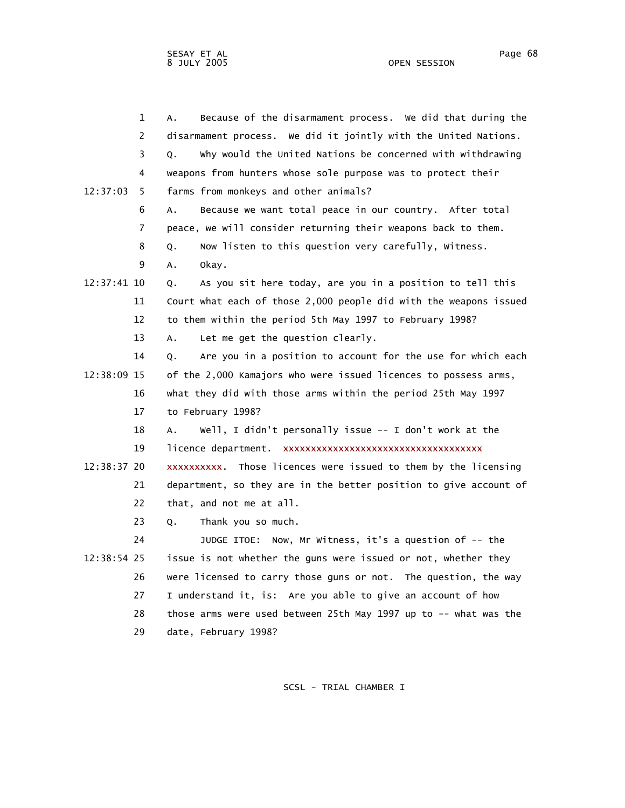|             | $\mathbf 1$ | Because of the disarmament process. We did that during the<br>А.  |
|-------------|-------------|-------------------------------------------------------------------|
|             | 2           | disarmament process. We did it jointly with the United Nations.   |
|             | 3           | Why would the United Nations be concerned with withdrawing<br>Q.  |
|             | 4           | weapons from hunters whose sole purpose was to protect their      |
| 12:37:03    | 5           | farms from monkeys and other animals?                             |
|             | 6           | Because we want total peace in our country. After total<br>А.     |
|             | 7           | peace, we will consider returning their weapons back to them.     |
|             | 8           | Now listen to this question very carefully, Witness.<br>Q.        |
|             | 9           | А.<br>okay.                                                       |
| 12:37:41 10 |             | As you sit here today, are you in a position to tell this<br>Q.   |
|             | 11          | Court what each of those 2,000 people did with the weapons issued |
|             | 12          | to them within the period 5th May 1997 to February 1998?          |
|             | 13          | Let me get the question clearly.<br>А.                            |
|             | 14          | Are you in a position to account for the use for which each<br>Q. |
| 12:38:09 15 |             | of the 2,000 Kamajors who were issued licences to possess arms,   |
|             | 16          | what they did with those arms within the period 25th May 1997     |
|             | 17          | to February 1998?                                                 |
|             | 18          | Well, I didn't personally issue -- I don't work at the<br>А.      |
|             | 19          | licence department. xxxxxxxxxxxxxxxxxxxxxxxxxxxxxxxxxx            |
| 12:38:37 20 |             | xxxxxxxxxx. Those licences were issued to them by the licensing   |
|             | 21          | department, so they are in the better position to give account of |
|             | 22          | that, and not me at all.                                          |
|             | 23          | Thank you so much.<br>Q.                                          |
|             | 24          | JUDGE ITOE: Now, Mr Witness, it's a question of -- the            |
| 12:38:54 25 |             | issue is not whether the guns were issued or not, whether they    |
|             | 26          | were licensed to carry those guns or not. The question, the way   |
|             | 27          | I understand it, is: Are you able to give an account of how       |
|             | 28          | those arms were used between 25th May 1997 up to -- what was the  |
|             | 29          | date, February 1998?                                              |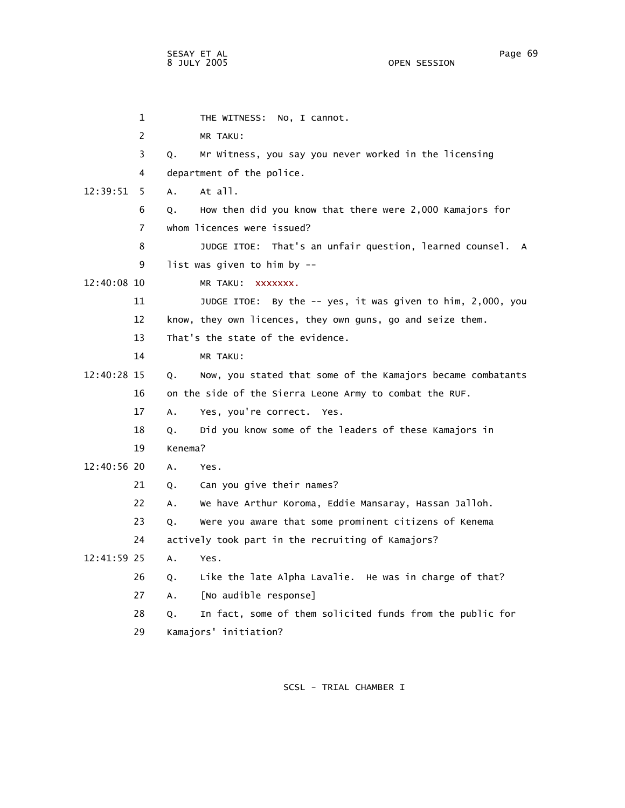| 1              |         | No, I cannot.<br>THE WITNESS:                               |
|----------------|---------|-------------------------------------------------------------|
| 2              |         | MR TAKU:                                                    |
| 3              | Q.      | Mr Witness, you say you never worked in the licensing       |
| 4              |         | department of the police.                                   |
| 12:39:51<br>5. | Α.      | At all.                                                     |
| 6              | Q.      | How then did you know that there were 2,000 Kamajors for    |
| 7              |         | whom licences were issued?                                  |
| 8              |         | JUDGE ITOE: That's an unfair question, learned counsel. A   |
| 9              |         | list was given to him by $-$                                |
| 12:40:08 10    |         | MR TAKU: XXXXXXX.                                           |
| 11             |         | JUDGE ITOE: By the -- yes, it was given to him, 2,000, you  |
| 12             |         | know, they own licences, they own guns, go and seize them.  |
| 13             |         | That's the state of the evidence.                           |
| 14             |         | MR TAKU:                                                    |
| 12:40:28 15    | Q.      | Now, you stated that some of the Kamajors became combatants |
| 16             |         | on the side of the Sierra Leone Army to combat the RUF.     |
| 17             | A.      | Yes, you're correct. Yes.                                   |
| 18             | Q.      | Did you know some of the leaders of these Kamajors in       |
| 19             | Kenema? |                                                             |
| 12:40:56 20    | Α.      | Yes.                                                        |
| 21             | Q.      | Can you give their names?                                   |
| 22             | A.      | We have Arthur Koroma, Eddie Mansaray, Hassan Jalloh.       |
| 23             | Q.      | Were you aware that some prominent citizens of Kenema       |
| 24             |         | actively took part in the recruiting of Kamajors?           |
| 12:41:59 25    | A.      | Yes.                                                        |
| 26             | Q.      | Like the late Alpha Lavalie. He was in charge of that?      |
| 27             | Α.      | [No audible response]                                       |
| 28             | О.      | In fact, some of them solicited funds from the public for   |
| 29             |         | Kamajors' initiation?                                       |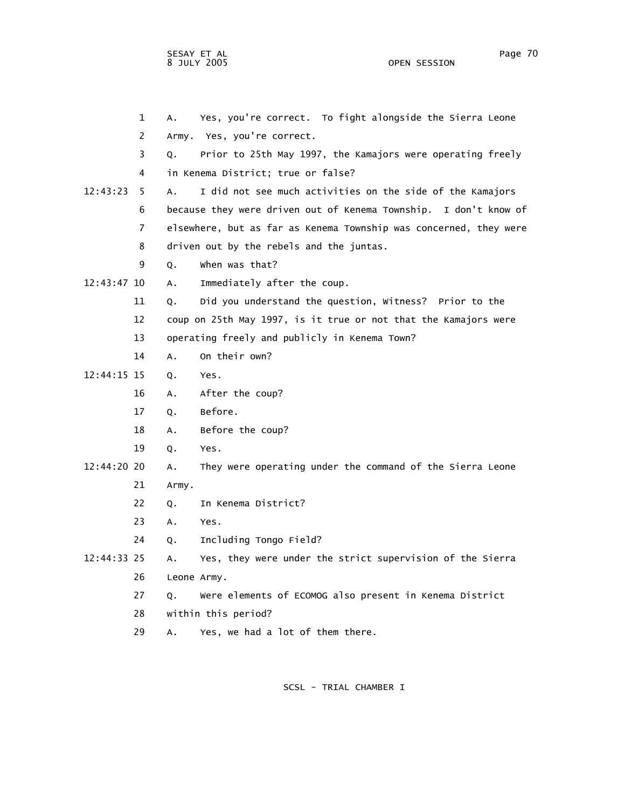OPEN SESSION

 1 A. Yes, you're correct. To fight alongside the Sierra Leone 2 Army. Yes, you're correct. 3 Q. Prior to 25th May 1997, the Kamajors were operating freely 4 in Kenema District; true or false? 12:43:23 5 A. I did not see much activities on the side of the Kamajors 6 because they were driven out of Kenema Township. I don't know of 7 elsewhere, but as far as Kenema Township was concerned, they were 8 driven out by the rebels and the juntas. 9 Q. When was that? 12:43:47 10 A. Immediately after the coup. 11 Q. Did you understand the question, Witness? Prior to the 12 coup on 25th May 1997, is it true or not that the Kamajors were 13 operating freely and publicly in Kenema Town? 14 A. On their own? 12:44:15 15 Q. Yes. 16 A. After the coup? 17 Q. Before. 18 A. Before the coup? 19 Q. Yes. 12:44:20 20 A. They were operating under the command of the Sierra Leone 21 Army. 22 Q. In Kenema District? 23 A. Yes. 24 Q. Including Tongo Field? 12:44:33 25 A. Yes, they were under the strict supervision of the Sierra 26 Leone Army. 27 Q. Were elements of ECOMOG also present in Kenema District

28 within this period?

29 A. Yes, we had a lot of them there.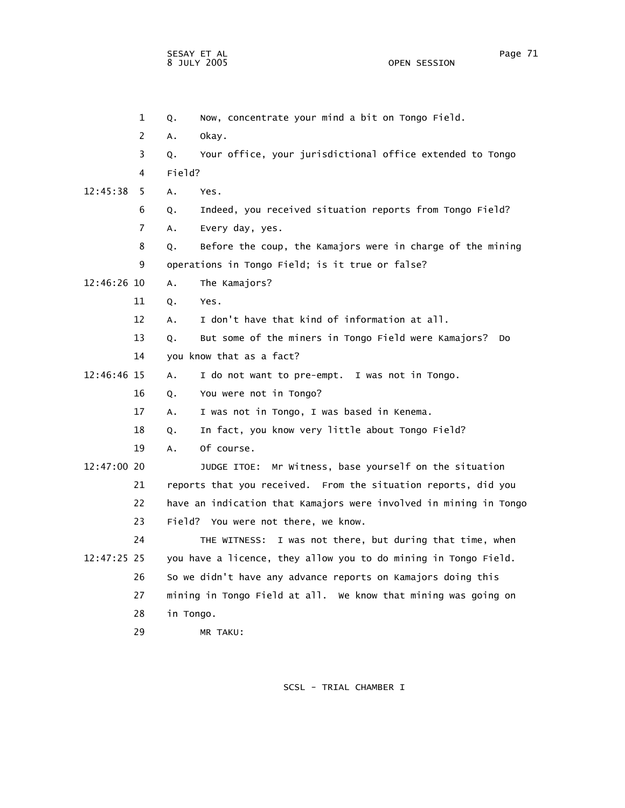1 Q. Now, concentrate your mind a bit on Tongo Field. 2 A. Okay. 3 Q. Your office, your jurisdictional office extended to Tongo 4 Field? 12:45:38 5 A. Yes. 6 Q. Indeed, you received situation reports from Tongo Field? 7 A. Every day, yes. 8 Q. Before the coup, the Kamajors were in charge of the mining 9 operations in Tongo Field; is it true or false? 12:46:26 10 A. The Kamajors? 11 Q. Yes. 12 A. I don't have that kind of information at all. 13 Q. But some of the miners in Tongo Field were Kamajors? Do 14 you know that as a fact? 12:46:46 15 A. I do not want to pre-empt. I was not in Tongo. 16 Q. You were not in Tongo? 17 A. I was not in Tongo, I was based in Kenema. 18 Q. In fact, you know very little about Tongo Field? 19 A. Of course. 12:47:00 20 JUDGE ITOE: Mr Witness, base yourself on the situation 21 reports that you received. From the situation reports, did you 22 have an indication that Kamajors were involved in mining in Tongo 23 Field? You were not there, we know. 24 THE WITNESS: I was not there, but during that time, when 12:47:25 25 you have a licence, they allow you to do mining in Tongo Field. 26 So we didn't have any advance reports on Kamajors doing this 27 mining in Tongo Field at all. We know that mining was going on 28 in Tongo. 29 MR TAKU: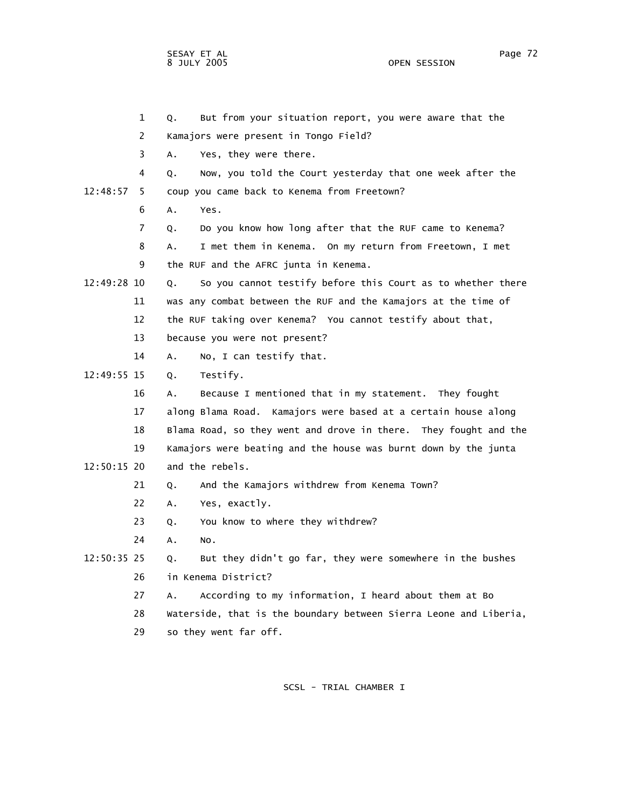OPEN SESSION

 1 Q. But from your situation report, you were aware that the 2 Kamajors were present in Tongo Field? 3 A. Yes, they were there. 4 Q. Now, you told the Court yesterday that one week after the 12:48:57 5 coup you came back to Kenema from Freetown? 6 A. Yes. 7 Q. Do you know how long after that the RUF came to Kenema? 8 A. I met them in Kenema. On my return from Freetown, I met 9 the RUF and the AFRC junta in Kenema. 12:49:28 10 Q. So you cannot testify before this Court as to whether there 11 was any combat between the RUF and the Kamajors at the time of 12 the RUF taking over Kenema? You cannot testify about that, 13 because you were not present? 14 A. No, I can testify that. 12:49:55 15 Q. Testify. 16 A. Because I mentioned that in my statement. They fought 17 along Blama Road. Kamajors were based at a certain house along 18 Blama Road, so they went and drove in there. They fought and the 19 Kamajors were beating and the house was burnt down by the junta 12:50:15 20 and the rebels. 21 Q. And the Kamajors withdrew from Kenema Town? 22 A. Yes, exactly. 23 Q. You know to where they withdrew? 24 A. No. 12:50:35 25 Q. But they didn't go far, they were somewhere in the bushes 26 in Kenema District? 27 A. According to my information, I heard about them at Bo 28 Waterside, that is the boundary between Sierra Leone and Liberia, 29 so they went far off.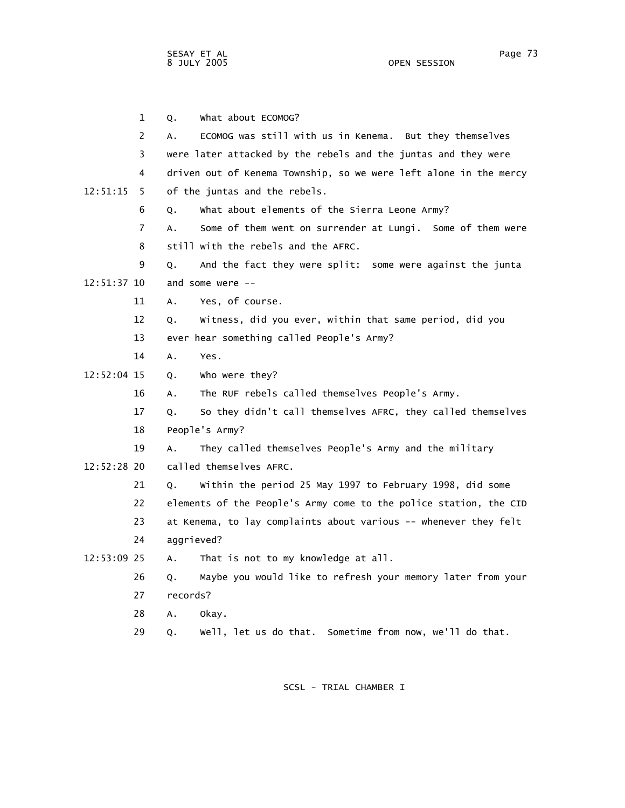1 Q. What about ECOMOG? 2 A. ECOMOG was still with us in Kenema. But they themselves 3 were later attacked by the rebels and the juntas and they were 4 driven out of Kenema Township, so we were left alone in the mercy 12:51:15 5 of the juntas and the rebels. 6 Q. What about elements of the Sierra Leone Army? 7 A. Some of them went on surrender at Lungi. Some of them were 8 still with the rebels and the AFRC. 9 Q. And the fact they were split: some were against the junta 12:51:37 10 and some were -- 11 A. Yes, of course. 12 Q. Witness, did you ever, within that same period, did you 13 ever hear something called People's Army? 14 A. Yes. 12:52:04 15 Q. Who were they? 16 A. The RUF rebels called themselves People's Army. 17 Q. So they didn't call themselves AFRC, they called themselves 18 People's Army? 19 A. They called themselves People's Army and the military 12:52:28 20 called themselves AFRC. 21 Q. Within the period 25 May 1997 to February 1998, did some 22 elements of the People's Army come to the police station, the CID 23 at Kenema, to lay complaints about various -- whenever they felt 24 aggrieved? 12:53:09 25 A. That is not to my knowledge at all. 26 Q. Maybe you would like to refresh your memory later from your 27 records? 28 A. Okay. 29 Q. Well, let us do that. Sometime from now, we'll do that.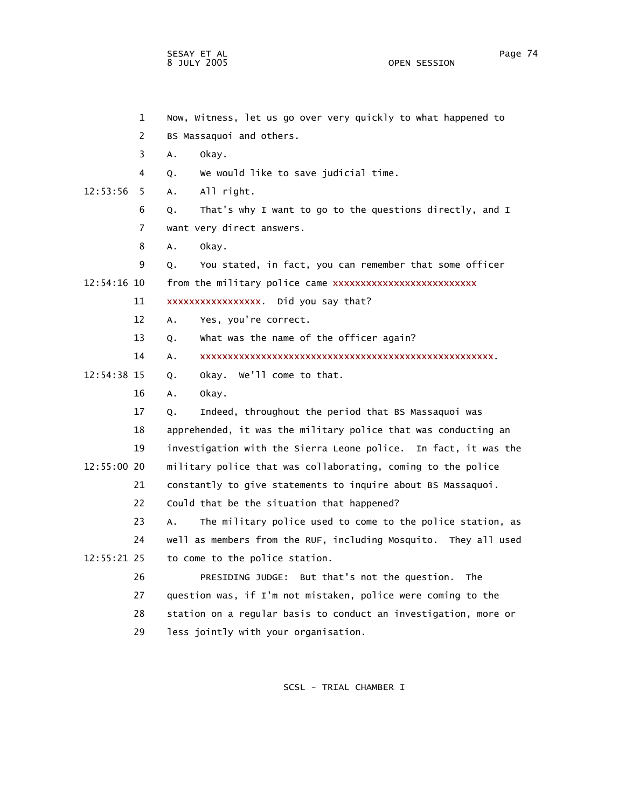OPEN SESSION

|             | $\mathbf{1}$ | Now, Witness, let us go over very quickly to what happened to    |
|-------------|--------------|------------------------------------------------------------------|
|             | 2            | BS Massaquoi and others.                                         |
|             | 3            | Α.<br>okay.                                                      |
|             | 4            | We would like to save judicial time.<br>Q.                       |
| 12:53:56    | 5.           | A.<br>All right.                                                 |
|             | 6            | That's why I want to go to the questions directly, and I<br>Q.   |
|             | 7            | want very direct answers.                                        |
|             | 8            | Α.<br>okay.                                                      |
|             | 9            | You stated, in fact, you can remember that some officer<br>Q.    |
| 12:54:16 10 |              | from the military police came xxxxxxxxxxxxxxxxxxxxxxxxxx         |
|             | 11           | xxxxxxxxxxxxxxxx. Did you say that?                              |
|             | 12           | Yes, you're correct.<br>A.                                       |
|             | 13           | What was the name of the officer again?<br>Q.                    |
|             | 14           | Α.                                                               |
| 12:54:38 15 |              | Okay. We'll come to that.<br>0.                                  |
|             | 16           | Α.<br>okay.                                                      |
|             | 17           | Indeed, throughout the period that BS Massaquoi was<br>Q.        |
|             | 18           | apprehended, it was the military police that was conducting an   |
|             | 19           | investigation with the Sierra Leone police. In fact, it was the  |
| 12:55:00 20 |              | military police that was collaborating, coming to the police     |
|             | 21           | constantly to give statements to inquire about BS Massaquoi.     |
|             | 22           | Could that be the situation that happened?                       |
|             | 23           | The military police used to come to the police station, as<br>А. |
|             | 24           | well as members from the RUF, including Mosquito. They all used  |
| 12:55:21 25 |              | to come to the police station.                                   |
|             | 26           | PRESIDING JUDGE: But that's not the question.<br>The             |
|             | 27           | question was, if I'm not mistaken, police were coming to the     |
|             | 28           | station on a regular basis to conduct an investigation, more or  |
|             | 29           | less jointly with your organisation.                             |
|             |              |                                                                  |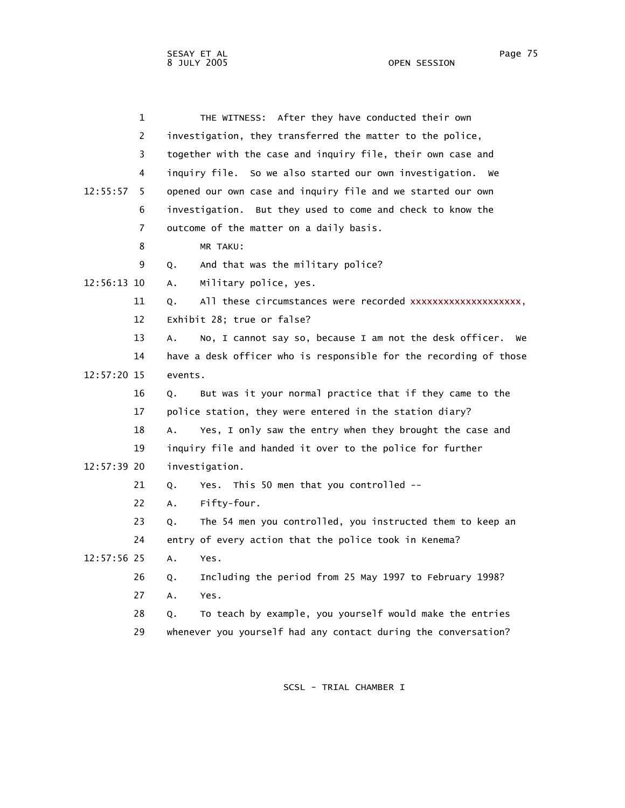|             | 1              | THE WITNESS: After they have conducted their own                    |
|-------------|----------------|---------------------------------------------------------------------|
|             | $\overline{2}$ | investigation, they transferred the matter to the police,           |
|             | 3              | together with the case and inquiry file, their own case and         |
|             | 4              | inquiry file. So we also started our own investigation. We          |
| 12:55:57    | 5.             | opened our own case and inquiry file and we started our own         |
|             | 6              | investigation. But they used to come and check to know the          |
|             | 7              | outcome of the matter on a daily basis.                             |
|             | 8              | MR TAKU:                                                            |
|             | 9              | And that was the military police?<br>Q.                             |
| 12:56:13 10 |                | Military police, yes.<br>Α.                                         |
|             | 11             | Q.                                                                  |
|             | 12             | Exhibit 28; true or false?                                          |
|             | 13             | No, I cannot say so, because I am not the desk officer.<br>Α.<br>we |
|             | 14             | have a desk officer who is responsible for the recording of those   |
| 12:57:20 15 |                | events.                                                             |
|             | 16             | But was it your normal practice that if they came to the<br>Q.      |
|             | 17             | police station, they were entered in the station diary?             |
|             | 18             | Yes, I only saw the entry when they brought the case and<br>А.      |
|             | 19             | inquiry file and handed it over to the police for further           |
| 12:57:39 20 |                | investigation.                                                      |
|             | 21             | Yes. This 50 men that you controlled --<br>Q.                       |
|             | 22             | Fifty-four.<br>A.                                                   |
|             | 23             | The 54 men you controlled, you instructed them to keep an<br>Q.     |
|             | 24             | entry of every action that the police took in Kenema?               |
| 12:57:56 25 |                | Α.<br>Yes.                                                          |
|             | 26             | Including the period from 25 May 1997 to February 1998?<br>Q.       |
|             | 27             | Yes.<br>А.                                                          |
|             | 28             | To teach by example, you yourself would make the entries<br>Q.      |
|             | 29             | whenever you yourself had any contact during the conversation?      |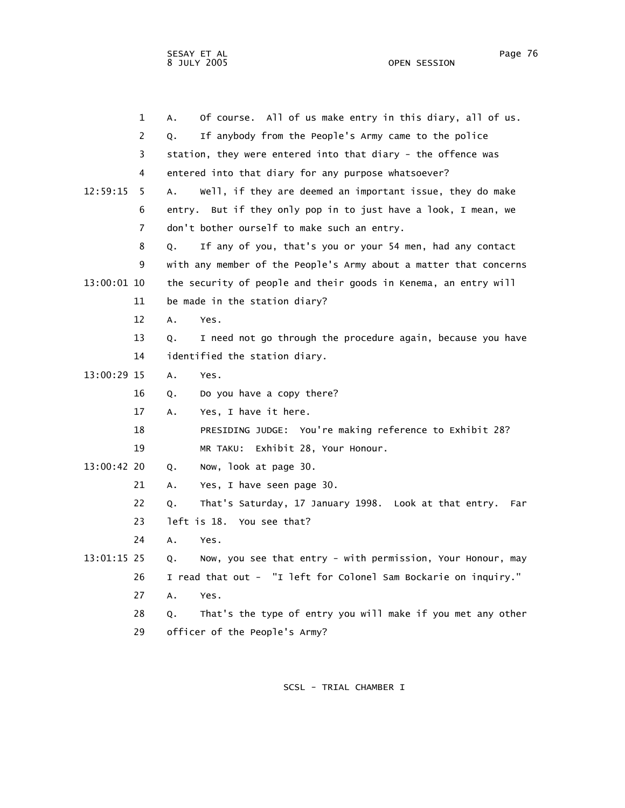OPEN SESSION

|             | $\mathbf 1$ | Of course. All of us make entry in this diary, all of us.<br>А.   |
|-------------|-------------|-------------------------------------------------------------------|
|             | 2           | If anybody from the People's Army came to the police<br>Q.        |
|             | 3           | station, they were entered into that diary - the offence was      |
|             | 4           | entered into that diary for any purpose whatsoever?               |
| 12:59:15    | 5.          | Well, if they are deemed an important issue, they do make<br>Α.   |
|             | 6           | But if they only pop in to just have a look, I mean, we<br>entry. |
|             | 7           | don't bother ourself to make such an entry.                       |
|             | 8           | If any of you, that's you or your 54 men, had any contact<br>0.   |
|             | 9           | with any member of the People's Army about a matter that concerns |
| 13:00:01 10 |             | the security of people and their goods in Kenema, an entry will   |
|             | 11          | be made in the station diary?                                     |
|             | 12          | Α.<br>Yes.                                                        |
|             | 13          | I need not go through the procedure again, because you have<br>Q. |
|             | 14          | identified the station diary.                                     |
| 13:00:29 15 |             | Α.<br>Yes.                                                        |
|             | 16          | Do you have a copy there?<br>Q.                                   |
|             | 17          | Yes, I have it here.<br>А.                                        |
|             | 18          | PRESIDING JUDGE: You're making reference to Exhibit 28?           |
|             | 19          | MR TAKU: Exhibit 28, Your Honour.                                 |
| 13:00:42 20 |             | Now, look at page 30.<br>Q.                                       |
|             | 21          | Yes, I have seen page 30.<br>А.                                   |
|             | 22          | That's Saturday, 17 January 1998. Look at that entry. Far<br>Q.   |
|             | 23          | left is 18. You see that?                                         |
|             | 24          | Α.<br>Yes.                                                        |
| 13:01:15 25 |             | Now, you see that entry - with permission, Your Honour, may<br>Q. |
|             | 26          | I read that out - "I left for Colonel Sam Bockarie on inquiry."   |
|             | 27          | Α.<br>Yes.                                                        |
|             | 28          | That's the type of entry you will make if you met any other<br>Q. |
|             | 29          | officer of the People's Army?                                     |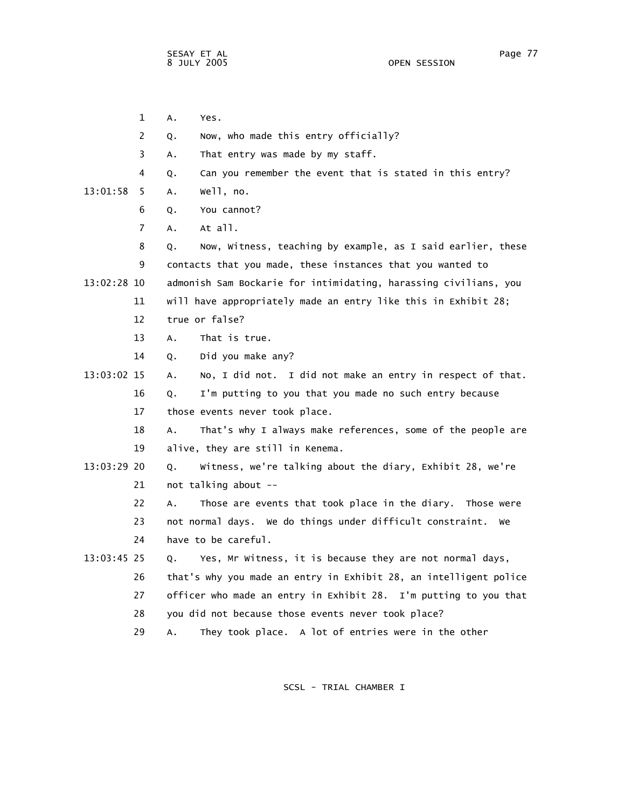1 A. Yes. 2 Q. Now, who made this entry officially? 3 A. That entry was made by my staff. 4 Q. Can you remember the event that is stated in this entry? 13:01:58 5 A. Well, no. 6 Q. You cannot? 7 A. At all. 8 Q. Now, Witness, teaching by example, as I said earlier, these 9 contacts that you made, these instances that you wanted to 13:02:28 10 admonish Sam Bockarie for intimidating, harassing civilians, you 11 will have appropriately made an entry like this in Exhibit 28; 12 true or false? 13 A. That is true. 14 Q. Did you make any? 13:03:02 15 A. No, I did not. I did not make an entry in respect of that. 16 Q. I'm putting to you that you made no such entry because 17 those events never took place. 18 A. That's why I always make references, some of the people are 19 alive, they are still in Kenema. 13:03:29 20 Q. Witness, we're talking about the diary, Exhibit 28, we're 21 not talking about -- 22 A. Those are events that took place in the diary. Those were 23 not normal days. We do things under difficult constraint. We 24 have to be careful. 13:03:45 25 Q. Yes, Mr Witness, it is because they are not normal days, 26 that's why you made an entry in Exhibit 28, an intelligent police 27 officer who made an entry in Exhibit 28. I'm putting to you that 28 you did not because those events never took place? 29 A. They took place. A lot of entries were in the other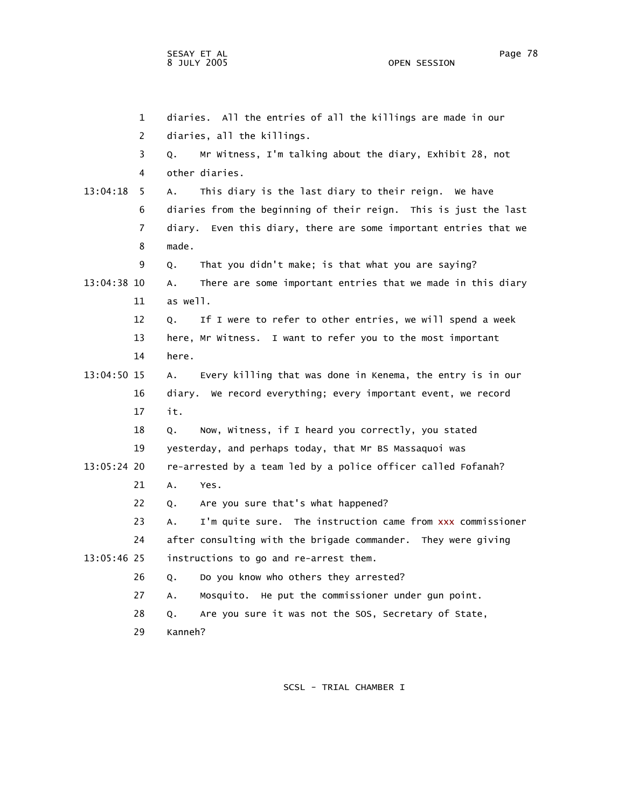1 diaries. All the entries of all the killings are made in our 2 diaries, all the killings. 3 Q. Mr Witness, I'm talking about the diary, Exhibit 28, not 4 other diaries. 13:04:18 5 A. This diary is the last diary to their reign. We have 6 diaries from the beginning of their reign. This is just the last 7 diary. Even this diary, there are some important entries that we 8 made. 9 Q. That you didn't make; is that what you are saying? 13:04:38 10 A. There are some important entries that we made in this diary 11 as well. 12 Q. If I were to refer to other entries, we will spend a week 13 here, Mr Witness. I want to refer you to the most important 14 here. 13:04:50 15 A. Every killing that was done in Kenema, the entry is in our 16 diary. We record everything; every important event, we record 17 it. 18 Q. Now, Witness, if I heard you correctly, you stated 19 yesterday, and perhaps today, that Mr BS Massaquoi was 13:05:24 20 re-arrested by a team led by a police officer called Fofanah? 21 A. Yes. 22 Q. Are you sure that's what happened? 23 A. I'm quite sure. The instruction came from xxx commissioner 24 after consulting with the brigade commander. They were giving 13:05:46 25 instructions to go and re-arrest them. 26 Q. Do you know who others they arrested? 27 A. Mosquito. He put the commissioner under gun point. 28 Q. Are you sure it was not the SOS, Secretary of State, 29 Kanneh?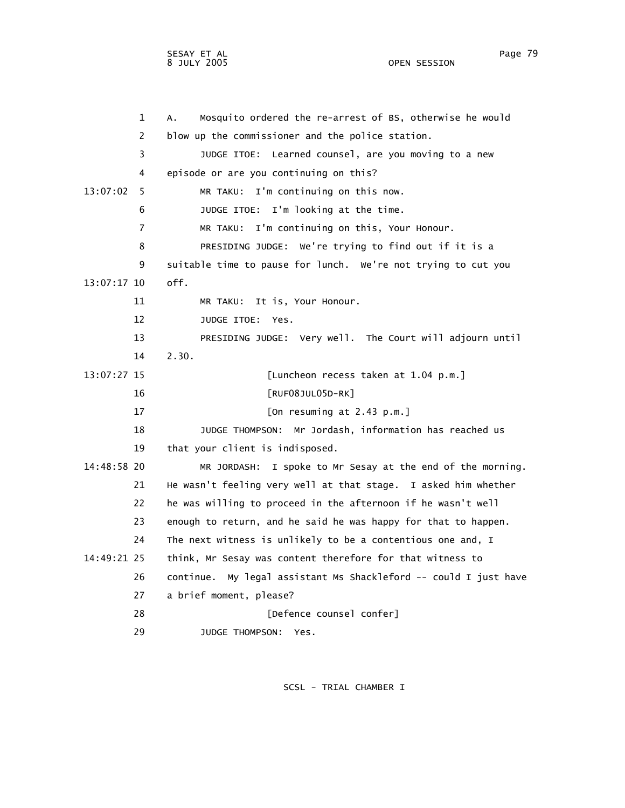OPEN SESSION

| 1             | Mosquito ordered the re-arrest of BS, otherwise he would<br>А.      |
|---------------|---------------------------------------------------------------------|
| 2             | blow up the commissioner and the police station.                    |
| 3             | JUDGE ITOE: Learned counsel, are you moving to a new                |
| 4             | episode or are you continuing on this?                              |
| 13:07:02<br>5 | MR TAKU: I'm continuing on this now.                                |
| 6             | JUDGE ITOE: I'm looking at the time.                                |
| 7             | MR TAKU: I'm continuing on this, Your Honour.                       |
| 8             | PRESIDING JUDGE: We're trying to find out if it is a                |
| 9             | suitable time to pause for lunch. We're not trying to cut you       |
| 13:07:17 10   | off.                                                                |
| 11            | MR TAKU: It is, Your Honour.                                        |
| 12            | JUDGE ITOE: Yes.                                                    |
| 13            | PRESIDING JUDGE: Very well. The Court will adjourn until            |
| 14            | 2.30.                                                               |
| 13:07:27 15   | [Luncheon recess taken at 1.04 p.m.]                                |
| 16            | $[RUF08JUL05D-RK]$                                                  |
| 17            | [On resuming at 2.43 p.m.]                                          |
| 18            | Mr Jordash, information has reached us<br>JUDGE THOMPSON:           |
| 19            | that your client is indisposed.                                     |
| 14:48:58 20   | MR JORDASH: I spoke to Mr Sesay at the end of the morning.          |
| 21            | He wasn't feeling very well at that stage. I asked him whether      |
| 22            | he was willing to proceed in the afternoon if he wasn't well        |
| 23            | enough to return, and he said he was happy for that to happen.      |
| 24            | The next witness is unlikely to be a contentious one and, I         |
| 14:49:21 25   | think, Mr Sesay was content therefore for that witness to           |
| 26            | My legal assistant Ms Shackleford -- could I just have<br>continue. |
| 27            | a brief moment, please?                                             |
| 28            | [Defence counsel confer]                                            |
| 29            | JUDGE THOMPSON:<br>Yes.                                             |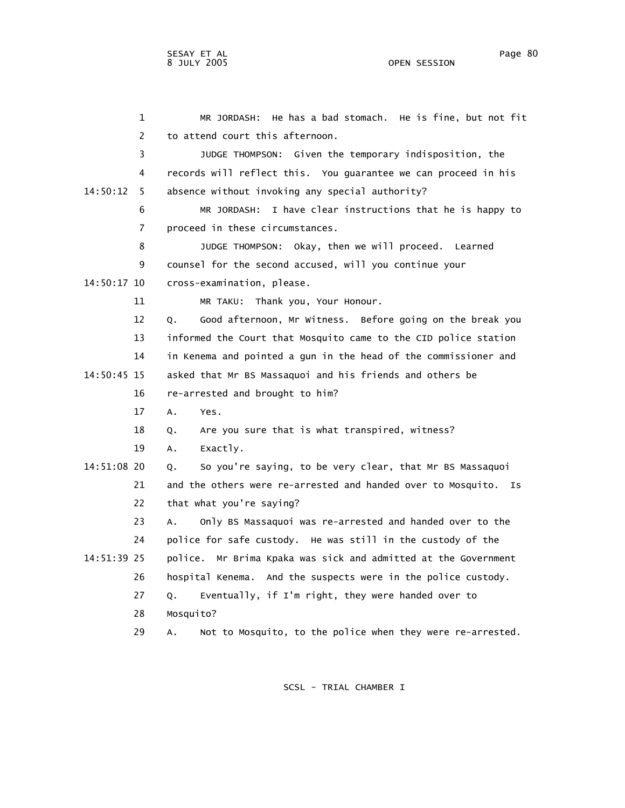1 MR JORDASH: He has a bad stomach. He is fine, but not fit 2 to attend court this afternoon. 3 JUDGE THOMPSON: Given the temporary indisposition, the 4 records will reflect this. You guarantee we can proceed in his 14:50:12 5 absence without invoking any special authority? 6 MR JORDASH: I have clear instructions that he is happy to 7 proceed in these circumstances. 8 JUDGE THOMPSON: Okay, then we will proceed. Learned 9 counsel for the second accused, will you continue your 14:50:17 10 cross-examination, please. 11 MR TAKU: Thank you, Your Honour. 12 Q. Good afternoon, Mr Witness. Before going on the break you 13 informed the Court that Mosquito came to the CID police station 14 in Kenema and pointed a gun in the head of the commissioner and 14:50:45 15 asked that Mr BS Massaquoi and his friends and others be 16 re-arrested and brought to him? 17 A. Yes. 18 Q. Are you sure that is what transpired, witness? 19 A. Exactly. 14:51:08 20 Q. So you're saying, to be very clear, that Mr BS Massaquoi 21 and the others were re-arrested and handed over to Mosquito. Is 22 that what you're saying? 23 A. Only BS Massaquoi was re-arrested and handed over to the 24 police for safe custody. He was still in the custody of the 14:51:39 25 police. Mr Brima Kpaka was sick and admitted at the Government 26 hospital Kenema. And the suspects were in the police custody.

27 Q. Eventually, if I'm right, they were handed over to

28 Mosquito?

29 A. Not to Mosquito, to the police when they were re-arrested.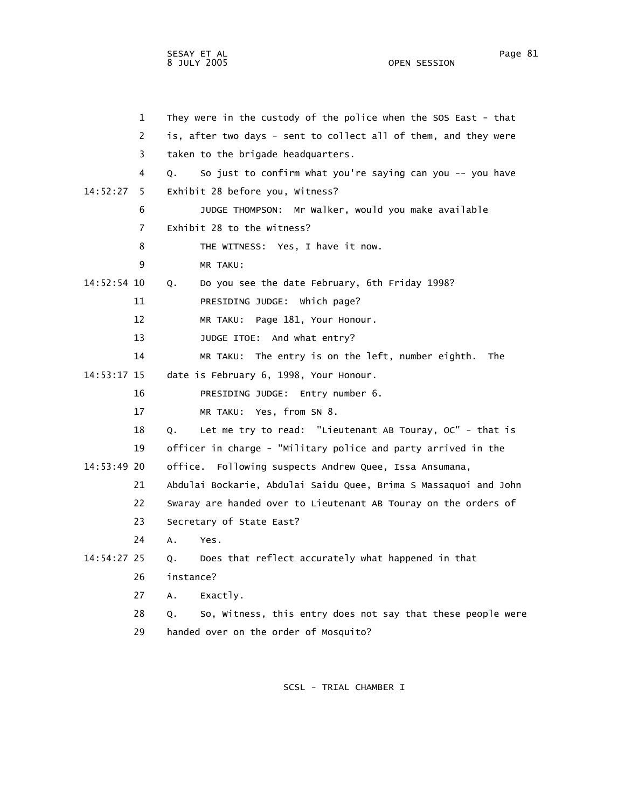OPEN SESSION

|             | $\mathbf{1}$   | They were in the custody of the police when the SOS East - that          |  |  |  |
|-------------|----------------|--------------------------------------------------------------------------|--|--|--|
|             | 2              | is, after two days - sent to collect all of them, and they were          |  |  |  |
|             | 3              | taken to the brigade headquarters.                                       |  |  |  |
|             | 4              | So just to confirm what you're saying can you -- you have<br>$Q_{\star}$ |  |  |  |
| 14:52:27 5  |                | Exhibit 28 before you, Witness?                                          |  |  |  |
|             | 6              | JUDGE THOMPSON: Mr Walker, would you make available                      |  |  |  |
|             | $\overline{7}$ | Exhibit 28 to the witness?                                               |  |  |  |
|             | 8              | THE WITNESS: Yes, I have it now.                                         |  |  |  |
|             | 9              | MR TAKU:                                                                 |  |  |  |
| 14:52:54 10 |                | Q. Do you see the date February, 6th Friday 1998?                        |  |  |  |
|             | 11             | PRESIDING JUDGE: Which page?                                             |  |  |  |

- 12 MR TAKU: Page 181, Your Honour.
- 13 JUDGE ITOE: And what entry?
- 14 MR TAKU: The entry is on the left, number eighth. The
- 14:53:17 15 date is February 6, 1998, Your Honour.

16 PRESIDING JUDGE: Entry number 6.

17 MR TAKU: Yes, from SN 8.

 18 Q. Let me try to read: "Lieutenant AB Touray, OC" - that is 19 officer in charge - "Military police and party arrived in the 14:53:49 20 office. Following suspects Andrew Quee, Issa Ansumana, 21 Abdulai Bockarie, Abdulai Saidu Quee, Brima S Massaquoi and John

- 22 Swaray are handed over to Lieutenant AB Touray on the orders of
- 23 Secretary of State East?
- 24 A. Yes.

## 14:54:27 25 Q. Does that reflect accurately what happened in that

- 26 instance?
- 27 A. Exactly.
- 28 Q. So, Witness, this entry does not say that these people were 29 handed over on the order of Mosquito?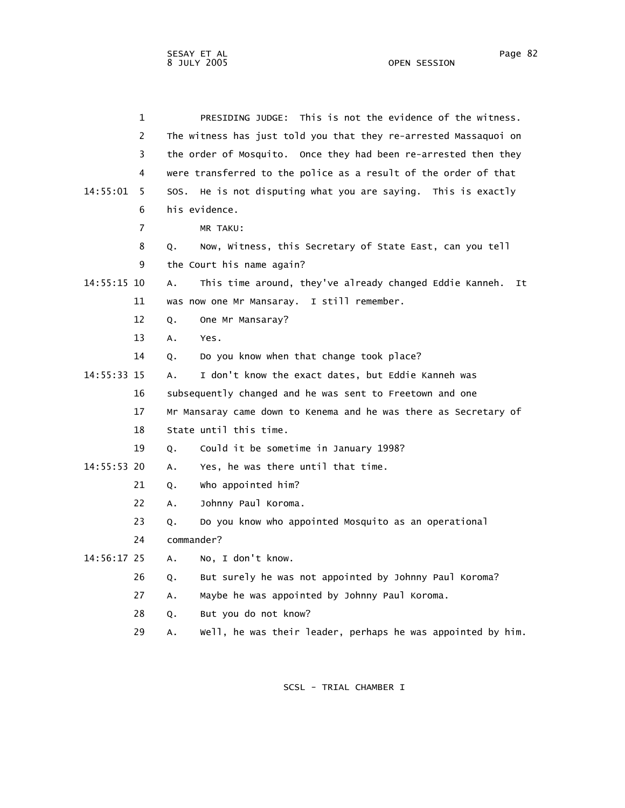|             | $\mathbf 1$    | PRESIDING JUDGE: This is not the evidence of the witness.           |
|-------------|----------------|---------------------------------------------------------------------|
|             | 2              | The witness has just told you that they re-arrested Massaquoi on    |
|             | 3              | the order of Mosquito. Once they had been re-arrested then they     |
|             | 4              | were transferred to the police as a result of the order of that     |
| 14:55:01    | 5              | SOS. He is not disputing what you are saying. This is exactly       |
|             | 6              | his evidence.                                                       |
|             | $\overline{7}$ | MR TAKU:                                                            |
|             | 8              | Now, Witness, this Secretary of State East, can you tell<br>Q.      |
|             | 9              | the Court his name again?                                           |
| 14:55:15 10 |                | This time around, they've already changed Eddie Kanneh.<br>А.<br>It |
|             | 11             | was now one Mr Mansaray. I still remember.                          |
|             | 12             | One Mr Mansaray?<br>Q.                                              |
|             | 13             | А.<br>Yes.                                                          |
|             | 14             | Do you know when that change took place?<br>Q.                      |
| 14:55:33 15 |                | I don't know the exact dates, but Eddie Kanneh was<br>А.            |
|             | 16             | subsequently changed and he was sent to Freetown and one            |
|             | 17             | Mr Mansaray came down to Kenema and he was there as Secretary of    |
|             | 18             | State until this time.                                              |
|             | 19             | Could it be sometime in January 1998?<br>Q.                         |
| 14:55:53 20 |                | Yes, he was there until that time.<br>Α.                            |
|             | 21             | who appointed him?<br>Q.                                            |
|             | 22             | Johnny Paul Koroma.<br>А.                                           |
|             | 23             | Do you know who appointed Mosquito as an operational<br>Q.          |
|             | 24             | commander?                                                          |
| 14:56:17 25 |                | A. No, I don't know.                                                |
|             | 26             | But surely he was not appointed by Johnny Paul Koroma?<br>Q.        |
|             | 27             | Maybe he was appointed by Johnny Paul Koroma.<br>Α.                 |
|             | 28             | But you do not know?<br>Q.                                          |
|             | 29             | well, he was their leader, perhaps he was appointed by him.<br>Α.   |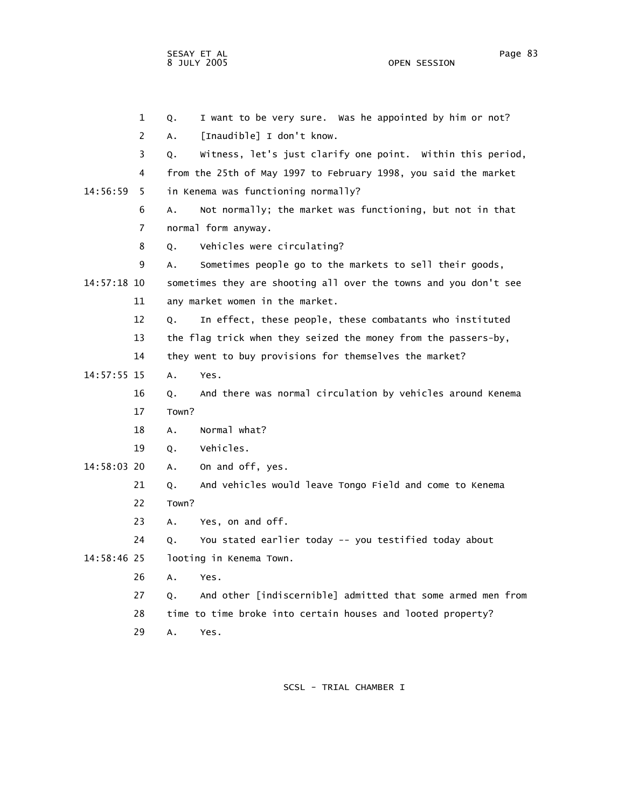OPEN SESSION

 1 Q. I want to be very sure. Was he appointed by him or not? 2 A. [Inaudible] I don't know. 3 Q. Witness, let's just clarify one point. Within this period, 4 from the 25th of May 1997 to February 1998, you said the market 14:56:59 5 in Kenema was functioning normally? 6 A. Not normally; the market was functioning, but not in that 7 normal form anyway. 8 Q. Vehicles were circulating? 9 A. Sometimes people go to the markets to sell their goods, 14:57:18 10 sometimes they are shooting all over the towns and you don't see 11 any market women in the market. 12 Q. In effect, these people, these combatants who instituted 13 the flag trick when they seized the money from the passers-by, 14 they went to buy provisions for themselves the market? 14:57:55 15 A. Yes. 16 Q. And there was normal circulation by vehicles around Kenema 17 Town? 18 A. Normal what? 19 Q. Vehicles. 14:58:03 20 A. On and off, yes. 21 Q. And vehicles would leave Tongo Field and come to Kenema 22 Town? 23 A. Yes, on and off. 24 Q. You stated earlier today -- you testified today about 14:58:46 25 looting in Kenema Town. 26 A. Yes. 27 Q. And other [indiscernible] admitted that some armed men from 28 time to time broke into certain houses and looted property? 29 A. Yes.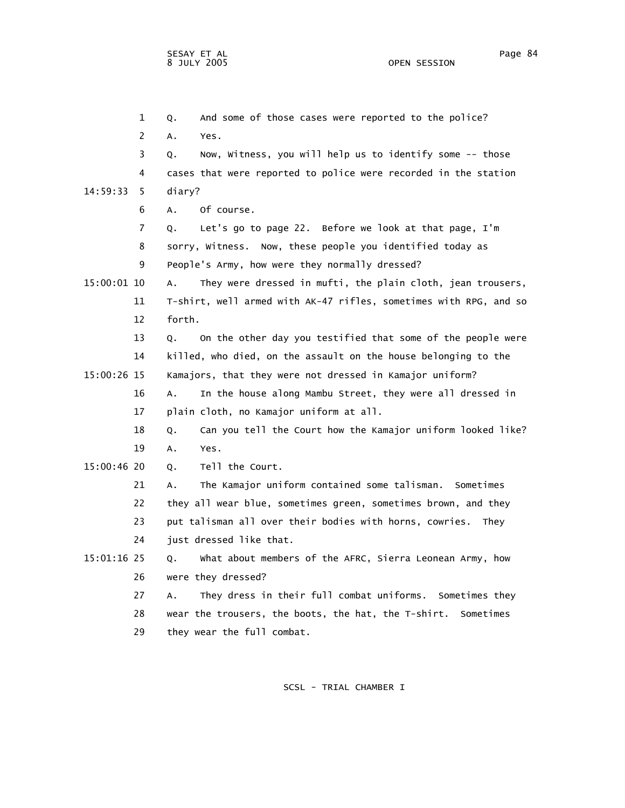1 Q. And some of those cases were reported to the police? 2 A. Yes. 3 Q. Now, Witness, you will help us to identify some -- those 4 cases that were reported to police were recorded in the station 14:59:33 5 diary? 6 A. Of course. 7 Q. Let's go to page 22. Before we look at that page, I'm 8 sorry, Witness. Now, these people you identified today as 9 People's Army, how were they normally dressed? 15:00:01 10 A. They were dressed in mufti, the plain cloth, jean trousers, 11 T-shirt, well armed with AK-47 rifles, sometimes with RPG, and so 12 forth. 13 Q. On the other day you testified that some of the people were 14 killed, who died, on the assault on the house belonging to the 15:00:26 15 Kamajors, that they were not dressed in Kamajor uniform? 16 A. In the house along Mambu Street, they were all dressed in 17 plain cloth, no Kamajor uniform at all. 18 Q. Can you tell the Court how the Kamajor uniform looked like? 19 A. Yes. 15:00:46 20 Q. Tell the Court. 21 A. The Kamajor uniform contained some talisman. Sometimes 22 they all wear blue, sometimes green, sometimes brown, and they 23 put talisman all over their bodies with horns, cowries. They 24 just dressed like that. 15:01:16 25 Q. What about members of the AFRC, Sierra Leonean Army, how 26 were they dressed? 27 A. They dress in their full combat uniforms. Sometimes they 28 wear the trousers, the boots, the hat, the T-shirt. Sometimes 29 they wear the full combat.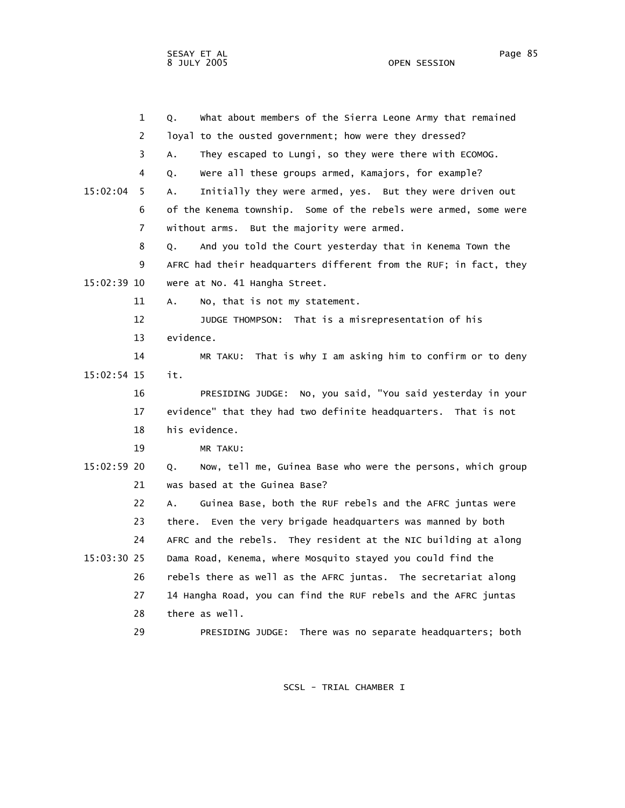OPEN SESSION

|               | $\mathbf{1}$ | What about members of the Sierra Leone Army that remained<br>Q.   |
|---------------|--------------|-------------------------------------------------------------------|
|               | 2            | loyal to the ousted government; how were they dressed?            |
|               | 3            | They escaped to Lungi, so they were there with ECOMOG.<br>Α.      |
|               | 4            | Were all these groups armed, Kamajors, for example?<br>Q.         |
| 15:02:04      | 5            | Initially they were armed, yes. But they were driven out<br>А.    |
|               | 6            | of the Kenema township. Some of the rebels were armed, some were  |
|               | 7            | without arms. But the majority were armed.                        |
|               | 8            | And you told the Court yesterday that in Kenema Town the<br>Q.    |
|               | 9            | AFRC had their headquarters different from the RUF; in fact, they |
| 15:02:39 10   |              | were at No. 41 Hangha Street.                                     |
|               | 11           | No, that is not my statement.<br>А.                               |
|               | 12           | JUDGE THOMPSON: That is a misrepresentation of his                |
|               | 13           | evidence.                                                         |
|               | 14           | MR TAKU: That is why I am asking him to confirm or to deny        |
| $15:02:54$ 15 |              | it.                                                               |
|               | 16           | PRESIDING JUDGE: No, you said, "You said yesterday in your        |
|               | 17           | evidence" that they had two definite headquarters. That is not    |
|               | 18           | his evidence.                                                     |
|               | 19           | MR TAKU:                                                          |
| 15:02:59 20   |              | Now, tell me, Guinea Base who were the persons, which group<br>Q. |
|               | 21           | was based at the Guinea Base?                                     |
|               | 22           | Guinea Base, both the RUF rebels and the AFRC juntas were<br>A.   |
|               | 23           | there. Even the very brigade headquarters was manned by both      |
|               | 24           | AFRC and the rebels. They resident at the NIC building at along   |
| $15:03:30$ 25 |              | Dama Road, Kenema, where Mosquito stayed you could find the       |
|               | 26           | rebels there as well as the AFRC juntas. The secretariat along    |
|               | 27           | 14 Hangha Road, you can find the RUF rebels and the AFRC juntas   |
|               | 28           | there as well.                                                    |
|               | 29           | There was no separate headquarters; both<br>PRESIDING JUDGE:      |
|               |              |                                                                   |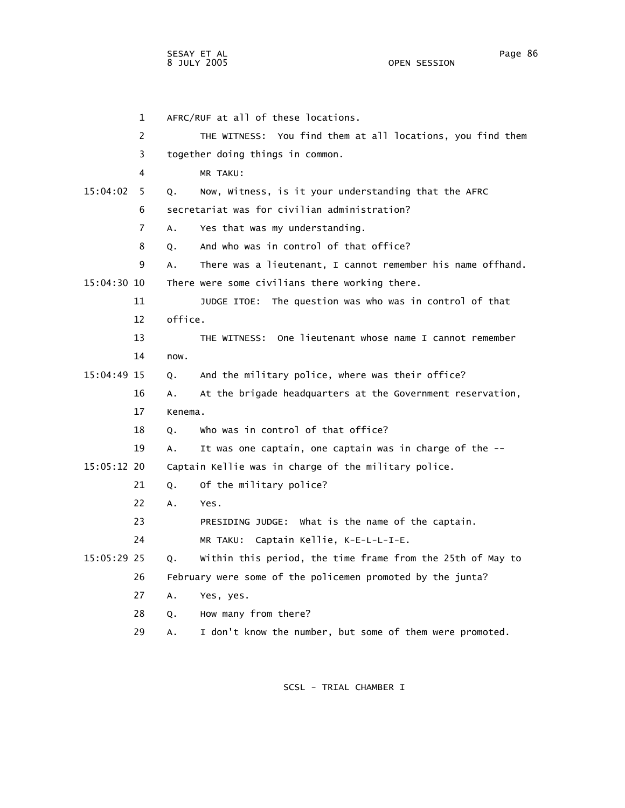1 AFRC/RUF at all of these locations. 2 THE WITNESS: You find them at all locations, you find them 3 together doing things in common. 4 MR TAKU: 15:04:02 5 Q. Now, Witness, is it your understanding that the AFRC 6 secretariat was for civilian administration? 7 A. Yes that was my understanding. 8 Q. And who was in control of that office? 9 A. There was a lieutenant, I cannot remember his name offhand. 15:04:30 10 There were some civilians there working there. 11 JUDGE ITOE: The question was who was in control of that 12 office. 13 THE WITNESS: One lieutenant whose name I cannot remember 14 now. 15:04:49 15 Q. And the military police, where was their office? 16 A. At the brigade headquarters at the Government reservation, 17 Kenema. 18 Q. Who was in control of that office? 19 A. It was one captain, one captain was in charge of the -- 15:05:12 20 Captain Kellie was in charge of the military police. 21 Q. Of the military police? 22 A. Yes. 23 PRESIDING JUDGE: What is the name of the captain. 24 MR TAKU: Captain Kellie, K-E-L-L-I-E. 15:05:29 25 Q. Within this period, the time frame from the 25th of May to 26 February were some of the policemen promoted by the junta? 27 A. Yes, yes. 28 Q. How many from there? 29 A. I don't know the number, but some of them were promoted.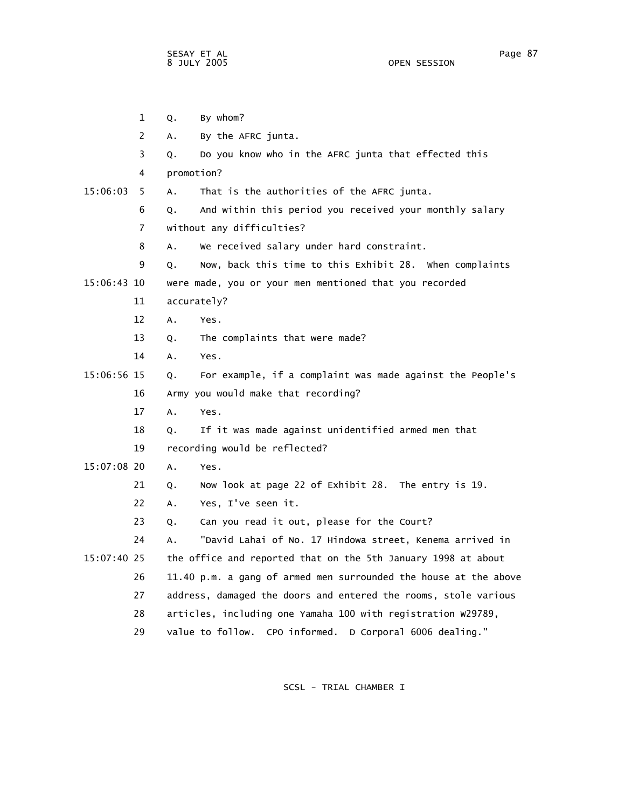|               | $\mathbf{1}$   | Q.         | By whom?                                                         |
|---------------|----------------|------------|------------------------------------------------------------------|
|               | $\overline{2}$ | Α.         | By the AFRC junta.                                               |
|               | 3              | Q.         | Do you know who in the AFRC junta that effected this             |
|               | 4              | promotion? |                                                                  |
| 15:06:03      | 5.             | Α.         | That is the authorities of the AFRC junta.                       |
|               | 6              | Q.         | And within this period you received your monthly salary          |
|               | $\overline{7}$ |            | without any difficulties?                                        |
|               | 8              | Α.         | We received salary under hard constraint.                        |
|               | 9              | Q.         | Now, back this time to this Exhibit 28. When complaints          |
| 15:06:43 10   |                |            | were made, you or your men mentioned that you recorded           |
|               | 11             |            | accurately?                                                      |
|               | 12             | A.         | Yes.                                                             |
|               | 13             | Q.         | The complaints that were made?                                   |
|               | 14             | А.         | Yes.                                                             |
| 15:06:56 15   |                | Q.         | For example, if a complaint was made against the People's        |
|               | 16             |            | Army you would make that recording?                              |
|               | 17             | A.         | Yes.                                                             |
|               | 18             | Q.         | If it was made against unidentified armed men that               |
|               | 19             |            | recording would be reflected?                                    |
| $15:07:08$ 20 |                | A.         | Yes.                                                             |
|               | 21             | Q.         | Now look at page 22 of Exhibit 28. The entry is 19.              |
|               | 22             | А.         | Yes, I've seen it.                                               |
|               | 23             | Q.         | Can you read it out, please for the Court?                       |
|               | 24             | Α.         | "David Lahai of No. 17 Hindowa street, Kenema arrived in         |
| 15:07:40 25   |                |            | the office and reported that on the 5th January 1998 at about    |
|               | 26             |            | 11.40 p.m. a gang of armed men surrounded the house at the above |
|               | 27             |            | address, damaged the doors and entered the rooms, stole various  |
|               | 28             |            | articles, including one Yamaha 100 with registration W29789,     |
|               | 29             |            | value to follow.<br>CPO informed.<br>D Corporal 6006 dealing."   |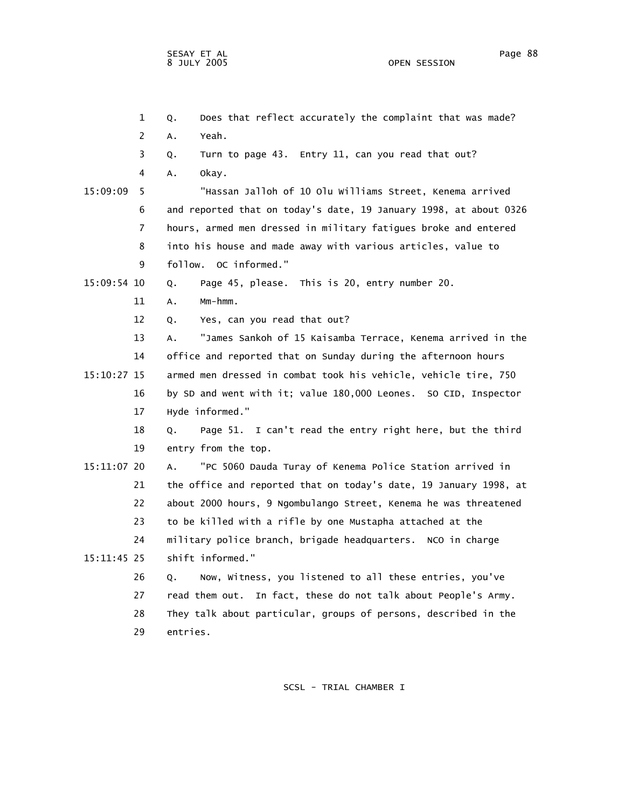1 Q. Does that reflect accurately the complaint that was made? 2 A. Yeah. 3 Q. Turn to page 43. Entry 11, can you read that out? 4 A. Okay. 15:09:09 5 "Hassan Jalloh of 10 Olu Williams Street, Kenema arrived 6 and reported that on today's date, 19 January 1998, at about 0326 7 hours, armed men dressed in military fatigues broke and entered 8 into his house and made away with various articles, value to 9 follow. OC informed." 15:09:54 10 Q. Page 45, please. This is 20, entry number 20. 11 A. Mm-hmm. 12 Q. Yes, can you read that out? 13 A. "James Sankoh of 15 Kaisamba Terrace, Kenema arrived in the 14 office and reported that on Sunday during the afternoon hours 15:10:27 15 armed men dressed in combat took his vehicle, vehicle tire, 750 16 by SD and went with it; value 180,000 Leones. SO CID, Inspector 17 Hyde informed." 18 Q. Page 51. I can't read the entry right here, but the third 19 entry from the top. 15:11:07 20 A. "PC 5060 Dauda Turay of Kenema Police Station arrived in 21 the office and reported that on today's date, 19 January 1998, at 22 about 2000 hours, 9 Ngombulango Street, Kenema he was threatened 23 to be killed with a rifle by one Mustapha attached at the 24 military police branch, brigade headquarters. NCO in charge 15:11:45 25 shift informed." 26 Q. Now, Witness, you listened to all these entries, you've 27 read them out. In fact, these do not talk about People's Army. 28 They talk about particular, groups of persons, described in the 29 entries.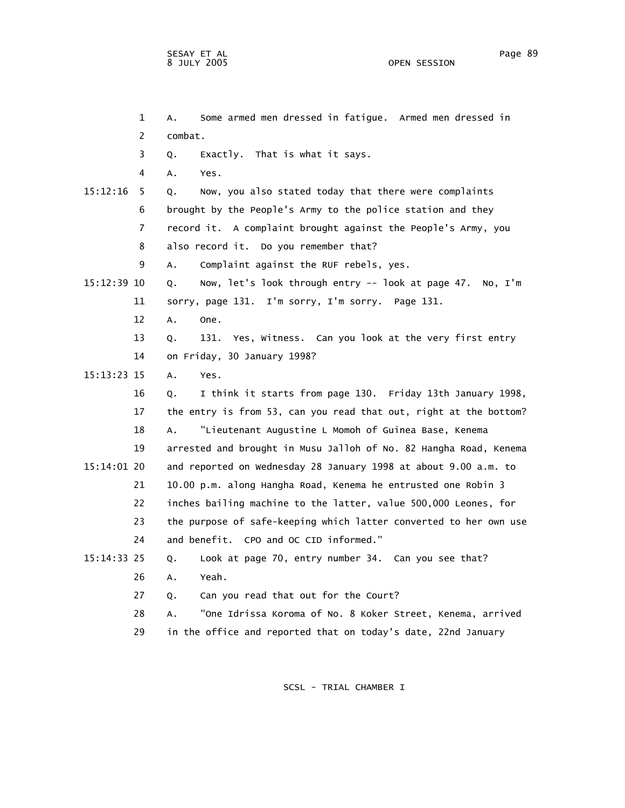|             | $\mathbf 1$ | Some armed men dressed in fatigue. Armed men dressed in<br>А.     |
|-------------|-------------|-------------------------------------------------------------------|
|             | 2           | combat.                                                           |
|             | 3           | Exactly. That is what it says.<br>Q.                              |
|             | 4           | А.<br>Yes.                                                        |
| 15:12:16    | 5           | Now, you also stated today that there were complaints<br>Q.       |
|             | 6           | brought by the People's Army to the police station and they       |
|             | 7           | record it. A complaint brought against the People's Army, you     |
|             | 8           | also record it. Do you remember that?                             |
|             | 9           | Complaint against the RUF rebels, yes.<br>Α.                      |
| 15:12:39 10 |             | Now, let's look through entry -- look at page 47. No, I'm<br>Q.   |
|             | 11          | sorry, page 131. I'm sorry, I'm sorry. Page 131.                  |
|             | 12          | Α.<br>One.                                                        |
|             | 13          | 131.<br>Yes, Witness. Can you look at the very first entry<br>Q.  |
|             | 14          | on Friday, 30 January 1998?                                       |
| 15:13:23 15 |             | A.<br>Yes.                                                        |
|             | 16          | I think it starts from page 130. Friday 13th January 1998,<br>Q.  |
|             | 17          | the entry is from 53, can you read that out, right at the bottom? |
|             | 18          | "Lieutenant Augustine L Momoh of Guinea Base, Kenema<br>Α.        |
|             | 19          | arrested and brought in Musu Jalloh of No. 82 Hangha Road, Kenema |
| 15:14:01 20 |             | and reported on Wednesday 28 January 1998 at about 9.00 a.m. to   |
|             | 21          | 10.00 p.m. along Hangha Road, Kenema he entrusted one Robin 3     |
|             | 22          | inches bailing machine to the latter, value 500,000 Leones, for   |
|             | 23          | the purpose of safe-keeping which latter converted to her own use |
|             | 24          | and benefit. CPO and OC CID informed."                            |
| 15:14:33 25 |             | Look at page 70, entry number 34. Can you see that?<br>Q.         |
|             | 26          | Yeah.<br>Α.                                                       |
|             | 27          | Can you read that out for the Court?<br>Q.                        |
|             | 28          | "One Idrissa Koroma of No. 8 Koker Street, Kenema, arrived<br>А.  |
|             | 29          | in the office and reported that on today's date, 22nd January     |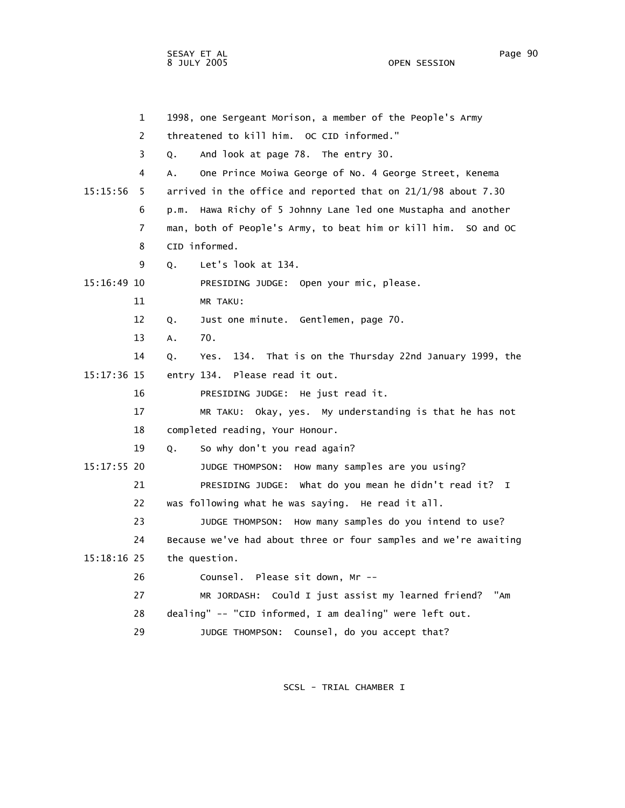1 1998, one Sergeant Morison, a member of the People's Army 2 threatened to kill him. OC CID informed." 3 Q. And look at page 78. The entry 30. 4 A. One Prince Moiwa George of No. 4 George Street, Kenema 15:15:56 5 arrived in the office and reported that on 21/1/98 about 7.30 6 p.m. Hawa Richy of 5 Johnny Lane led one Mustapha and another 7 man, both of People's Army, to beat him or kill him. SO and OC 8 CID informed. 9 Q. Let's look at 134. 15:16:49 10 PRESIDING JUDGE: Open your mic, please. 11 MR TAKU: 12 Q. Just one minute. Gentlemen, page 70. 13 A. 70. 14 Q. Yes. 134. That is on the Thursday 22nd January 1999, the 15:17:36 15 entry 134. Please read it out. 16 PRESIDING JUDGE: He just read it. 17 MR TAKU: Okay, yes. My understanding is that he has not 18 completed reading, Your Honour. 19 Q. So why don't you read again? 15:17:55 20 JUDGE THOMPSON: How many samples are you using? 21 PRESIDING JUDGE: What do you mean he didn't read it? I 22 was following what he was saying. He read it all. 23 JUDGE THOMPSON: How many samples do you intend to use? 24 Because we've had about three or four samples and we're awaiting 15:18:16 25 the question. 26 Counsel. Please sit down, Mr -- 27 MR JORDASH: Could I just assist my learned friend? "Am 28 dealing" -- "CID informed, I am dealing" were left out. 29 JUDGE THOMPSON: Counsel, do you accept that?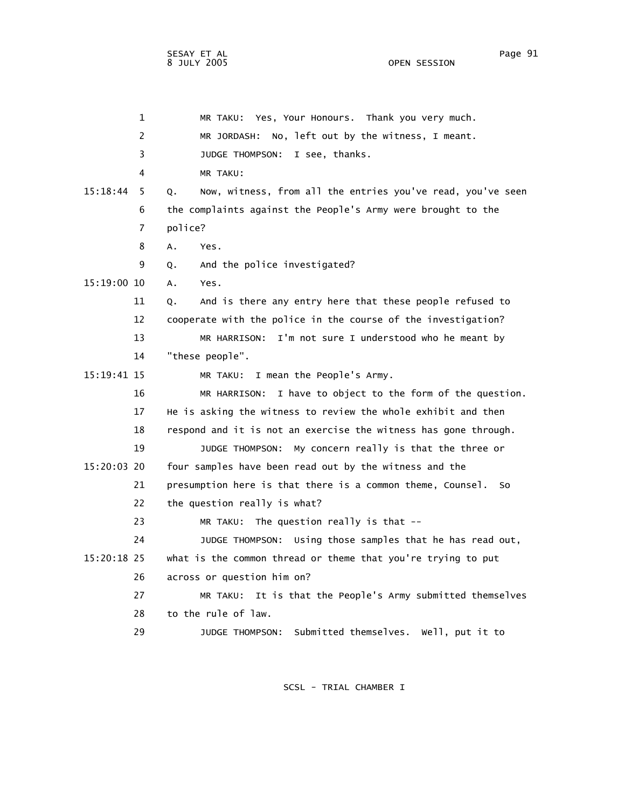|             | $\mathbf 1$    | MR TAKU: Yes, Your Honours. Thank you very much.                 |
|-------------|----------------|------------------------------------------------------------------|
|             | $\overline{2}$ | No, left out by the witness, I meant.<br>MR JORDASH:             |
|             | 3              | JUDGE THOMPSON:<br>I see, thanks.                                |
|             | 4              | MR TAKU:                                                         |
| 15:18:44    | 5<br>Q.        | Now, witness, from all the entries you've read, you've seen      |
|             | 6              | the complaints against the People's Army were brought to the     |
|             | 7              | police?                                                          |
|             | 8<br>Α.        | Yes.                                                             |
|             | 9<br>Q.        | And the police investigated?                                     |
| 15:19:00 10 | А.             | Yes.                                                             |
|             | 11<br>Q.       | And is there any entry here that these people refused to         |
|             | 12             | cooperate with the police in the course of the investigation?    |
|             | 13             | I'm not sure I understood who he meant by<br>MR HARRISON:        |
|             | 14             | "these people".                                                  |
| 15:19:41 15 |                | I mean the People's Army.<br>MR TAKU:                            |
|             | 16             | I have to object to the form of the question.<br>MR HARRISON:    |
|             | 17             | He is asking the witness to review the whole exhibit and then    |
|             | 18             | respond and it is not an exercise the witness has gone through.  |
|             | 19             | My concern really is that the three or<br>JUDGE THOMPSON:        |
| 15:20:03 20 |                | four samples have been read out by the witness and the           |
|             | 21             | presumption here is that there is a common theme, Counsel.<br>So |
|             | 22             | the question really is what?                                     |
|             | 23             | MR TAKU: The question really is that --                          |
|             | 24             | JUDGE THOMPSON: Using those samples that he has read out,        |
| 15:20:18 25 |                | what is the common thread or theme that you're trying to put     |
|             | 26             | across or question him on?                                       |
|             | 27             | MR TAKU: It is that the People's Army submitted themselves       |
|             | 28             | to the rule of law.                                              |
|             | 29             | JUDGE THOMPSON: Submitted themselves. Well, put it to            |
|             |                |                                                                  |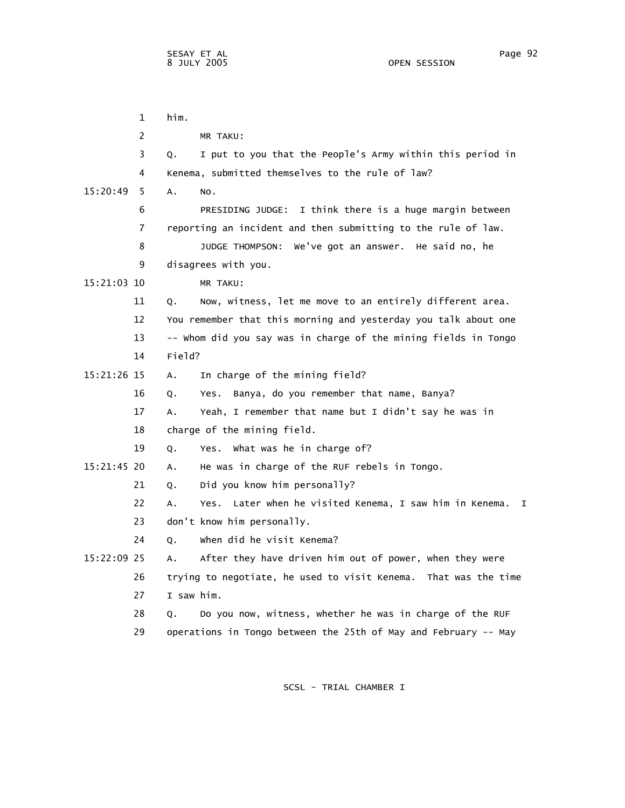|             | $\mathbf 1$    | him.                                                                             |
|-------------|----------------|----------------------------------------------------------------------------------|
|             | 2              | MR TAKU:                                                                         |
|             | 3              | I put to you that the People's Army within this period in<br>Q.                  |
|             | 4              | Kenema, submitted themselves to the rule of law?                                 |
| 15:20:49    | 5              | Α.<br>NO.                                                                        |
|             | 6              | PRESIDING JUDGE: I think there is a huge margin between                          |
|             | $\overline{7}$ | reporting an incident and then submitting to the rule of law.                    |
|             | 8              | We've got an answer. He said no, he<br>JUDGE THOMPSON:                           |
|             | 9              | disagrees with you.                                                              |
| 15:21:03 10 |                | MR TAKU:                                                                         |
|             | 11             | Now, witness, let me move to an entirely different area.<br>Q.                   |
|             | 12             | You remember that this morning and yesterday you talk about one                  |
|             | 13             | -- whom did you say was in charge of the mining fields in Tongo                  |
|             | 14             | Field?                                                                           |
| 15:21:26 15 |                | In charge of the mining field?<br>Α.                                             |
|             | 16             | Banya, do you remember that name, Banya?<br>Q.<br>Yes.                           |
|             | 17             | Yeah, I remember that name but I didn't say he was in<br>Α.                      |
|             | 18             | charge of the mining field.                                                      |
|             | 19             | Yes. What was he in charge of?<br>Q.                                             |
| 15:21:45 20 |                | He was in charge of the RUF rebels in Tongo.<br>А.                               |
|             | 21             | Did you know him personally?<br>Q.                                               |
|             | 22             | Later when he visited Kenema, I saw him in Kenema.<br>$\mathbf{I}$<br>А.<br>Yes. |
|             | 23             | don't know him personally.                                                       |
|             | 24             | When did he visit Kenema?<br>Q.                                                  |
| 15:22:09 25 |                | After they have driven him out of power, when they were<br>Α.                    |
|             | 26             | trying to negotiate, he used to visit Kenema. That was the time                  |
|             | 27             | I saw him.                                                                       |
|             | 28             | Do you now, witness, whether he was in charge of the RUF<br>Q.                   |
|             | 29             | operations in Tongo between the 25th of May and February -- May                  |
|             |                |                                                                                  |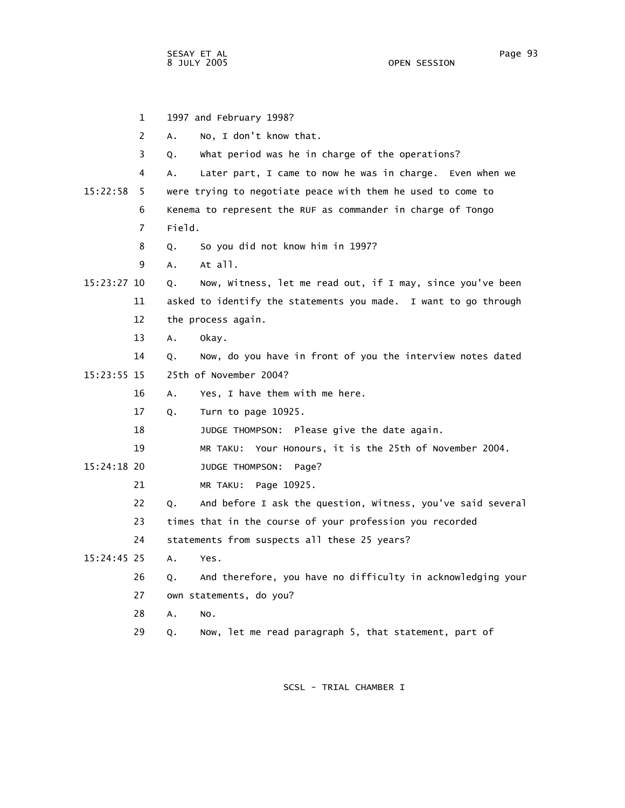1 1997 and February 1998? 2 A. No, I don't know that. 3 Q. What period was he in charge of the operations? 4 A. Later part, I came to now he was in charge. Even when we 15:22:58 5 were trying to negotiate peace with them he used to come to 6 Kenema to represent the RUF as commander in charge of Tongo 7 Field. 8 Q. So you did not know him in 1997? 9 A. At all. 15:23:27 10 Q. Now, Witness, let me read out, if I may, since you've been 11 asked to identify the statements you made. I want to go through 12 the process again. 13 A. Okay. 14 Q. Now, do you have in front of you the interview notes dated 15:23:55 15 25th of November 2004? 16 A. Yes, I have them with me here. 17 Q. Turn to page 10925. 18 JUDGE THOMPSON: Please give the date again. 19 MR TAKU: Your Honours, it is the 25th of November 2004. 15:24:18 20 JUDGE THOMPSON: Page? 21 MR TAKU: Page 10925. 22 Q. And before I ask the question, Witness, you've said several 23 times that in the course of your profession you recorded 24 statements from suspects all these 25 years? 15:24:45 25 A. Yes. 26 Q. And therefore, you have no difficulty in acknowledging your 27 own statements, do you? 28 A. No. 29 Q. Now, let me read paragraph 5, that statement, part of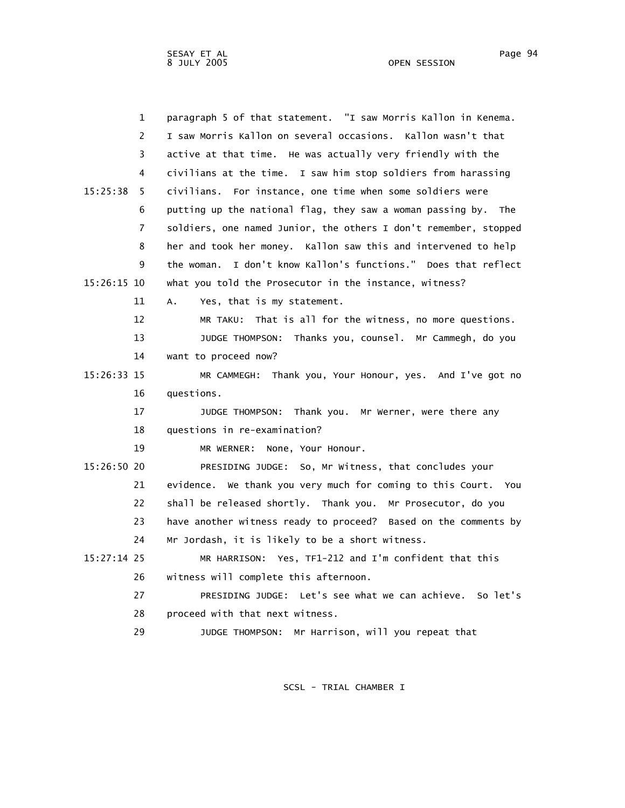1 paragraph 5 of that statement. "I saw Morris Kallon in Kenema. 2 I saw Morris Kallon on several occasions. Kallon wasn't that 3 active at that time. He was actually very friendly with the 4 civilians at the time. I saw him stop soldiers from harassing 15:25:38 5 civilians. For instance, one time when some soldiers were 6 putting up the national flag, they saw a woman passing by. The 7 soldiers, one named Junior, the others I don't remember, stopped 8 her and took her money. Kallon saw this and intervened to help 9 the woman. I don't know Kallon's functions." Does that reflect 15:26:15 10 what you told the Prosecutor in the instance, witness? 11 A. Yes, that is my statement. 12 MR TAKU: That is all for the witness, no more questions. 13 JUDGE THOMPSON: Thanks you, counsel. Mr Cammegh, do you 14 want to proceed now? 15:26:33 15 MR CAMMEGH: Thank you, Your Honour, yes. And I've got no 16 questions. 17 JUDGE THOMPSON: Thank you. Mr Werner, were there any 18 questions in re-examination? 19 MR WERNER: None, Your Honour. 15:26:50 20 PRESIDING JUDGE: So, Mr Witness, that concludes your 21 evidence. We thank you very much for coming to this Court. You 22 shall be released shortly. Thank you. Mr Prosecutor, do you 23 have another witness ready to proceed? Based on the comments by 24 Mr Jordash, it is likely to be a short witness. 15:27:14 25 MR HARRISON: Yes, TF1-212 and I'm confident that this 26 witness will complete this afternoon. 27 PRESIDING JUDGE: Let's see what we can achieve. So let's 28 proceed with that next witness. 29 JUDGE THOMPSON: Mr Harrison, will you repeat that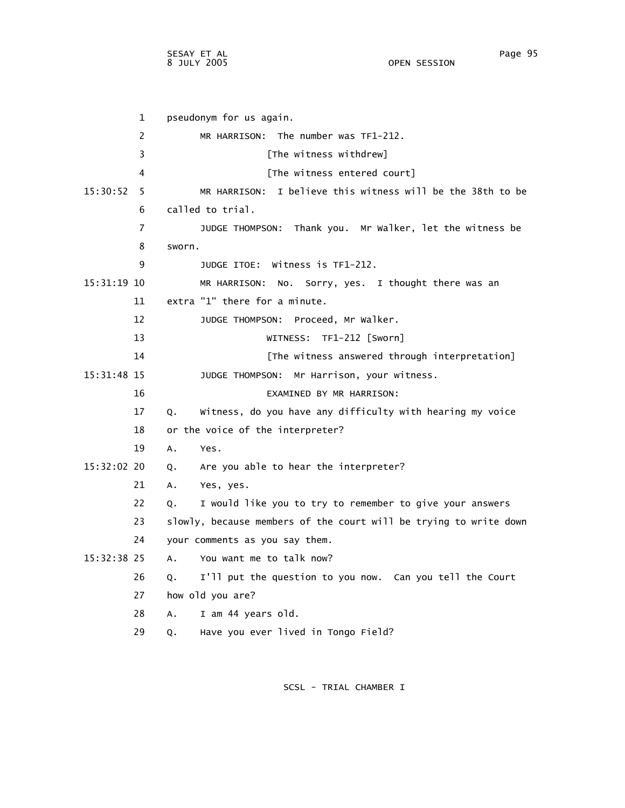1 pseudonym for us again. 2 MR HARRISON: The number was TF1-212. 3 **Example 2** [The witness withdrew] 4 [The witness entered court] 15:30:52 5 MR HARRISON: I believe this witness will be the 38th to be 6 called to trial. 7 JUDGE THOMPSON: Thank you. Mr Walker, let the witness be 8 sworn. 9 JUDGE ITOE: Witness is TF1-212. 15:31:19 10 MR HARRISON: No. Sorry, yes. I thought there was an 11 extra "1" there for a minute. 12 JUDGE THOMPSON: Proceed, Mr Walker. 13 WITNESS: TF1-212 [Sworn] 14 **14** [The witness answered through interpretation] 15:31:48 15 JUDGE THOMPSON: Mr Harrison, your witness. 16 EXAMINED BY MR HARRISON: 17 Q. Witness, do you have any difficulty with hearing my voice 18 or the voice of the interpreter? 19 A. Yes. 15:32:02 20 Q. Are you able to hear the interpreter? 21 A. Yes, yes. 22 Q. I would like you to try to remember to give your answers 23 slowly, because members of the court will be trying to write down 24 your comments as you say them. 15:32:38 25 A. You want me to talk now? 26 Q. I'll put the question to you now. Can you tell the Court 27 how old you are? 28 A. I am 44 years old. 29 Q. Have you ever lived in Tongo Field?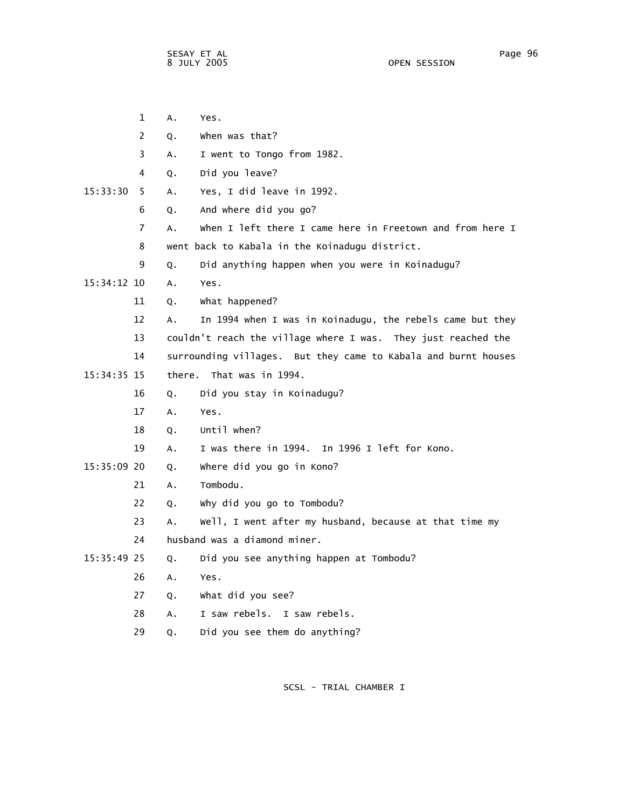|               | $\mathbf{1}$ | Α. | Yes.                                                           |
|---------------|--------------|----|----------------------------------------------------------------|
|               | 2            | Q. | when was that?                                                 |
|               | 3            | A. | I went to Tongo from 1982.                                     |
|               | 4            | Q. | Did you leave?                                                 |
| 15:33:30      | 5            | Α. | Yes, I did leave in 1992.                                      |
|               | 6            | Q. | And where did you go?                                          |
|               | 7            | A. | When I left there I came here in Freetown and from here I      |
|               | 8            |    | went back to Kabala in the Koinadugu district.                 |
|               | 9            | Q. | Did anything happen when you were in Koinadugu?                |
| $15:34:12$ 10 |              | A. | Yes.                                                           |
|               | 11           | Q. | What happened?                                                 |
|               | 12           | A. | In 1994 when I was in Koinadugu, the rebels came but they      |
|               | 13           |    | couldn't reach the village where I was. They just reached the  |
|               | 14           |    | surrounding villages. But they came to Kabala and burnt houses |
| 15:34:35 15   |              |    | there. That was in 1994.                                       |
|               | 16           | Q. | Did you stay in Koinadugu?                                     |
|               | 17           | Α. | Yes.                                                           |
|               | 18           | Q. | Until when?                                                    |
|               | 19           | Α. | I was there in 1994. In 1996 I left for Kono.                  |
| 15:35:09 20   |              | Q. | where did you go in Kono?                                      |
|               | 21           | A. | Tombodu.                                                       |
|               | 22           | Q. | why did you go to Tombodu?                                     |
|               | 23           | A. | Well, I went after my husband, because at that time my         |
|               | 24           |    | husband was a diamond miner.                                   |
| 15:35:49 25   |              | Q. | Did you see anything happen at Tombodu?                        |
|               | 26           | Α. | Yes.                                                           |
|               | 27           | Q. | What did you see?                                              |
|               | 28           | Α. | I saw rebels. I saw rebels.                                    |
|               | 29           | Q. | Did you see them do anything?                                  |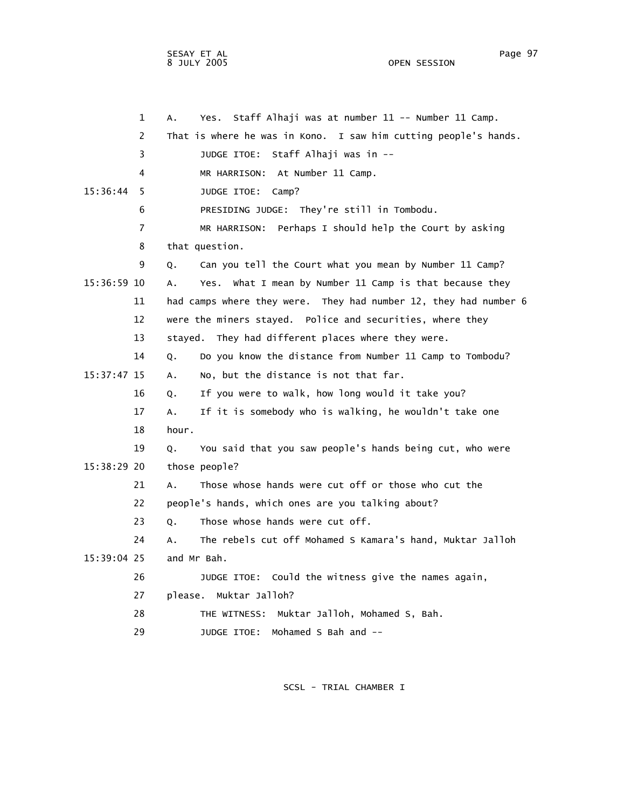OPEN SESSION

 1 A. Yes. Staff Alhaji was at number 11 -- Number 11 Camp. 2 That is where he was in Kono. I saw him cutting people's hands. 3 JUDGE ITOE: Staff Alhaji was in -- 4 MR HARRISON: At Number 11 Camp. 15:36:44 5 JUDGE ITOE: Camp? 6 PRESIDING JUDGE: They're still in Tombodu. 7 MR HARRISON: Perhaps I should help the Court by asking 8 that question. 9 Q. Can you tell the Court what you mean by Number 11 Camp? 15:36:59 10 A. Yes. What I mean by Number 11 Camp is that because they 11 had camps where they were. They had number 12, they had number 6 12 were the miners stayed. Police and securities, where they 13 stayed. They had different places where they were. 14 Q. Do you know the distance from Number 11 Camp to Tombodu? 15:37:47 15 A. No, but the distance is not that far. 16 Q. If you were to walk, how long would it take you? 17 A. If it is somebody who is walking, he wouldn't take one 18 hour. 19 Q. You said that you saw people's hands being cut, who were 15:38:29 20 those people? 21 A. Those whose hands were cut off or those who cut the 22 people's hands, which ones are you talking about? 23 Q. Those whose hands were cut off. 24 A. The rebels cut off Mohamed S Kamara's hand, Muktar Jalloh 15:39:04 25 and Mr Bah. 26 JUDGE ITOE: Could the witness give the names again, 27 please. Muktar Jalloh? 28 THE WITNESS: Muktar Jalloh, Mohamed S, Bah. 29 JUDGE ITOE: Mohamed S Bah and --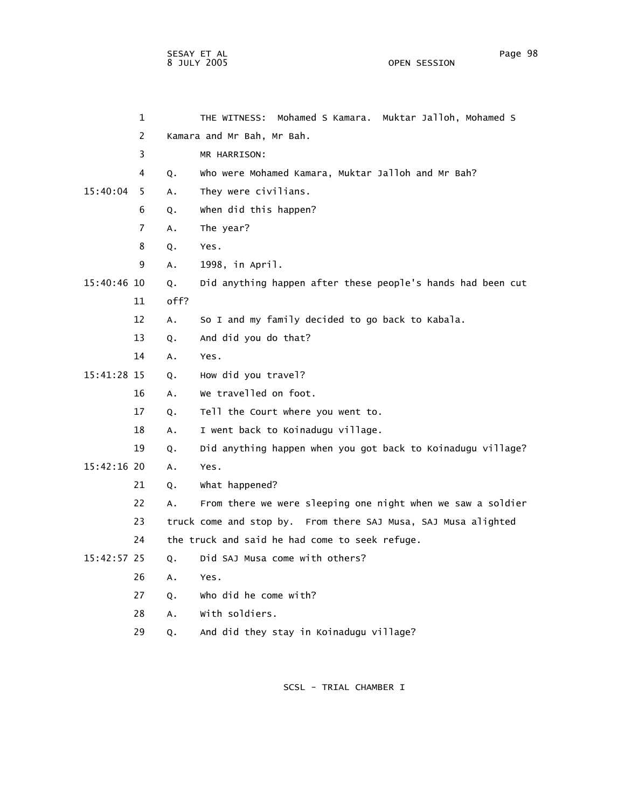|               | 1              |      | Mohamed S Kamara. Muktar Jalloh, Mohamed S<br>THE WITNESS:     |
|---------------|----------------|------|----------------------------------------------------------------|
|               | 2              |      | Kamara and Mr Bah, Mr Bah.                                     |
|               | 3              |      | MR HARRISON:                                                   |
|               | 4              | Q.   | Who were Mohamed Kamara, Muktar Jalloh and Mr Bah?             |
| 15:40:04      | 5              | Α.   | They were civilians.                                           |
|               | 6              | Q.   | when did this happen?                                          |
|               | $\overline{7}$ | A.   | The year?                                                      |
|               | 8              | Q.   | Yes.                                                           |
|               | 9              | A.   | 1998, in April.                                                |
| 15:40:46 10   |                | Q.   | Did anything happen after these people's hands had been cut    |
|               | 11             | off? |                                                                |
|               | 12             | A.   | So I and my family decided to go back to Kabala.               |
|               | 13             | Q.   | And did you do that?                                           |
|               | 14             | Α.   | Yes.                                                           |
| 15:41:28 15   |                | Q.   | How did you travel?                                            |
|               | 16             | А.   | We travelled on foot.                                          |
|               | 17             | Q.   | Tell the Court where you went to.                              |
|               | 18             | Α.   | I went back to Koinadugu village.                              |
|               | 19             | Q.   | Did anything happen when you got back to Koinadugu village?    |
| 15:42:16 20   |                | Α.   | Yes.                                                           |
|               | 21             | Q.   | What happened?                                                 |
|               | 22             | Α.   | From there we were sleeping one night when we saw a soldier    |
|               | 23             |      | truck come and stop by. From there SAJ Musa, SAJ Musa alighted |
|               | 24             |      | the truck and said he had come to seek refuge.                 |
| $15:42:57$ 25 |                | Q.   | Did SAJ Musa come with others?                                 |
|               | 26             | Α.   | Yes.                                                           |
|               | 27             | Q.   | who did he come with?                                          |
|               | 28             | Α.   | with soldiers.                                                 |
|               | 29             | Q.   | And did they stay in Koinadugu village?                        |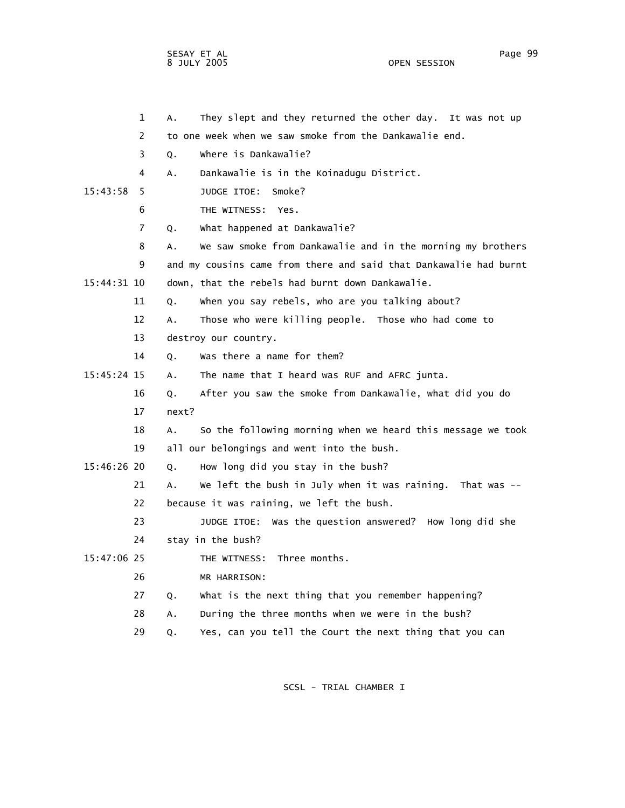OPEN SESSION

|             | $\mathbf{1}$ | А.    | They slept and they returned the other day. It was not up         |
|-------------|--------------|-------|-------------------------------------------------------------------|
|             | 2            |       | to one week when we saw smoke from the Dankawalie end.            |
|             | 3            | Q.    | where is Dankawalie?                                              |
|             | 4            | А.    | Dankawalie is in the Koinadugu District.                          |
| 15:43:58    | 5            |       | JUDGE ITOE:<br>Smoke?                                             |
|             | 6            |       | THE WITNESS:<br>Yes.                                              |
|             | 7            | Q.    | What happened at Dankawalie?                                      |
|             | 8            | Α.    | We saw smoke from Dankawalie and in the morning my brothers       |
|             | 9            |       | and my cousins came from there and said that Dankawalie had burnt |
| 15:44:31 10 |              |       | down, that the rebels had burnt down Dankawalie.                  |
|             | 11           | Q.    | when you say rebels, who are you talking about?                   |
|             | 12           | Α.    | Those who were killing people. Those who had come to              |
|             | 13           |       | destroy our country.                                              |
|             | 14           | Q.    | Was there a name for them?                                        |
| 15:45:24 15 |              | Α.    | The name that I heard was RUF and AFRC junta.                     |
|             | 16           | Q.    | After you saw the smoke from Dankawalie, what did you do          |
|             | 17           | next? |                                                                   |
|             | 18           | А.    | So the following morning when we heard this message we took       |
|             | 19           |       | all our belongings and went into the bush.                        |
| 15:46:26 20 |              | Q.    | How long did you stay in the bush?                                |
|             | 21           | А.    | We left the bush in July when it was raining. That was $-$        |
|             | 22           |       | because it was raining, we left the bush.                         |
|             | 23           |       | Was the question answered? How long did she<br>JUDGE ITOE:        |
|             | 24           |       | stay in the bush?                                                 |
| 15:47:06 25 |              |       | Three months.<br>THE WITNESS:                                     |
|             | 26           |       | MR HARRISON:                                                      |
|             | 27           | Q.    | what is the next thing that you remember happening?               |
|             | 28           | А.    | During the three months when we were in the bush?                 |
|             | 29           | Q.    | Yes, can you tell the Court the next thing that you can           |
|             |              |       |                                                                   |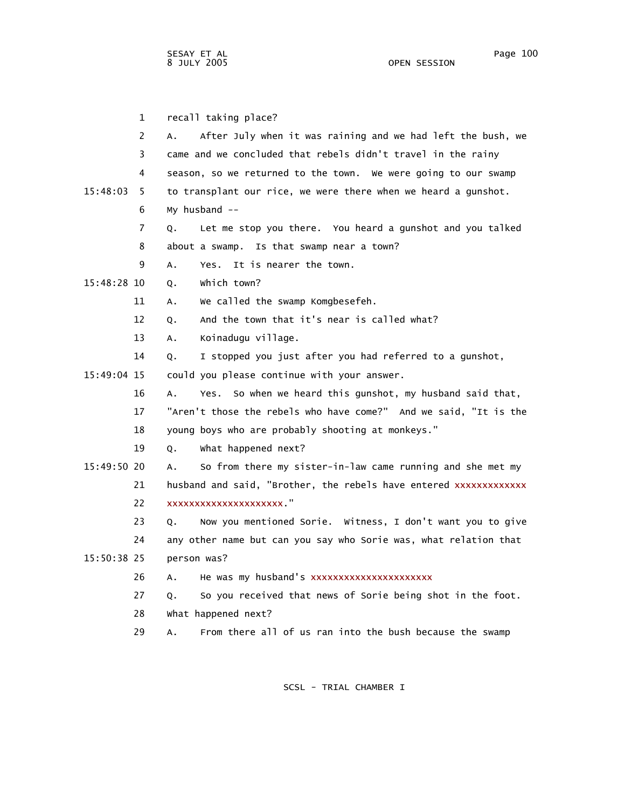1 recall taking place? 2 A. After July when it was raining and we had left the bush, we 3 came and we concluded that rebels didn't travel in the rainy 4 season, so we returned to the town. We were going to our swamp 15:48:03 5 to transplant our rice, we were there when we heard a gunshot. 6 My husband -- 7 Q. Let me stop you there. You heard a gunshot and you talked 8 about a swamp. Is that swamp near a town? 9 A. Yes. It is nearer the town. 15:48:28 10 Q. Which town? 11 A. We called the swamp Komgbesefeh. 12 Q. And the town that it's near is called what? 13 A. Koinadugu village. 14 Q. I stopped you just after you had referred to a gunshot, 15:49:04 15 could you please continue with your answer. 16 A. Yes. So when we heard this gunshot, my husband said that, 17 "Aren't those the rebels who have come?" And we said, "It is the 18 young boys who are probably shooting at monkeys." 19 Q. What happened next? 15:49:50 20 A. So from there my sister-in-law came running and she met my 21 husband and said, "Brother, the rebels have entered xxxxxxxxxxxxx 22 23 Q. Now you mentioned Sorie. Witness, I don't want you to give 24 any other name but can you say who Sorie was, what relation that 15:50:38 25 person was? 26 A. He was my husband's xxxxxxxxxxxxxxxxxxxx 27 Q. So you received that news of Sorie being shot in the foot. 28 What happened next? 29 A. From there all of us ran into the bush because the swamp xxxxxxxxxxxxxxxxxxxxx."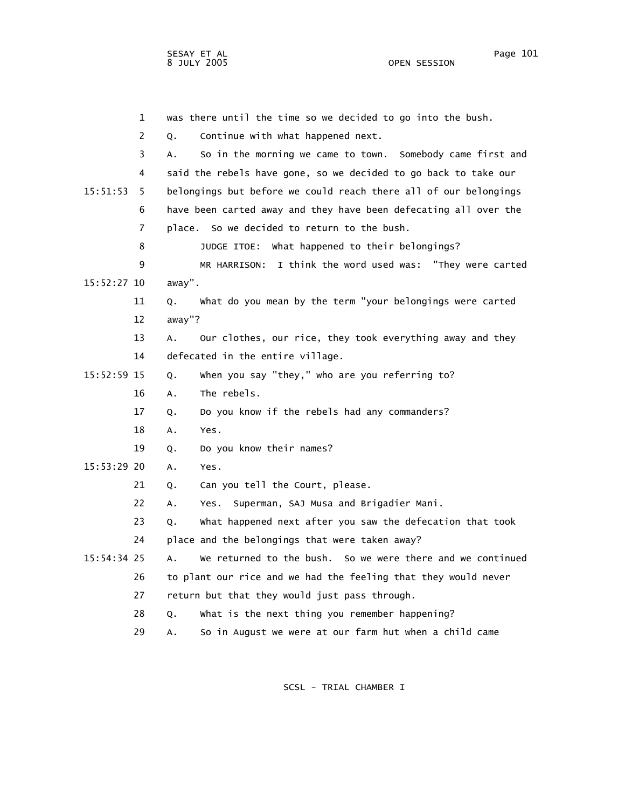OPEN SESSION

SESAY ET AL Page 101

 1 was there until the time so we decided to go into the bush. 2 Q. Continue with what happened next. 3 A. So in the morning we came to town. Somebody came first and 4 said the rebels have gone, so we decided to go back to take our 15:51:53 5 belongings but before we could reach there all of our belongings 6 have been carted away and they have been defecating all over the 7 place. So we decided to return to the bush. 8 JUDGE ITOE: What happened to their belongings? 9 MR HARRISON: I think the word used was: "They were carted 15:52:27 10 away". 11 Q. What do you mean by the term "your belongings were carted 12 away"? 13 A. Our clothes, our rice, they took everything away and they 14 defecated in the entire village. 15:52:59 15 Q. When you say "they," who are you referring to? 16 A. The rebels. 17 Q. Do you know if the rebels had any commanders? 18 A. Yes. 19 Q. Do you know their names? 15:53:29 20 A. Yes. 21 Q. Can you tell the Court, please. 22 A. Yes. Superman, SAJ Musa and Brigadier Mani. 23 Q. What happened next after you saw the defecation that took 24 place and the belongings that were taken away? 15:54:34 25 A. We returned to the bush. So we were there and we continued 26 to plant our rice and we had the feeling that they would never 27 return but that they would just pass through. 28 Q. What is the next thing you remember happening? 29 A. So in August we were at our farm hut when a child came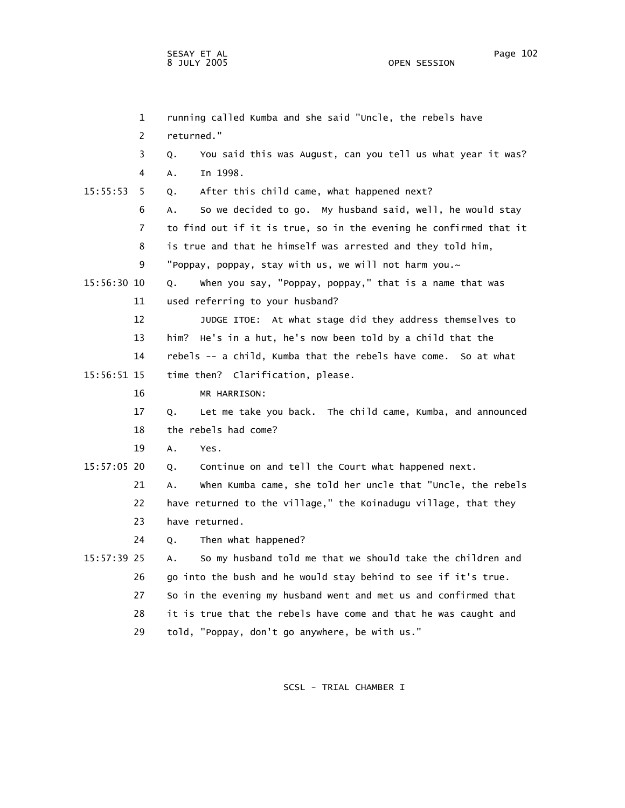1 running called Kumba and she said "Uncle, the rebels have 2 returned." 3 Q. You said this was August, can you tell us what year it was? 4 A. In 1998. 15:55:53 5 Q. After this child came, what happened next? 6 A. So we decided to go. My husband said, well, he would stay 7 to find out if it is true, so in the evening he confirmed that it 8 is true and that he himself was arrested and they told him, 9 "Poppay, poppay, stay with us, we will not harm you.~ 15:56:30 10 Q. When you say, "Poppay, poppay," that is a name that was 11 used referring to your husband? 12 JUDGE ITOE: At what stage did they address themselves to 13 him? He's in a hut, he's now been told by a child that the 14 rebels -- a child, Kumba that the rebels have come. So at what 15:56:51 15 time then? Clarification, please. 16 MR HARRISON: 17 Q. Let me take you back. The child came, Kumba, and announced 18 the rebels had come? 19 A. Yes. 15:57:05 20 Q. Continue on and tell the Court what happened next. 21 A. When Kumba came, she told her uncle that "Uncle, the rebels 22 have returned to the village," the Koinadugu village, that they 23 have returned. 24 Q. Then what happened? 15:57:39 25 A. So my husband told me that we should take the children and 26 go into the bush and he would stay behind to see if it's true. 27 So in the evening my husband went and met us and confirmed that 28 it is true that the rebels have come and that he was caught and 29 told, "Poppay, don't go anywhere, be with us."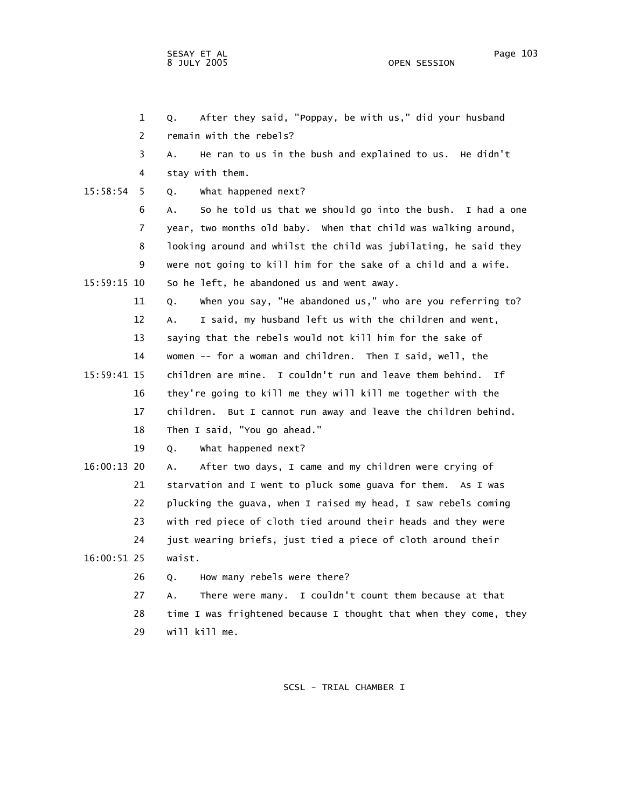1 Q. After they said, "Poppay, be with us," did your husband 2 remain with the rebels? 3 A. He ran to us in the bush and explained to us. He didn't 4 stay with them. 15:58:54 5 Q. What happened next? 6 A. So he told us that we should go into the bush. I had a one 7 year, two months old baby. When that child was walking around, 8 looking around and whilst the child was jubilating, he said they 9 were not going to kill him for the sake of a child and a wife. 15:59:15 10 So he left, he abandoned us and went away. 11 Q. When you say, "He abandoned us," who are you referring to? 12 A. I said, my husband left us with the children and went, 13 saying that the rebels would not kill him for the sake of 14 women -- for a woman and children. Then I said, well, the 15:59:41 15 children are mine. I couldn't run and leave them behind. If 16 they're going to kill me they will kill me together with the 17 children. But I cannot run away and leave the children behind. 18 Then I said, "You go ahead." 19 Q. What happened next? 16:00:13 20 A. After two days, I came and my children were crying of 21 starvation and I went to pluck some guava for them. As I was 22 plucking the guava, when I raised my head, I saw rebels coming 23 with red piece of cloth tied around their heads and they were 24 just wearing briefs, just tied a piece of cloth around their 16:00:51 25 waist. 26 Q. How many rebels were there? 27 A. There were many. I couldn't count them because at that 28 time I was frightened because I thought that when they come, they 29 will kill me.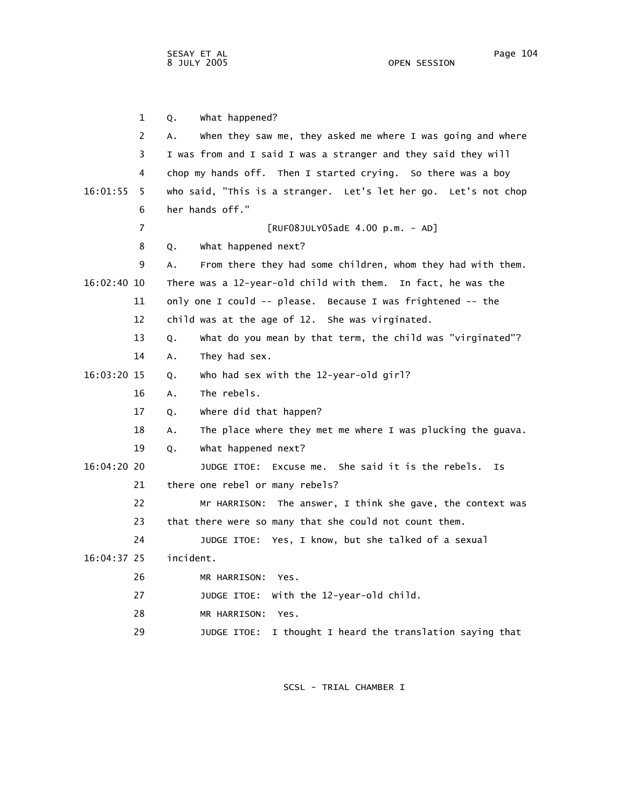1 Q. What happened? 2 A. When they saw me, they asked me where I was going and where 3 I was from and I said I was a stranger and they said they will 4 chop my hands off. Then I started crying. So there was a boy 16:01:55 5 who said, "This is a stranger. Let's let her go. Let's not chop 6 her hands off." 7 [RUF08JULY05adE 4.00 p.m. - AD] 8 Q. What happened next? 9 A. From there they had some children, whom they had with them. 16:02:40 10 There was a 12-year-old child with them. In fact, he was the 11 only one I could -- please. Because I was frightened -- the 12 child was at the age of 12. She was virginated. 13 Q. What do you mean by that term, the child was "virginated"? 14 A. They had sex. 16:03:20 15 Q. Who had sex with the 12-year-old girl? 16 A. The rebels. 17 Q. Where did that happen? 18 A. The place where they met me where I was plucking the guava. 19 Q. What happened next? 16:04:20 20 JUDGE ITOE: Excuse me. She said it is the rebels. Is 21 there one rebel or many rebels? 22 Mr HARRISON: The answer, I think she gave, the context was 23 that there were so many that she could not count them. 24 JUDGE ITOE: Yes, I know, but she talked of a sexual 16:04:37 25 incident. 26 MR HARRISON: Yes. 27 JUDGE ITOE: With the 12-year-old child. 28 MR HARRISON: Yes. 29 JUDGE ITOE: I thought I heard the translation saying that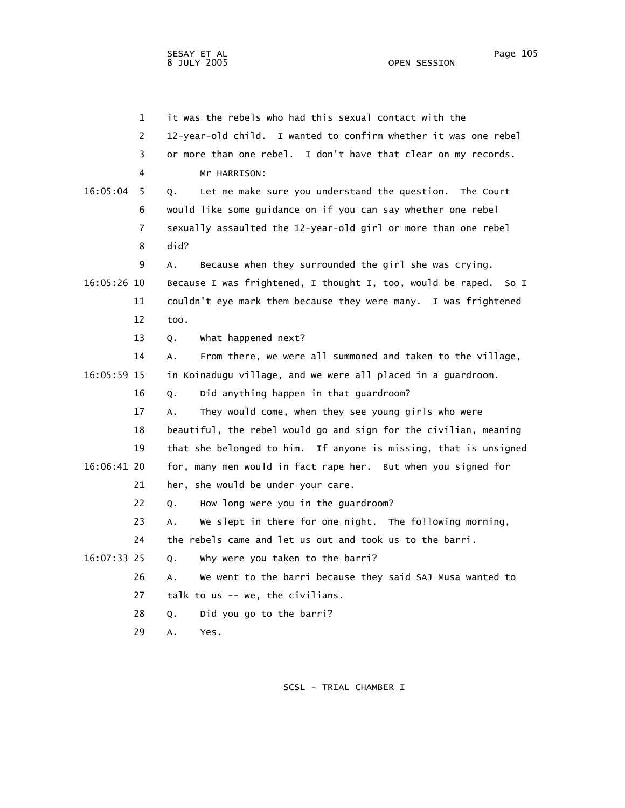1 it was the rebels who had this sexual contact with the 2 12-year-old child. I wanted to confirm whether it was one rebel 3 or more than one rebel. I don't have that clear on my records. 4 Mr HARRISON: 16:05:04 5 Q. Let me make sure you understand the question. The Court 6 would like some guidance on if you can say whether one rebel 7 sexually assaulted the 12-year-old girl or more than one rebel 8 did? 9 A. Because when they surrounded the girl she was crying. 16:05:26 10 Because I was frightened, I thought I, too, would be raped. So I 11 couldn't eye mark them because they were many. I was frightened 12 too. 13 Q. What happened next? 14 A. From there, we were all summoned and taken to the village, 16:05:59 15 in Koinadugu village, and we were all placed in a guardroom. 16 Q. Did anything happen in that guardroom? 17 A. They would come, when they see young girls who were 18 beautiful, the rebel would go and sign for the civilian, meaning 19 that she belonged to him. If anyone is missing, that is unsigned 16:06:41 20 for, many men would in fact rape her. But when you signed for 21 her, she would be under your care. 22 Q. How long were you in the guardroom? 23 A. We slept in there for one night. The following morning, 24 the rebels came and let us out and took us to the barri. 16:07:33 25 Q. Why were you taken to the barri? 26 A. We went to the barri because they said SAJ Musa wanted to 27 talk to us -- we, the civilians. 28 Q. Did you go to the barri? 29 A. Yes.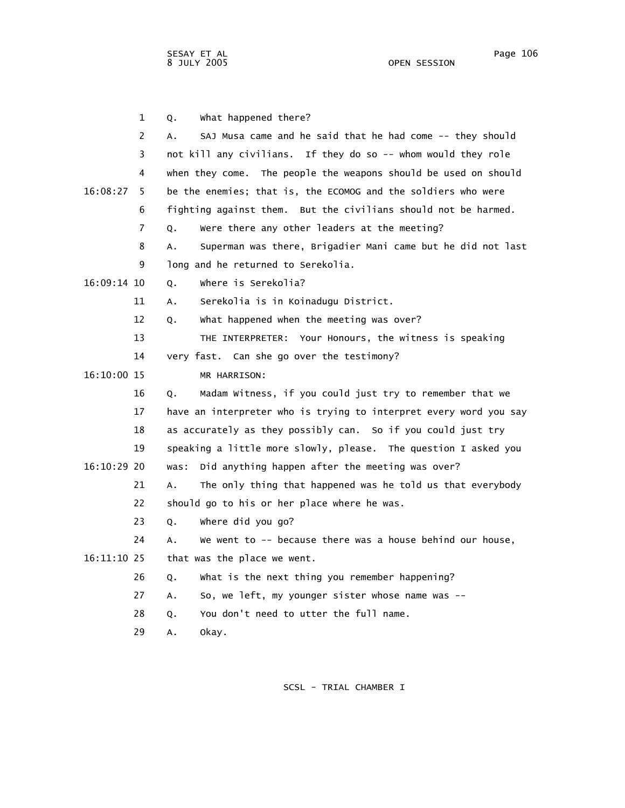1 Q. What happened there? 2 A. SAJ Musa came and he said that he had come -- they should 3 not kill any civilians. If they do so -- whom would they role 4 when they come. The people the weapons should be used on should 16:08:27 5 be the enemies; that is, the ECOMOG and the soldiers who were 6 fighting against them. But the civilians should not be harmed. 7 Q. Were there any other leaders at the meeting? 8 A. Superman was there, Brigadier Mani came but he did not last 9 long and he returned to Serekolia. 16:09:14 10 Q. Where is Serekolia? 11 A. Serekolia is in Koinadugu District. 12 Q. What happened when the meeting was over? 13 THE INTERPRETER: Your Honours, the witness is speaking 14 very fast. Can she go over the testimony? 16:10:00 15 MR HARRISON: 16 Q. Madam Witness, if you could just try to remember that we 17 have an interpreter who is trying to interpret every word you say 18 as accurately as they possibly can. So if you could just try 19 speaking a little more slowly, please. The question I asked you 16:10:29 20 was: Did anything happen after the meeting was over? 21 A. The only thing that happened was he told us that everybody 22 should go to his or her place where he was. 23 Q. Where did you go? 24 A. We went to -- because there was a house behind our house, 16:11:10 25 that was the place we went. 26 Q. What is the next thing you remember happening? 27 A. So, we left, my younger sister whose name was -- 28 Q. You don't need to utter the full name. 29 A. Okay.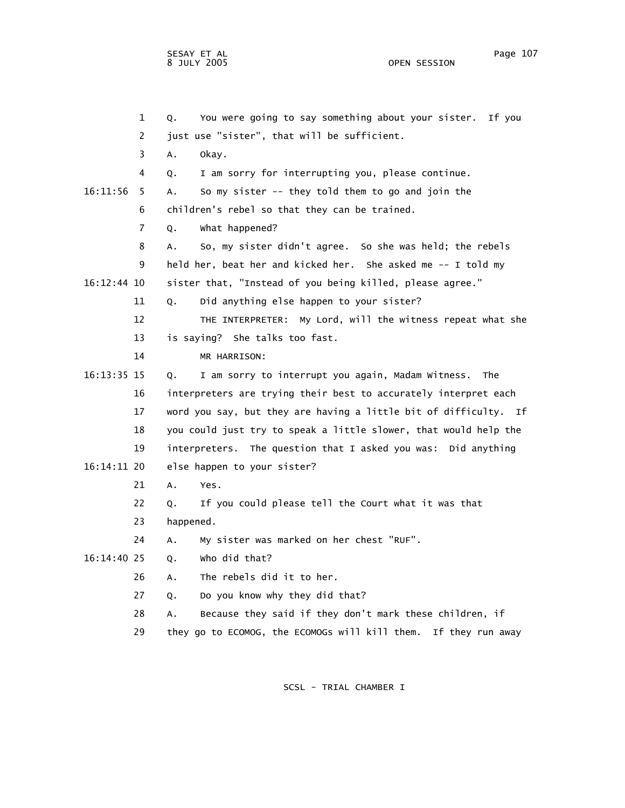|             | $\mathbf{1}$ | You were going to say something about your sister.<br>Q.<br>If you |
|-------------|--------------|--------------------------------------------------------------------|
|             | 2            | just use "sister", that will be sufficient.                        |
|             | 3            | А.<br>okay.                                                        |
|             | 4            | I am sorry for interrupting you, please continue.<br>Q.            |
| 16:11:56    | 5            | So my sister -- they told them to go and join the<br>А.            |
|             | 6            | children's rebel so that they can be trained.                      |
|             | 7            | What happened?<br>Q.                                               |
|             | 8            | So, my sister didn't agree. So she was held; the rebels<br>А.      |
|             | 9            | held her, beat her and kicked her. She asked me -- I told my       |
| 16:12:44 10 |              | sister that, "Instead of you being killed, please agree."          |
|             | 11           | Did anything else happen to your sister?<br>Q.                     |
|             | 12           | THE INTERPRETER: My Lord, will the witness repeat what she         |
|             | 13           | is saying? She talks too fast.                                     |
|             | 14           | MR HARRISON:                                                       |
| 16:13:35 15 |              | I am sorry to interrupt you again, Madam Witness.<br>The<br>Q.     |
|             | 16           | interpreters are trying their best to accurately interpret each    |
|             | 17           | word you say, but they are having a little bit of difficulty. If   |
|             | 18           | you could just try to speak a little slower, that would help the   |
| 19          |              | interpreters. The question that I asked you was: Did anything      |
| 16:14:11 20 |              | else happen to your sister?                                        |
|             | 21           | Α.<br>Yes.                                                         |
|             | 22           | If you could please tell the Court what it was that<br>Q.          |
|             | 23           | happened.                                                          |
|             | 24           | My sister was marked on her chest "RUF".<br>Α.                     |
| 16:14:40 25 |              | who did that?<br>Q.                                                |
|             | 26           | The rebels did it to her.<br>А.                                    |
|             | 27           | Do you know why they did that?<br>Q.                               |
|             | 28           | Because they said if they don't mark these children, if<br>А.      |
|             | 29           | they go to ECOMOG, the ECOMOGs will kill them.<br>If they run away |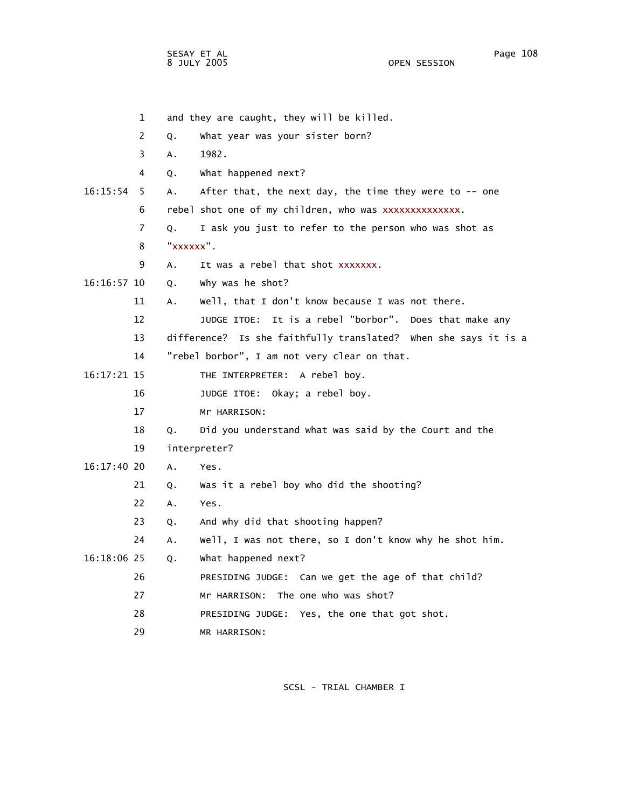1 and they are caught, they will be killed. 2 Q. What year was your sister born? 3 A. 1982. 4 Q. What happened next? 16:15:54 5 A. After that, the next day, the time they were to -- one 6 rebel shot one of my children, who was xxxxxxxxxxxxxx. 7 Q. I ask you just to refer to the person who was shot as 8 " 9 A. It was a rebel that shot xxxxxxx. 16:16:57 10 Q. Why was he shot? 11 A. Well, that I don't know because I was not there. 12 JUDGE ITOE: It is a rebel "borbor". Does that make any 13 difference? Is she faithfully translated? When she says it is a 14 "rebel borbor", I am not very clear on that. 16:17:21 15 THE INTERPRETER: A rebel boy. 16 JUDGE ITOE: Okay; a rebel boy. 17 Mr HARRISON: 18 Q. Did you understand what was said by the Court and the 19 interpreter? 16:17:40 20 A. Yes. 21 Q. Was it a rebel boy who did the shooting? 22 A. Yes. 23 Q. And why did that shooting happen? 24 A. Well, I was not there, so I don't know why he shot him. 16:18:06 25 Q. What happened next? 26 PRESIDING JUDGE: Can we get the age of that child? 27 Mr HARRISON: The one who was shot? 28 PRESIDING JUDGE: Yes, the one that got shot. 29 MR HARRISON: xxxxxx".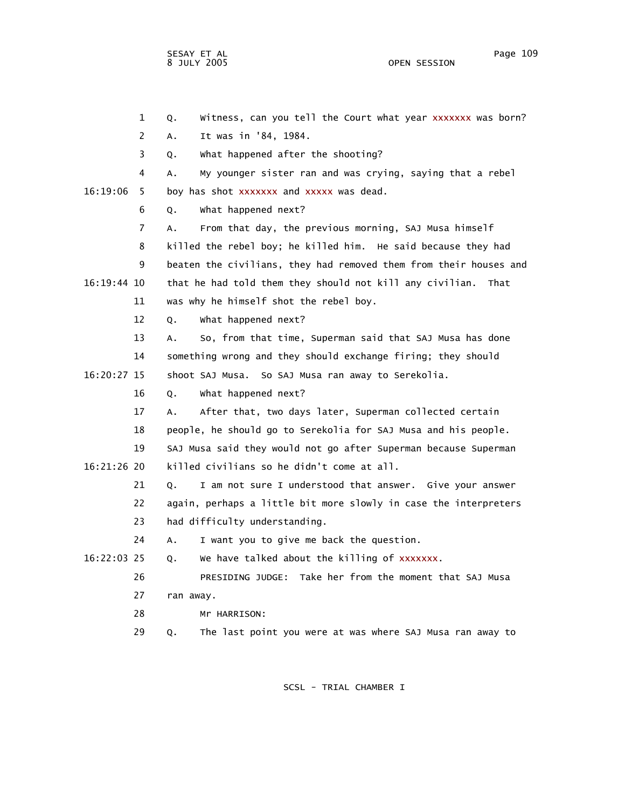OPEN SESSION

|             | $\overline{2}$ | It was in '84, 1984.<br>А.                                        |
|-------------|----------------|-------------------------------------------------------------------|
|             | 3              | What happened after the shooting?<br>Q.                           |
|             | 4              | My younger sister ran and was crying, saying that a rebel<br>А.   |
| 16:19:06    | 5              | boy has shot xxxxxxx and xxxxx was dead.                          |
|             | 6              | what happened next?<br>Q.                                         |
|             | $\overline{7}$ | From that day, the previous morning, SAJ Musa himself<br>А.       |
|             | 8              | killed the rebel boy; he killed him. He said because they had     |
|             | 9              | beaten the civilians, they had removed them from their houses and |
| 16:19:44 10 |                | that he had told them they should not kill any civilian.<br>That  |
|             | 11             | was why he himself shot the rebel boy.                            |
|             | 12             | what happened next?<br>Q.                                         |
|             | 13             | So, from that time, Superman said that SAJ Musa has done<br>А.    |
|             | 14             | something wrong and they should exchange firing; they should      |
| 16:20:27 15 |                | shoot SAJ Musa. So SAJ Musa ran away to Serekolia.                |
|             | 16             | what happened next?<br>Q.                                         |
|             | 17             | After that, two days later, Superman collected certain<br>А.      |
|             | 18             | people, he should go to Serekolia for SAJ Musa and his people.    |
|             | 19             | SAJ Musa said they would not go after Superman because Superman   |
| 16:21:26 20 |                | killed civilians so he didn't come at all.                        |
|             | 21             | I am not sure I understood that answer. Give your answer<br>Q.    |
|             | 22             | again, perhaps a little bit more slowly in case the interpreters  |
|             | 23             | had difficulty understanding.                                     |
|             | 24             | I want you to give me back the question.<br>А.                    |
| 16:22:03 25 |                | We have talked about the killing of xxxxxxx.<br>Q.                |
|             | 26             | PRESIDING JUDGE: Take her from the moment that SAJ Musa           |
|             | 27             | ran away.                                                         |
|             | 28             | Mr HARRISON:                                                      |
|             | 29             | The last point you were at was where SAJ Musa ran away to<br>Q.   |

1 Q. Witness, can you tell the Court what year xxxxxxx was born?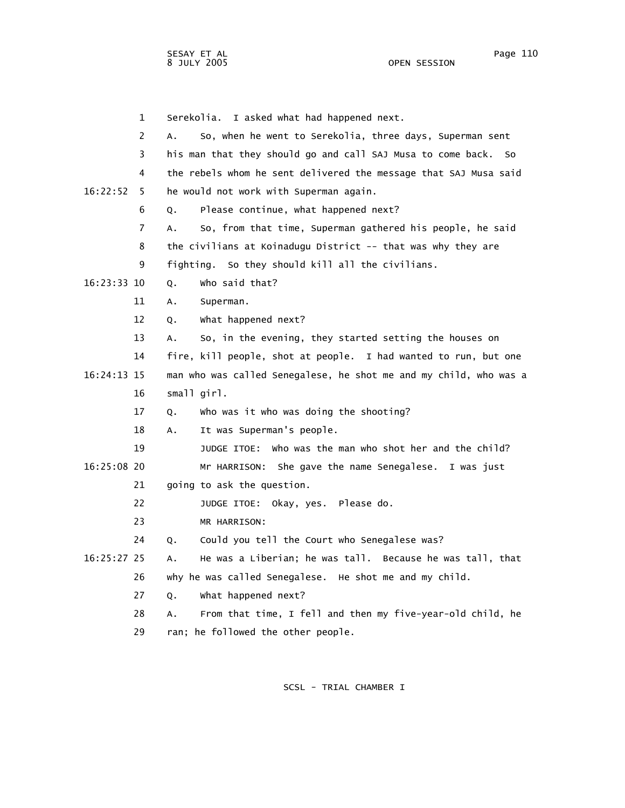1 Serekolia. I asked what had happened next. 2 A. So, when he went to Serekolia, three days, Superman sent 3 his man that they should go and call SAJ Musa to come back. So 4 the rebels whom he sent delivered the message that SAJ Musa said 16:22:52 5 he would not work with Superman again. 6 Q. Please continue, what happened next? 7 A. So, from that time, Superman gathered his people, he said 8 the civilians at Koinadugu District -- that was why they are 9 fighting. So they should kill all the civilians. 16:23:33 10 Q. Who said that? 11 A. Superman. 12 Q. What happened next? 13 A. So, in the evening, they started setting the houses on 14 fire, kill people, shot at people. I had wanted to run, but one 16:24:13 15 man who was called Senegalese, he shot me and my child, who was a 16 small girl. 17 Q. Who was it who was doing the shooting? 18 A. It was Superman's people. 19 JUDGE ITOE: Who was the man who shot her and the child? 16:25:08 20 Mr HARRISON: She gave the name Senegalese. I was just 21 going to ask the question. 22 JUDGE ITOE: Okay, yes. Please do. 23 MR HARRISON: 24 Q. Could you tell the Court who Senegalese was? 16:25:27 25 A. He was a Liberian; he was tall. Because he was tall, that 26 why he was called Senegalese. He shot me and my child. 27 Q. What happened next? 28 A. From that time, I fell and then my five-year-old child, he 29 ran; he followed the other people.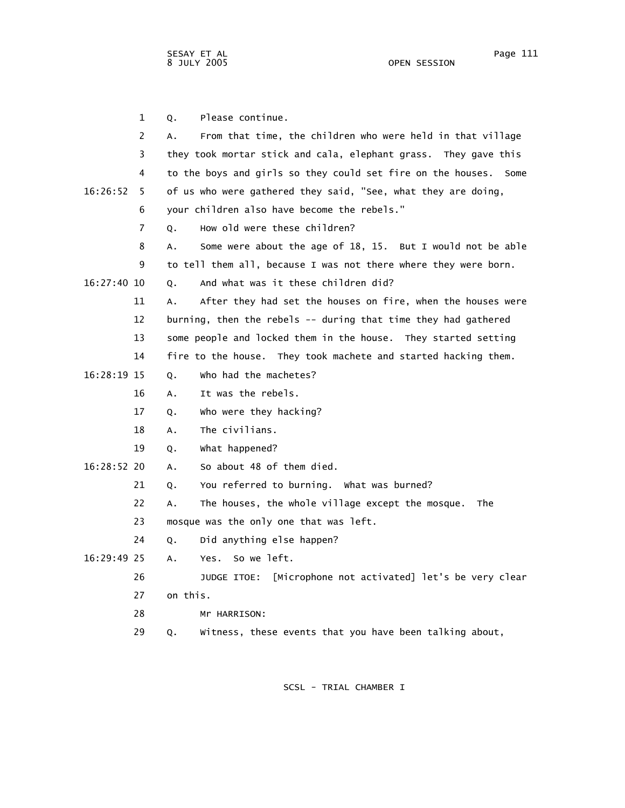|             | $\mathbf{1}$ | Please continue.<br>Q.                                              |
|-------------|--------------|---------------------------------------------------------------------|
|             | 2            | From that time, the children who were held in that village<br>А.    |
|             | 3            | they took mortar stick and cala, elephant grass. They gave this     |
|             | 4            | to the boys and girls so they could set fire on the houses.<br>Some |
| 16:26:52    | 5.           | of us who were gathered they said, "See, what they are doing,       |
|             | 6            | your children also have become the rebels."                         |
|             | 7            | How old were these children?<br>0.                                  |
|             | 8            | Some were about the age of 18, 15. But I would not be able<br>А.    |
|             | 9            | to tell them all, because I was not there where they were born.     |
| 16:27:40 10 |              | And what was it these children did?<br>0.                           |
|             | 11           | After they had set the houses on fire, when the houses were<br>А.   |
|             | 12           | burning, then the rebels -- during that time they had gathered      |
|             | 13           | some people and locked them in the house. They started setting      |
|             | 14           | fire to the house. They took machete and started hacking them.      |
| 16:28:19 15 |              | who had the machetes?<br>Q.                                         |
|             | 16           | It was the rebels.<br>А.                                            |
|             | 17           | who were they hacking?<br>Q.                                        |
|             | 18           | The civilians.<br>А.                                                |
|             | 19           | What happened?<br>Q.                                                |
| 16:28:52 20 |              | So about 48 of them died.<br>Α.                                     |
|             | 21           | You referred to burning. What was burned?<br>Q.                     |
|             | 22           | The houses, the whole village except the mosque.<br>Α.<br>The       |
|             | 23           | mosque was the only one that was left.                              |
|             | 24           | Did anything else happen?<br>Q.                                     |
| 16:29:49 25 |              | Yes. So we left.<br>Α.                                              |
|             | 26           | [Microphone not activated] let's be very clear<br>JUDGE ITOE:       |
|             | 27           | on this.                                                            |
|             | 28           | Mr HARRISON:                                                        |

SCSL - TRIAL CHAMBER I

29 Q. Witness, these events that you have been talking about,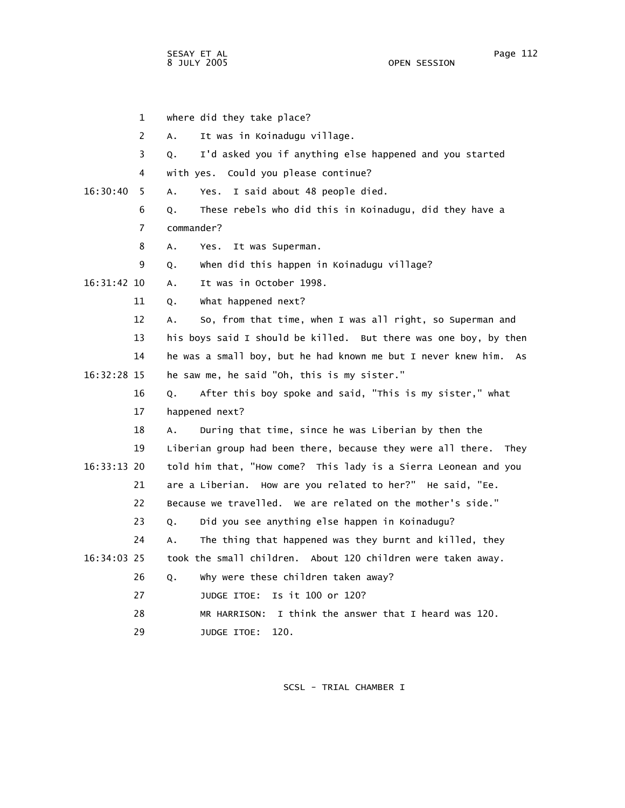1 where did they take place? 2 A. It was in Koinadugu village. 3 Q. I'd asked you if anything else happened and you started 4 with yes. Could you please continue? 16:30:40 5 A. Yes. I said about 48 people died. 6 Q. These rebels who did this in Koinadugu, did they have a 7 commander? 8 A. Yes. It was Superman. 9 Q. When did this happen in Koinadugu village? 16:31:42 10 A. It was in October 1998. 11 Q. What happened next? 12 A. So, from that time, when I was all right, so Superman and 13 his boys said I should be killed. But there was one boy, by then 14 he was a small boy, but he had known me but I never knew him. As 16:32:28 15 he saw me, he said "Oh, this is my sister." 16 Q. After this boy spoke and said, "This is my sister," what 17 happened next? 18 A. During that time, since he was Liberian by then the 19 Liberian group had been there, because they were all there. They 16:33:13 20 told him that, "How come? This lady is a Sierra Leonean and you 21 are a Liberian. How are you related to her?" He said, "Ee. 22 Because we travelled. We are related on the mother's side." 23 Q. Did you see anything else happen in Koinadugu? 24 A. The thing that happened was they burnt and killed, they 16:34:03 25 took the small children. About 120 children were taken away. 26 Q. Why were these children taken away? 27 JUDGE ITOE: Is it 100 or 120? 28 MR HARRISON: I think the answer that I heard was 120. 29 JUDGE ITOE: 120.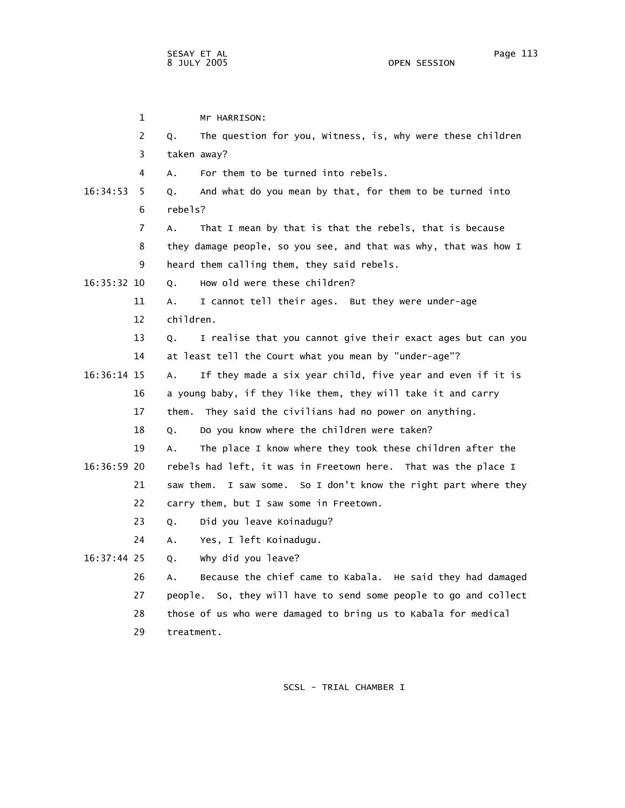1 Mr HARRISON: 2 Q. The question for you, Witness, is, why were these children 3 taken away? 4 A. For them to be turned into rebels. 16:34:53 5 Q. And what do you mean by that, for them to be turned into 6 rebels? 7 A. That I mean by that is that the rebels, that is because 8 they damage people, so you see, and that was why, that was how I 9 heard them calling them, they said rebels. 16:35:32 10 Q. How old were these children? 11 A. I cannot tell their ages. But they were under-age 12 children. 13 Q. I realise that you cannot give their exact ages but can you 14 at least tell the Court what you mean by "under-age"? 16:36:14 15 A. If they made a six year child, five year and even if it is 16 a young baby, if they like them, they will take it and carry 17 them. They said the civilians had no power on anything. 18 Q. Do you know where the children were taken? 19 A. The place I know where they took these children after the 16:36:59 20 rebels had left, it was in Freetown here. That was the place I 21 saw them. I saw some. So I don't know the right part where they 22 carry them, but I saw some in Freetown. 23 Q. Did you leave Koinadugu? 24 A. Yes, I left Koinadugu. 16:37:44 25 Q. Why did you leave? 26 A. Because the chief came to Kabala. He said they had damaged 27 people. So, they will have to send some people to go and collect 28 those of us who were damaged to bring us to Kabala for medical 29 treatment.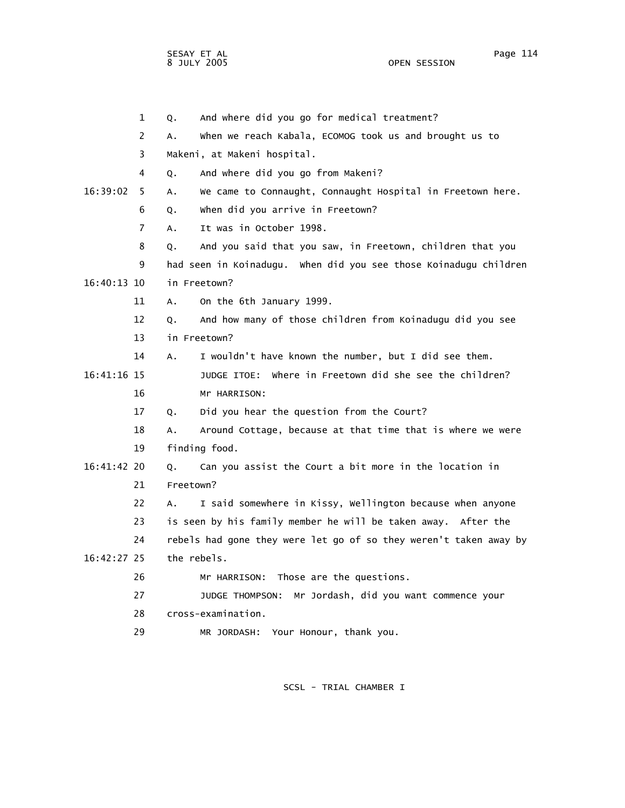1 Q. And where did you go for medical treatment? 2 A. When we reach Kabala, ECOMOG took us and brought us to 3 Makeni, at Makeni hospital. 4 Q. And where did you go from Makeni? 16:39:02 5 A. We came to Connaught, Connaught Hospital in Freetown here. 6 Q. When did you arrive in Freetown? 7 A. It was in October 1998. 8 Q. And you said that you saw, in Freetown, children that you 9 had seen in Koinadugu. When did you see those Koinadugu children 16:40:13 10 in Freetown? 11 A. On the 6th January 1999. 12 Q. And how many of those children from Koinadugu did you see 13 in Freetown? 14 A. I wouldn't have known the number, but I did see them. 16:41:16 15 JUDGE ITOE: Where in Freetown did she see the children? 16 Mr HARRISON: 17 Q. Did you hear the question from the Court? 18 A. Around Cottage, because at that time that is where we were 19 finding food. 16:41:42 20 Q. Can you assist the Court a bit more in the location in 21 Freetown? 22 A. I said somewhere in Kissy, Wellington because when anyone 23 is seen by his family member he will be taken away. After the 24 rebels had gone they were let go of so they weren't taken away by 16:42:27 25 the rebels. 26 Mr HARRISON: Those are the questions. 27 JUDGE THOMPSON: Mr Jordash, did you want commence your 28 cross-examination. 29 MR JORDASH: Your Honour, thank you.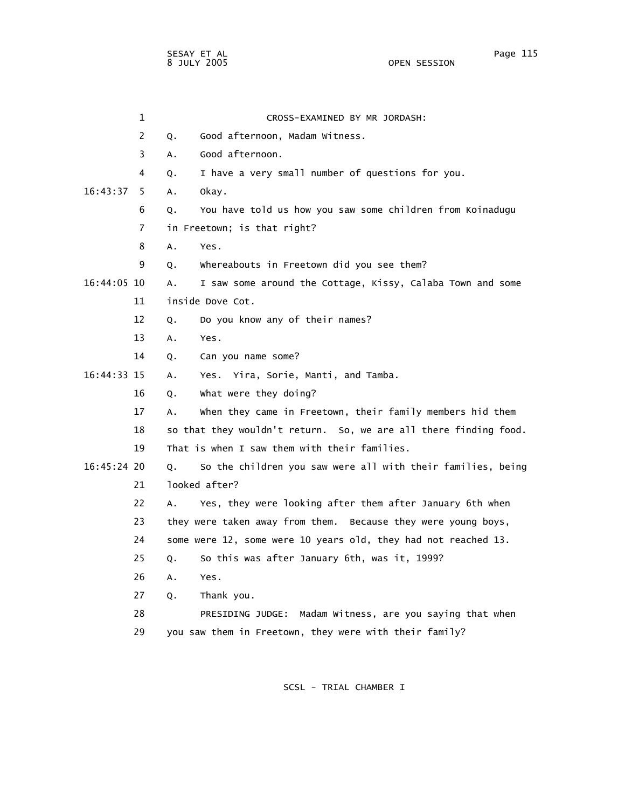1 CROSS-EXAMINED BY MR JORDASH: 2 Q. Good afternoon, Madam Witness. 3 A. Good afternoon. 4 Q. I have a very small number of questions for you. 16:43:37 5 A. Okay. 6 Q. You have told us how you saw some children from Koinadugu 7 in Freetown; is that right? 8 A. Yes. 9 Q. Whereabouts in Freetown did you see them? 16:44:05 10 A. I saw some around the Cottage, Kissy, Calaba Town and some 11 inside Dove Cot. 12 Q. Do you know any of their names? 13 A. Yes. 14 Q. Can you name some? 16:44:33 15 A. Yes. Yira, Sorie, Manti, and Tamba. 16 Q. What were they doing? 17 A. When they came in Freetown, their family members hid them 18 so that they wouldn't return. So, we are all there finding food. 19 That is when I saw them with their families. 16:45:24 20 Q. So the children you saw were all with their families, being 21 looked after? 22 A. Yes, they were looking after them after January 6th when 23 they were taken away from them. Because they were young boys, 24 some were 12, some were 10 years old, they had not reached 13. 25 Q. So this was after January 6th, was it, 1999? 26 A. Yes. 27 Q. Thank you. 28 PRESIDING JUDGE: Madam Witness, are you saying that when 29 you saw them in Freetown, they were with their family?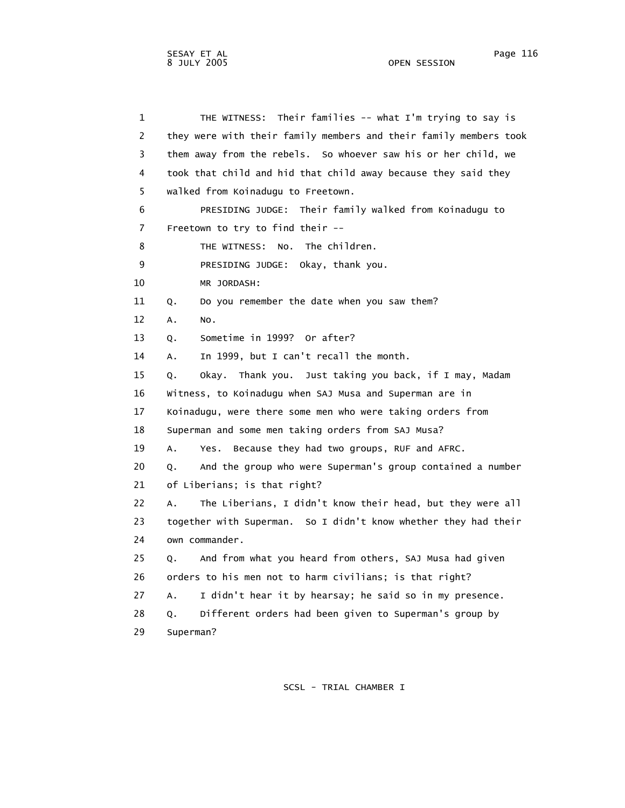1 THE WITNESS: Their families -- what I'm trying to say is 2 they were with their family members and their family members took 3 them away from the rebels. So whoever saw his or her child, we 4 took that child and hid that child away because they said they 5 walked from Koinadugu to Freetown. 6 PRESIDING JUDGE: Their family walked from Koinadugu to 7 Freetown to try to find their -- 8 THE WITNESS: No. The children. 9 PRESIDING JUDGE: Okay, thank you. 10 MR JORDASH: 11 Q. Do you remember the date when you saw them? 12 A. No. 13 Q. Sometime in 1999? Or after? 14 A. In 1999, but I can't recall the month. 15 Q. Okay. Thank you. Just taking you back, if I may, Madam 16 Witness, to Koinadugu when SAJ Musa and Superman are in 17 Koinadugu, were there some men who were taking orders from 18 Superman and some men taking orders from SAJ Musa? 19 A. Yes. Because they had two groups, RUF and AFRC. 20 Q. And the group who were Superman's group contained a number 21 of Liberians; is that right? 22 A. The Liberians, I didn't know their head, but they were all 23 together with Superman. So I didn't know whether they had their 24 own commander. 25 Q. And from what you heard from others, SAJ Musa had given 26 orders to his men not to harm civilians; is that right? 27 A. I didn't hear it by hearsay; he said so in my presence. 28 Q. Different orders had been given to Superman's group by 29 Superman?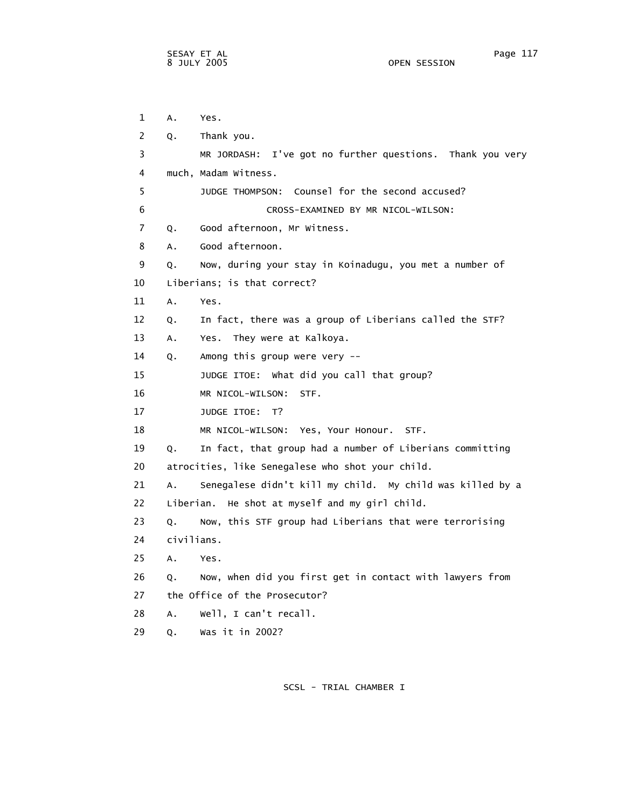1 A. Yes. 2 Q. Thank you. 3 MR JORDASH: I've got no further questions. Thank you very 4 much, Madam Witness. 5 JUDGE THOMPSON: Counsel for the second accused? 6 CROSS-EXAMINED BY MR NICOL-WILSON: 7 Q. Good afternoon, Mr Witness. 8 A. Good afternoon. 9 Q. Now, during your stay in Koinadugu, you met a number of 10 Liberians; is that correct? 11 A. Yes. 12 Q. In fact, there was a group of Liberians called the STF? 13 A. Yes. They were at Kalkoya. 14 Q. Among this group were very -- 15 JUDGE ITOE: What did you call that group? 16 MR NICOL-WILSON: STF. 17 JUDGE ITOE: T? 18 MR NICOL-WILSON: Yes, Your Honour. STF. 19 Q. In fact, that group had a number of Liberians committing 20 atrocities, like Senegalese who shot your child. 21 A. Senegalese didn't kill my child. My child was killed by a 22 Liberian. He shot at myself and my girl child. 23 Q. Now, this STF group had Liberians that were terrorising 24 civilians. 25 A. Yes. 26 Q. Now, when did you first get in contact with lawyers from 27 the Office of the Prosecutor? 28 A. Well, I can't recall. 29 Q. Was it in 2002?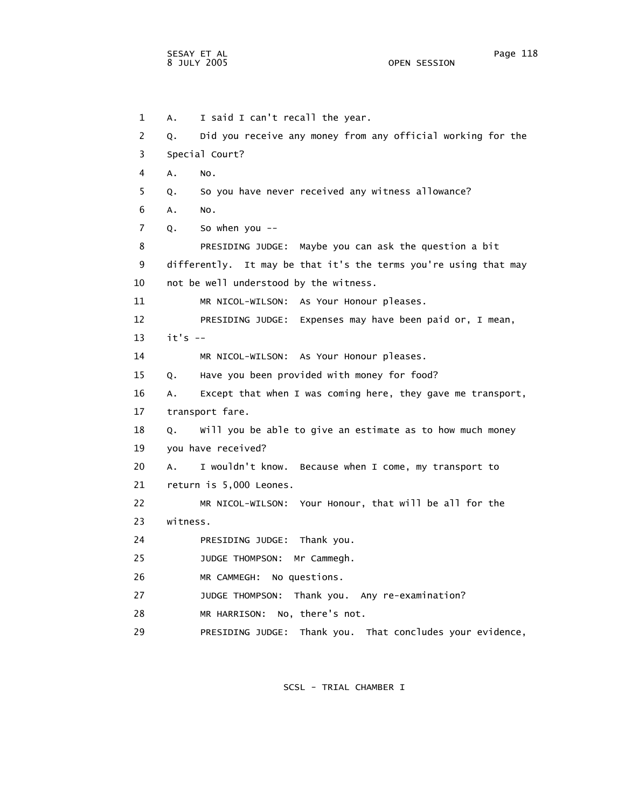1 A. I said I can't recall the year. 2 Q. Did you receive any money from any official working for the 3 Special Court? 4 A. No. 5 Q. So you have never received any witness allowance? 6 A. No. 7 Q. So when you -- 8 PRESIDING JUDGE: Maybe you can ask the question a bit 9 differently. It may be that it's the terms you're using that may 10 not be well understood by the witness. 11 MR NICOL-WILSON: As Your Honour pleases. 12 PRESIDING JUDGE: Expenses may have been paid or, I mean, 13 it's -- 14 MR NICOL-WILSON: As Your Honour pleases. 15 Q. Have you been provided with money for food? 16 A. Except that when I was coming here, they gave me transport, 17 transport fare. 18 Q. Will you be able to give an estimate as to how much money 19 you have received? 20 A. I wouldn't know. Because when I come, my transport to 21 return is 5,000 Leones. 22 MR NICOL-WILSON: Your Honour, that will be all for the 23 witness. 24 PRESIDING JUDGE: Thank you. 25 JUDGE THOMPSON: Mr Cammegh. 26 MR CAMMEGH: No questions. 27 JUDGE THOMPSON: Thank you. Any re-examination? 28 MR HARRISON: No, there's not. 29 PRESIDING JUDGE: Thank you. That concludes your evidence,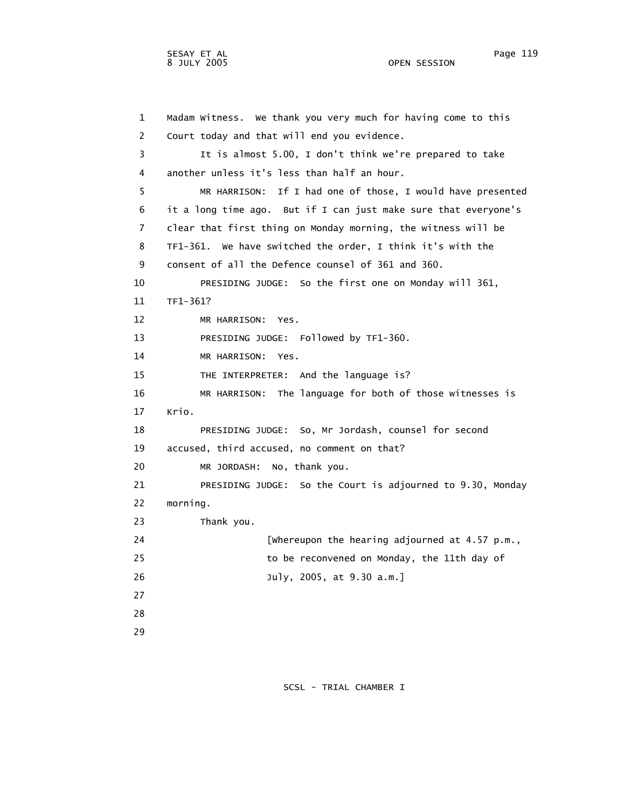1 Madam Witness. We thank you very much for having come to this 2 Court today and that will end you evidence. 3 It is almost 5.00, I don't think we're prepared to take

 4 another unless it's less than half an hour. 5 MR HARRISON: If I had one of those, I would have presented 6 it a long time ago. But if I can just make sure that everyone's 7 clear that first thing on Monday morning, the witness will be 8 TF1-361. We have switched the order, I think it's with the 9 consent of all the Defence counsel of 361 and 360. 10 PRESIDING JUDGE: So the first one on Monday will 361, 11 TF1-361? 12 MR HARRISON: Yes. 13 PRESIDING JUDGE: Followed by TF1-360. 14 MR HARRISON: Yes. 15 THE INTERPRETER: And the language is? 16 MR HARRISON: The language for both of those witnesses is 17 Krio. 18 PRESIDING JUDGE: So, Mr Jordash, counsel for second 19 accused, third accused, no comment on that? 20 MR JORDASH: No, thank you. 21 PRESIDING JUDGE: So the Court is adjourned to 9.30, Monday 22 morning. 23 Thank you. 24 [Whereupon the hearing adjourned at 4.57 p.m., 25 to be reconvened on Monday, the 11th day of 26 July, 2005, at 9.30 a.m.] 27 28 29